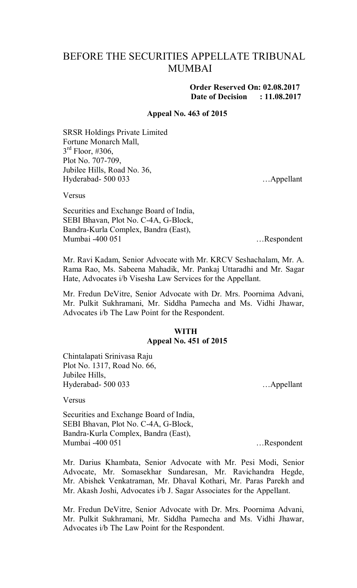## BEFORE THE SECURITIES APPELLATE TRIBUNAL **MUMBAI**

## **Order Reserved On: 02.08.2017 Date of Decision : 11.08.2017**

#### **Appeal No. 463 of 2015**

SRSR Holdings Private Limited Fortune Monarch Mall,  $3<sup>rd</sup>$  Floor, #306, Plot No. 707-709, Jubilee Hills, Road No. 36, Hyderabad- 500 033 …Appellant

Versus

Securities and Exchange Board of India, SEBI Bhavan, Plot No. C-4A, G-Block, Bandra-Kurla Complex, Bandra (East), Mumbai -400 051 …Respondent

Mr. Ravi Kadam, Senior Advocate with Mr. KRCV Seshachalam, Mr. A. Rama Rao, Ms. Sabeena Mahadik, Mr. Pankaj Uttaradhi and Mr. Sagar Hate, Advocates i/b Visesha Law Services for the Appellant.

Mr. Fredun DeVitre, Senior Advocate with Dr. Mrs. Poornima Advani, Mr. Pulkit Sukhramani, Mr. Siddha Pamecha and Ms. Vidhi Jhawar, Advocates i/b The Law Point for the Respondent.

## **WITH Appeal No. 451 of 2015**

Chintalapati Srinivasa Raju Plot No. 1317, Road No. 66, Jubilee Hills, Hyderabad- 500 033 …Appellant

Versus

Securities and Exchange Board of India, SEBI Bhavan, Plot No. C-4A, G-Block, Bandra-Kurla Complex, Bandra (East), Mumbai -400 051 …Respondent

Mr. Darius Khambata, Senior Advocate with Mr. Pesi Modi, Senior Advocate, Mr. Somasekhar Sundaresan, Mr. Ravichandra Hegde, Mr. Abishek Venkatraman, Mr. Dhaval Kothari, Mr. Paras Parekh and Mr. Akash Joshi, Advocates i/b J. Sagar Associates for the Appellant.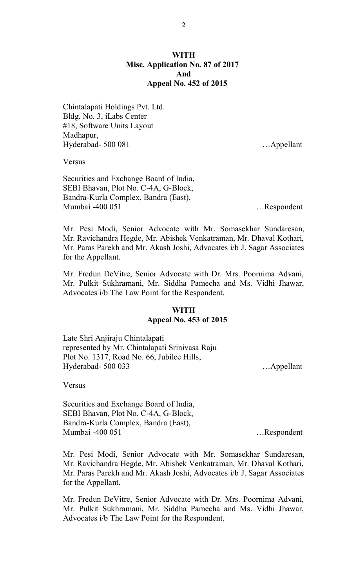## **WITH Misc. Application No. 87 of 2017 And Appeal No. 452 of 2015**

Chintalapati Holdings Pvt. Ltd. Bldg. No. 3, iLabs Center #18, Software Units Layout Madhapur, Hyderabad- 500 081 …Appellant

Versus

Securities and Exchange Board of India, SEBI Bhavan, Plot No. C-4A, G-Block, Bandra-Kurla Complex, Bandra (East), Mumbai -400 051 …Respondent

Mr. Pesi Modi, Senior Advocate with Mr. Somasekhar Sundaresan, Mr. Ravichandra Hegde, Mr. Abishek Venkatraman, Mr. Dhaval Kothari, Mr. Paras Parekh and Mr. Akash Joshi, Advocates i/b J. Sagar Associates for the Appellant.

Mr. Fredun DeVitre, Senior Advocate with Dr. Mrs. Poornima Advani, Mr. Pulkit Sukhramani, Mr. Siddha Pamecha and Ms. Vidhi Jhawar, Advocates i/b The Law Point for the Respondent.

## **WITH Appeal No. 453 of 2015**

Late Shri Anjiraju Chintalapati represented by Mr. Chintalapati Srinivasa Raju Plot No. 1317, Road No. 66, Jubilee Hills, Hyderabad- 500 033 …Appellant

Versus

Securities and Exchange Board of India, SEBI Bhavan, Plot No. C-4A, G-Block, Bandra-Kurla Complex, Bandra (East), Mumbai -400 051 …Respondent

Mr. Pesi Modi, Senior Advocate with Mr. Somasekhar Sundaresan, Mr. Ravichandra Hegde, Mr. Abishek Venkatraman, Mr. Dhaval Kothari, Mr. Paras Parekh and Mr. Akash Joshi, Advocates i/b J. Sagar Associates for the Appellant.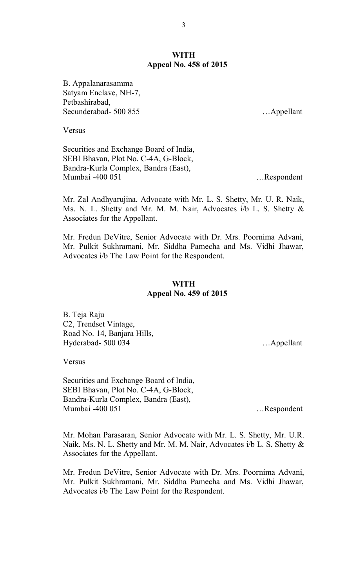## **WITH Appeal No. 458 of 2015**

B. Appalanarasamma Satyam Enclave, NH-7, Petbashirabad, Secunderabad- 500 855 …Appellant

Versus

Securities and Exchange Board of India, SEBI Bhavan, Plot No. C-4A, G-Block, Bandra-Kurla Complex, Bandra (East), Mumbai -400 051 …Respondent

Mr. Zal Andhyarujina, Advocate with Mr. L. S. Shetty, Mr. U. R. Naik, Ms. N. L. Shetty and Mr. M. M. Nair, Advocates i/b L. S. Shetty & Associates for the Appellant.

Mr. Fredun DeVitre, Senior Advocate with Dr. Mrs. Poornima Advani, Mr. Pulkit Sukhramani, Mr. Siddha Pamecha and Ms. Vidhi Jhawar, Advocates i/b The Law Point for the Respondent.

## **WITH Appeal No. 459 of 2015**

B. Teja Raju C2, Trendset Vintage, Road No. 14, Banjara Hills, Hyderabad- 500 034 …Appellant

Versus

Securities and Exchange Board of India, SEBI Bhavan, Plot No. C-4A, G-Block, Bandra-Kurla Complex, Bandra (East), Mumbai -400 051 …Respondent

Mr. Mohan Parasaran, Senior Advocate with Mr. L. S. Shetty, Mr. U.R. Naik. Ms. N. L. Shetty and Mr. M. M. Nair, Advocates i/b L. S. Shetty & Associates for the Appellant.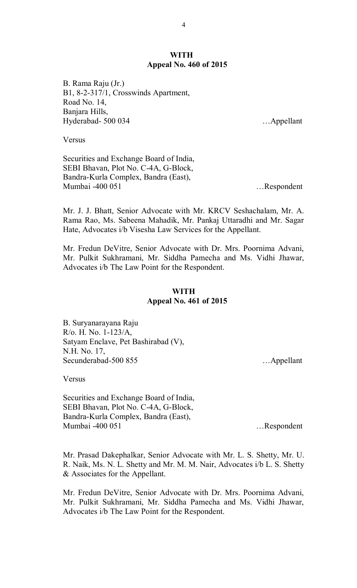#### **WITH Appeal No. 460 of 2015**

B. Rama Raju (Jr.) B1, 8-2-317/1, Crosswinds Apartment, Road No. 14, Banjara Hills, Hyderabad- 500 034 …Appellant

**Versus** 

Securities and Exchange Board of India, SEBI Bhavan, Plot No. C-4A, G-Block, Bandra-Kurla Complex, Bandra (East), Mumbai -400 051 …Respondent

Mr. J. J. Bhatt, Senior Advocate with Mr. KRCV Seshachalam, Mr. A. Rama Rao, Ms. Sabeena Mahadik, Mr. Pankaj Uttaradhi and Mr. Sagar Hate, Advocates i/b Visesha Law Services for the Appellant.

Mr. Fredun DeVitre, Senior Advocate with Dr. Mrs. Poornima Advani, Mr. Pulkit Sukhramani, Mr. Siddha Pamecha and Ms. Vidhi Jhawar, Advocates i/b The Law Point for the Respondent.

## **WITH Appeal No. 461 of 2015**

B. Suryanarayana Raju R/o. H. No. 1-123/A, Satyam Enclave, Pet Bashirabad (V), N.H. No. 17, Secunderabad-500 855 …Appellant

Versus

Securities and Exchange Board of India, SEBI Bhavan, Plot No. C-4A, G-Block, Bandra-Kurla Complex, Bandra (East), Mumbai -400 051 …Respondent

Mr. Prasad Dakephalkar, Senior Advocate with Mr. L. S. Shetty, Mr. U. R. Naik, Ms. N. L. Shetty and Mr. M. M. Nair, Advocates i/b L. S. Shetty & Associates for the Appellant.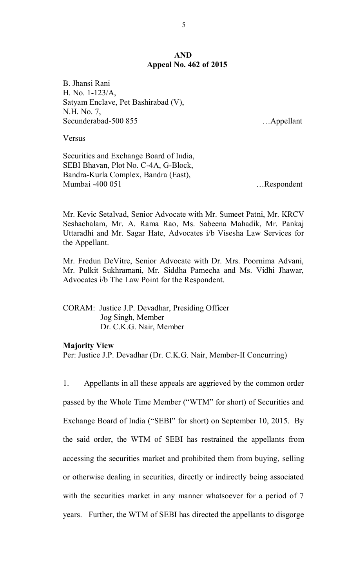### **AND Appeal No. 462 of 2015**

B. Jhansi Rani H. No. 1-123/A, Satyam Enclave, Pet Bashirabad (V), N.H. No. 7, Secunderabad-500 855 …Appellant

Versus

Securities and Exchange Board of India, SEBI Bhavan, Plot No. C-4A, G-Block, Bandra-Kurla Complex, Bandra (East), Mumbai -400 051 …Respondent

Mr. Kevic Setalvad, Senior Advocate with Mr. Sumeet Patni, Mr. KRCV Seshachalam, Mr. A. Rama Rao, Ms. Sabeena Mahadik, Mr. Pankaj Uttaradhi and Mr. Sagar Hate, Advocates i/b Visesha Law Services for the Appellant.

Mr. Fredun DeVitre, Senior Advocate with Dr. Mrs. Poornima Advani, Mr. Pulkit Sukhramani, Mr. Siddha Pamecha and Ms. Vidhi Jhawar, Advocates i/b The Law Point for the Respondent.

CORAM: Justice J.P. Devadhar, Presiding Officer Jog Singh, Member Dr. C.K.G. Nair, Member

#### **Majority View**

Per: Justice J.P. Devadhar (Dr. C.K.G. Nair, Member-II Concurring)

1. Appellants in all these appeals are aggrieved by the common order passed by the Whole Time Member ("WTM" for short) of Securities and Exchange Board of India ("SEBI" for short) on September 10, 2015. By the said order, the WTM of SEBI has restrained the appellants from accessing the securities market and prohibited them from buying, selling or otherwise dealing in securities, directly or indirectly being associated with the securities market in any manner whatsoever for a period of 7 years. Further, the WTM of SEBI has directed the appellants to disgorge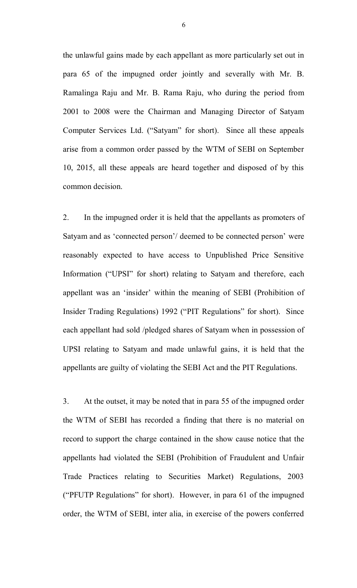the unlawful gains made by each appellant as more particularly set out in para 65 of the impugned order jointly and severally with Mr. B. Ramalinga Raju and Mr. B. Rama Raju, who during the period from 2001 to 2008 were the Chairman and Managing Director of Satyam Computer Services Ltd. ("Satyam" for short). Since all these appeals arise from a common order passed by the WTM of SEBI on September 10, 2015, all these appeals are heard together and disposed of by this common decision.

2. In the impugned order it is held that the appellants as promoters of Satyam and as 'connected person'/ deemed to be connected person' were reasonably expected to have access to Unpublished Price Sensitive Information ("UPSI" for short) relating to Satyam and therefore, each appellant was an 'insider' within the meaning of SEBI (Prohibition of Insider Trading Regulations) 1992 ("PIT Regulations" for short). Since each appellant had sold /pledged shares of Satyam when in possession of UPSI relating to Satyam and made unlawful gains, it is held that the appellants are guilty of violating the SEBI Act and the PIT Regulations.

3. At the outset, it may be noted that in para 55 of the impugned order the WTM of SEBI has recorded a finding that there is no material on record to support the charge contained in the show cause notice that the appellants had violated the SEBI (Prohibition of Fraudulent and Unfair Trade Practices relating to Securities Market) Regulations, 2003 ("PFUTP Regulations" for short). However, in para 61 of the impugned order, the WTM of SEBI, inter alia, in exercise of the powers conferred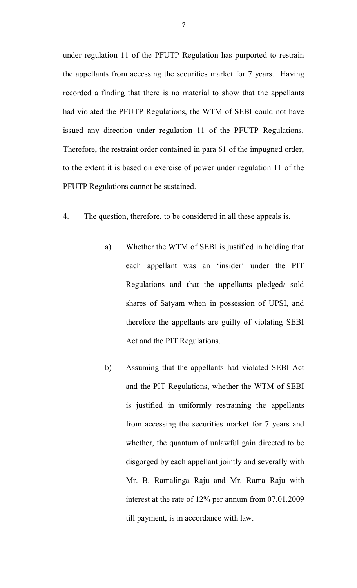under regulation 11 of the PFUTP Regulation has purported to restrain the appellants from accessing the securities market for 7 years. Having recorded a finding that there is no material to show that the appellants had violated the PFUTP Regulations, the WTM of SEBI could not have issued any direction under regulation 11 of the PFUTP Regulations. Therefore, the restraint order contained in para 61 of the impugned order, to the extent it is based on exercise of power under regulation 11 of the PFUTP Regulations cannot be sustained.

- 4. The question, therefore, to be considered in all these appeals is,
	- a) Whether the WTM of SEBI is justified in holding that each appellant was an 'insider' under the PIT Regulations and that the appellants pledged/ sold shares of Satyam when in possession of UPSI, and therefore the appellants are guilty of violating SEBI Act and the PIT Regulations.
	- b) Assuming that the appellants had violated SEBI Act and the PIT Regulations, whether the WTM of SEBI is justified in uniformly restraining the appellants from accessing the securities market for 7 years and whether, the quantum of unlawful gain directed to be disgorged by each appellant jointly and severally with Mr. B. Ramalinga Raju and Mr. Rama Raju with interest at the rate of 12% per annum from 07.01.2009 till payment, is in accordance with law.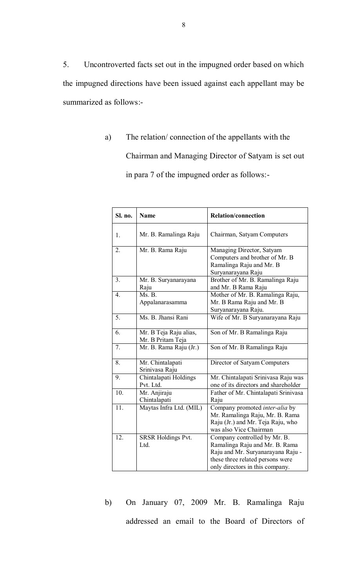5. Uncontroverted facts set out in the impugned order based on which the impugned directions have been issued against each appellant may be summarized as follows:-

> a) The relation/ connection of the appellants with the Chairman and Managing Director of Satyam is set out in para 7 of the impugned order as follows:-

| Sl. no.          | <b>Name</b>                                 | <b>Relation/connection</b>                                                                                                                                                 |
|------------------|---------------------------------------------|----------------------------------------------------------------------------------------------------------------------------------------------------------------------------|
| 1.               | Mr. B. Ramalinga Raju                       | Chairman, Satyam Computers                                                                                                                                                 |
| $\overline{2}$ . | Mr. B. Rama Raju                            | Managing Director, Satyam<br>Computers and brother of Mr. B<br>Ramalinga Raju and Mr. B<br>Suryanarayana Raju                                                              |
| 3.               | Mr. B. Suryanarayana<br>Raju                | Brother of Mr. B. Ramalinga Raju<br>and Mr. B Rama Raju                                                                                                                    |
| 4.               | Ms. B.<br>Appalanarasamma                   | Mother of Mr. B. Ramalinga Raju,<br>Mr. B Rama Raju and Mr. B<br>Suryanarayana Raju.                                                                                       |
| 5.               | Ms. B. Jhansi Rani                          | Wife of Mr. B Suryanarayana Raju                                                                                                                                           |
| 6.               | Mr. B Teja Raju alias,<br>Mr. B Pritam Teja | Son of Mr. B Ramalinga Raju                                                                                                                                                |
| 7.               | Mr. B. Rama Raju (Jr.)                      | Son of Mr. B Ramalinga Raju                                                                                                                                                |
| 8.               | Mr. Chintalapati<br>Srinivasa Raju          | Director of Satyam Computers                                                                                                                                               |
| 9.               | Chintalapati Holdings<br>Pvt. Ltd.          | Mr. Chintalapati Srinivasa Raju was<br>one of its directors and shareholder                                                                                                |
| 10.              | Mr. Anjiraju<br>Chintalapati                | Father of Mr. Chintalapati Srinivasa<br>Raju                                                                                                                               |
| 11.              | Maytas Infra Ltd. (MIL)                     | Company promoted <i>inter-alia</i> by<br>Mr. Ramalinga Raju, Mr. B. Rama<br>Raju (Jr.) and Mr. Teja Raju, who<br>was also Vice Chairman                                    |
| 12.              | <b>SRSR Holdings Pvt.</b><br>Ltd.           | Company controlled by Mr. B.<br>Ramalinga Raju and Mr. B. Rama<br>Raju and Mr. Suryanarayana Raju -<br>these three related persons were<br>only directors in this company. |

b) On January 07, 2009 Mr. B. Ramalinga Raju addressed an email to the Board of Directors of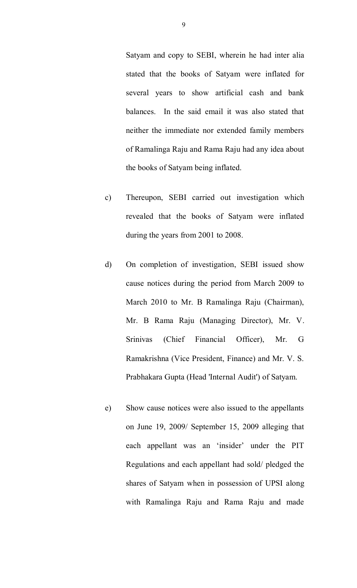Satyam and copy to SEBI, wherein he had inter alia stated that the books of Satyam were inflated for several years to show artificial cash and bank balances. In the said email it was also stated that neither the immediate nor extended family members of Ramalinga Raju and Rama Raju had any idea about the books of Satyam being inflated.

- c) Thereupon, SEBI carried out investigation which revealed that the books of Satyam were inflated during the years from 2001 to 2008.
- d) On completion of investigation, SEBI issued show cause notices during the period from March 2009 to March 2010 to Mr. B Ramalinga Raju (Chairman), Mr. B Rama Raju (Managing Director), Mr. V. Srinivas (Chief Financial Officer), Mr. G Ramakrishna (Vice President, Finance) and Mr. V. S. Prabhakara Gupta (Head 'Internal Audit') of Satyam.
- e) Show cause notices were also issued to the appellants on June 19, 2009/ September 15, 2009 alleging that each appellant was an 'insider' under the PIT Regulations and each appellant had sold/ pledged the shares of Satyam when in possession of UPSI along with Ramalinga Raju and Rama Raju and made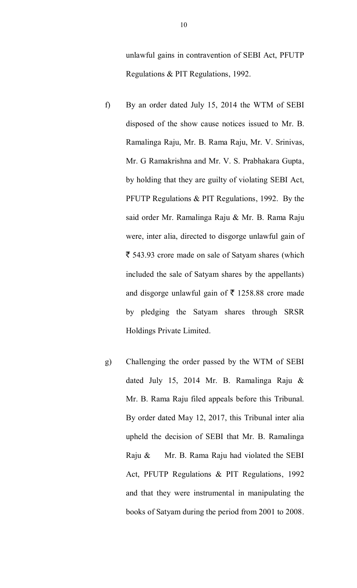unlawful gains in contravention of SEBI Act, PFUTP Regulations & PIT Regulations, 1992.

- f) By an order dated July 15, 2014 the WTM of SEBI disposed of the show cause notices issued to Mr. B. Ramalinga Raju, Mr. B. Rama Raju, Mr. V. Srinivas, Mr. G Ramakrishna and Mr. V. S. Prabhakara Gupta, by holding that they are guilty of violating SEBI Act, PFUTP Regulations & PIT Regulations, 1992. By the said order Mr. Ramalinga Raju & Mr. B. Rama Raju were, inter alia, directed to disgorge unlawful gain of  $\bar{\tau}$  543.93 crore made on sale of Satyam shares (which included the sale of Satyam shares by the appellants) and disgorge unlawful gain of  $\bar{\tau}$  1258.88 crore made by pledging the Satyam shares through SRSR Holdings Private Limited.
- g) Challenging the order passed by the WTM of SEBI dated July 15, 2014 Mr. B. Ramalinga Raju & Mr. B. Rama Raju filed appeals before this Tribunal. By order dated May 12, 2017, this Tribunal inter alia upheld the decision of SEBI that Mr. B. Ramalinga Raju & Mr. B. Rama Raju had violated the SEBI Act, PFUTP Regulations & PIT Regulations, 1992 and that they were instrumental in manipulating the books of Satyam during the period from 2001 to 2008.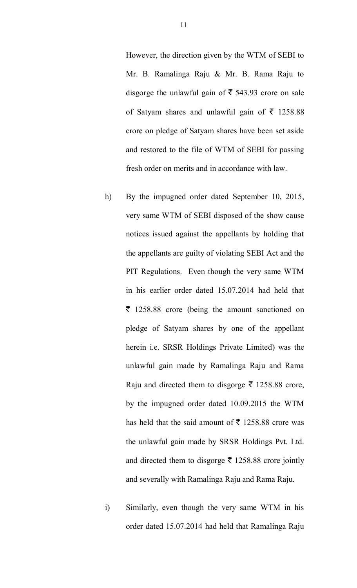However, the direction given by the WTM of SEBI to Mr. B. Ramalinga Raju & Mr. B. Rama Raju to disgorge the unlawful gain of  $\bar{\tau}$  543.93 crore on sale of Satyam shares and unlawful gain of  $\bar{\tau}$  1258.88 crore on pledge of Satyam shares have been set aside and restored to the file of WTM of SEBI for passing fresh order on merits and in accordance with law.

- h) By the impugned order dated September 10, 2015, very same WTM of SEBI disposed of the show cause notices issued against the appellants by holding that the appellants are guilty of violating SEBI Act and the PIT Regulations. Even though the very same WTM in his earlier order dated 15.07.2014 had held that  $\bar{\tau}$  1258.88 crore (being the amount sanctioned on pledge of Satyam shares by one of the appellant herein i.e. SRSR Holdings Private Limited) was the unlawful gain made by Ramalinga Raju and Rama Raju and directed them to disgorge  $\bar{\tau}$  1258.88 crore, by the impugned order dated 10.09.2015 the WTM has held that the said amount of  $\bar{\bar{\xi}}$  1258.88 crore was the unlawful gain made by SRSR Holdings Pvt. Ltd. and directed them to disgorge  $\bar{\tau}$  1258.88 crore jointly and severally with Ramalinga Raju and Rama Raju.
- i) Similarly, even though the very same WTM in his order dated 15.07.2014 had held that Ramalinga Raju

11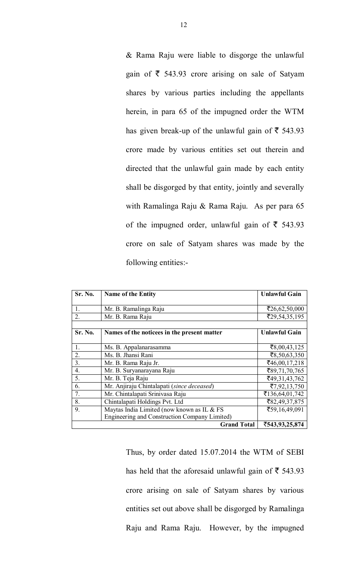& Rama Raju were liable to disgorge the unlawful gain of  $\bar{\tau}$  543.93 crore arising on sale of Satyam shares by various parties including the appellants herein, in para 65 of the impugned order the WTM has given break-up of the unlawful gain of  $\bar{\tau}$  543.93 crore made by various entities set out therein and directed that the unlawful gain made by each entity shall be disgorged by that entity, jointly and severally with Ramalinga Raju & Rama Raju. As per para 65 of the impugned order, unlawful gain of  $\bar{\tau}$  543.93 crore on sale of Satyam shares was made by the following entities:-

| Sr. No.        | Name of the Entity                            | <b>Unlawful Gain</b> |
|----------------|-----------------------------------------------|----------------------|
|                |                                               |                      |
| $\mathbf{1}$ . | Mr. B. Ramalinga Raju                         | ₹26,62,50,000        |
| 2.             | Mr. B. Rama Raju                              | ₹29,54,35,195        |
|                |                                               |                      |
| Sr. No.        | Names of the noticees in the present matter   | <b>Unlawful Gain</b> |
|                |                                               |                      |
| $\mathbf{1}$ . | Ms. B. Appalanarasamma                        | ₹8,00,43,125         |
| 2.             | Ms. B. Jhansi Rani                            | ₹8,50,63,350         |
| 3 <sub>1</sub> | Mr. B. Rama Raju Jr.                          | ₹46,00,17,218        |
| 4.             | Mr. B. Suryanarayana Raju                     | ₹89,71,70,765        |
| 5.             | Mr. B. Teja Raju                              | ₹49,31,43,762        |
| 6.             | Mr. Anjiraju Chintalapati (since deceased)    | ₹7,92,13,750         |
| 7.             | Mr. Chintalapati Srinivasa Raju               | ₹136,64,01,742       |
| 8.             | Chintalapati Holdings Pvt. Ltd                | ₹82,49,37,875        |
| 9.             | Maytas India Limited (now known as IL & FS    | ₹59,16,49,091        |
|                | Engineering and Construction Company Limited) |                      |
|                | ₹543,93,25,874                                |                      |

Thus, by order dated 15.07.2014 the WTM of SEBI has held that the aforesaid unlawful gain of  $\bar{\tau}$  543.93 crore arising on sale of Satyam shares by various entities set out above shall be disgorged by Ramalinga Raju and Rama Raju. However, by the impugned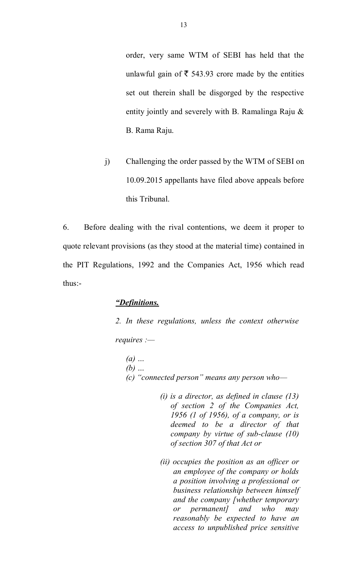order, very same WTM of SEBI has held that the unlawful gain of  $\bar{\tau}$  543.93 crore made by the entities set out therein shall be disgorged by the respective entity jointly and severely with B. Ramalinga Raju & B. Rama Raju.

j) Challenging the order passed by the WTM of SEBI on 10.09.2015 appellants have filed above appeals before this Tribunal.

6. Before dealing with the rival contentions, we deem it proper to quote relevant provisions (as they stood at the material time) contained in the PIT Regulations, 1992 and the Companies Act, 1956 which read thus:-

## *"Definitions.*

*2. In these regulations, unless the context otherwise requires :—*

- *(a) … (b) … (c) "connected person" means any person who—*
	- *(i) is a director, as defined in clause (13) of section 2 of the Companies Act, 1956 (1 of 1956), of a company, or is deemed to be a director of that company by virtue of sub-clause (10) of section 307 of that Act or*
	- *(ii) occupies the position as an officer or an employee of the company or holds a position involving a professional or business relationship between himself and the company [whether temporary or permanent] and who may reasonably be expected to have an access to unpublished price sensitive*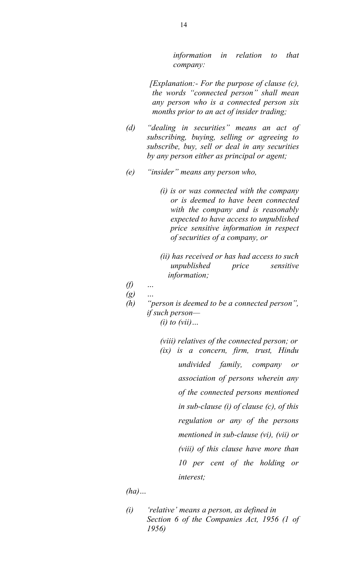*information in relation to that company:* 

*[Explanation:- For the purpose of clause (c), the words "connected person" shall mean any person who is a connected person six months prior to an act of insider trading;* 

- *(d) "dealing in securities" means an act of subscribing, buying, selling or agreeing to subscribe, buy, sell or deal in any securities by any person either as principal or agent;*
- *(e) "insider" means any person who,* 
	- *(i) is or was connected with the company or is deemed to have been connected with the company and is reasonably expected to have access to unpublished price sensitive information in respect of securities of a company, or*
	- *(ii) has received or has had access to such unpublished price sensitive information;*
- *(f) …*
- *(g) …*
- *(h) "person is deemed to be a connected person", if such person— (i) to (vii)…*
	- *(viii) relatives of the connected person; or (ix) is a concern, firm, trust, Hindu undivided family, company or association of persons wherein any of the connected persons mentioned in sub-clause (i) of clause (c), of this regulation or any of the persons mentioned in sub-clause (vi), (vii) or (viii) of this clause have more than 10 per cent of the holding or interest;*

*(ha)…*

*(i) 'relative' means a person, as defined in Section 6 of the Companies Act, 1956 (1 of 1956)*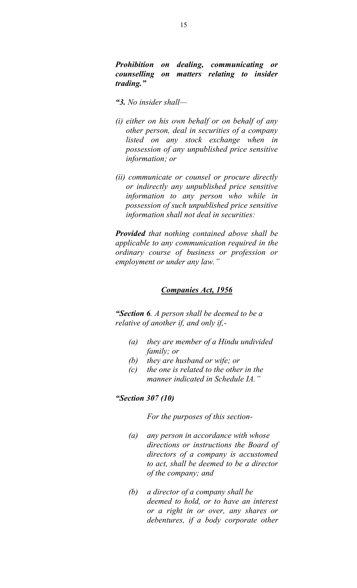*Prohibition on dealing, communicating or counselling on matters relating to insider trading."*

- *"3. No insider shall—*
- *(i) either on his own behalf or on behalf of any other person, deal in securities of a company listed on any stock exchange when in possession of any unpublished price sensitive information; or*
- *(ii) communicate or counsel or procure directly or indirectly any unpublished price sensitive information to any person who while in possession of such unpublished price sensitive information shall not deal in securities:*

*Provided that nothing contained above shall be applicable to any communication required in the ordinary course of business or profession or employment or under any law."*

#### *Companies Act, 1956*

*"Section 6. A person shall be deemed to be a relative of another if, and only if,-*

- *(a) they are member of a Hindu undivided family; or*
- *(b) they are husband or wife; or*
- *(c) the one is related to the other in the manner indicated in Schedule IA."*

#### *"Section 307 (10)*

*For the purposes of this section-*

- *(a) any person in accordance with whose directions or instructions the Board of directors of a company is accustomed to act, shall be deemed to be a director of the company; and*
- *(b) a director of a company shall be deemed to hold, or to have an interest or a right in or over, any shares or debentures, if a body corporate other*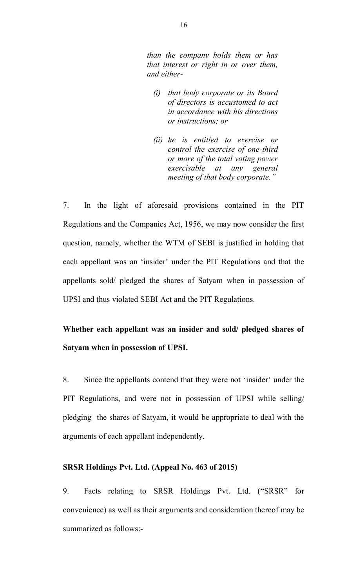*than the company holds them or has that interest or right in or over them, and either-*

- *(i) that body corporate or its Board of directors is accustomed to act in accordance with his directions or instructions; or*
- *(ii) he is entitled to exercise or control the exercise of one-third or more of the total voting power exercisable at any general meeting of that body corporate."*

7. In the light of aforesaid provisions contained in the PIT Regulations and the Companies Act, 1956, we may now consider the first question, namely, whether the WTM of SEBI is justified in holding that each appellant was an 'insider' under the PIT Regulations and that the appellants sold/ pledged the shares of Satyam when in possession of UPSI and thus violated SEBI Act and the PIT Regulations.

# **Whether each appellant was an insider and sold/ pledged shares of Satyam when in possession of UPSI.**

8. Since the appellants contend that they were not 'insider' under the PIT Regulations, and were not in possession of UPSI while selling/ pledging the shares of Satyam, it would be appropriate to deal with the arguments of each appellant independently.

## **SRSR Holdings Pvt. Ltd. (Appeal No. 463 of 2015)**

9. Facts relating to SRSR Holdings Pvt. Ltd. ("SRSR" for convenience) as well as their arguments and consideration thereof may be summarized as follows:-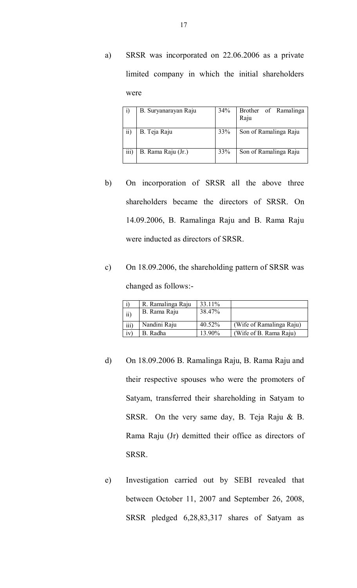a) SRSR was incorporated on 22.06.2006 as a private limited company in which the initial shareholders were

| 1)                      | B. Suryanarayan Raju | 34% | Brother of Ramalinga<br>Raju |
|-------------------------|----------------------|-----|------------------------------|
| $\overline{ii}$         | B. Teja Raju         | 33% | Son of Ramalinga Raju        |
| $\overline{\text{iii}}$ | B. Rama Raju (Jr.)   | 33% | Son of Ramalinga Raju        |

- b) On incorporation of SRSR all the above three shareholders became the directors of SRSR. On 14.09.2006, B. Ramalinga Raju and B. Rama Raju were inducted as directors of SRSR.
- c) On 18.09.2006, the shareholding pattern of SRSR was changed as follows:-

|                  | R. Ramalinga Raju | 33.11% |                          |
|------------------|-------------------|--------|--------------------------|
| $\overline{ii}$  | B. Rama Raju      | 38.47% |                          |
| $\overline{iii}$ | Nandini Raju      | 40.52% | (Wife of Ramalinga Raju) |
| iv               | B. Radha          | 13.90% | (Wife of B. Rama Raju)   |

- d) On 18.09.2006 B. Ramalinga Raju, B. Rama Raju and their respective spouses who were the promoters of Satyam, transferred their shareholding in Satyam to SRSR. On the very same day, B. Teja Raju & B. Rama Raju (Jr) demitted their office as directors of SRSR.
- e) Investigation carried out by SEBI revealed that between October 11, 2007 and September 26, 2008, SRSR pledged 6,28,83,317 shares of Satyam as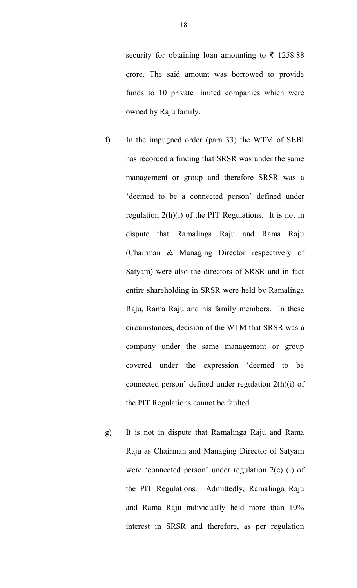security for obtaining loan amounting to  $\bar{\tau}$  1258.88 crore. The said amount was borrowed to provide funds to 10 private limited companies which were owned by Raju family.

- f) In the impugned order (para 33) the WTM of SEBI has recorded a finding that SRSR was under the same management or group and therefore SRSR was a 'deemed to be a connected person' defined under regulation  $2(h)(i)$  of the PIT Regulations. It is not in dispute that Ramalinga Raju and Rama Raju (Chairman & Managing Director respectively of Satyam) were also the directors of SRSR and in fact entire shareholding in SRSR were held by Ramalinga Raju, Rama Raju and his family members. In these circumstances, decision of the WTM that SRSR was a company under the same management or group covered under the expression 'deemed to be connected person' defined under regulation 2(h)(i) of the PIT Regulations cannot be faulted.
- g) It is not in dispute that Ramalinga Raju and Rama Raju as Chairman and Managing Director of Satyam were 'connected person' under regulation 2(c) (i) of the PIT Regulations. Admittedly, Ramalinga Raju and Rama Raju individually held more than 10% interest in SRSR and therefore, as per regulation

18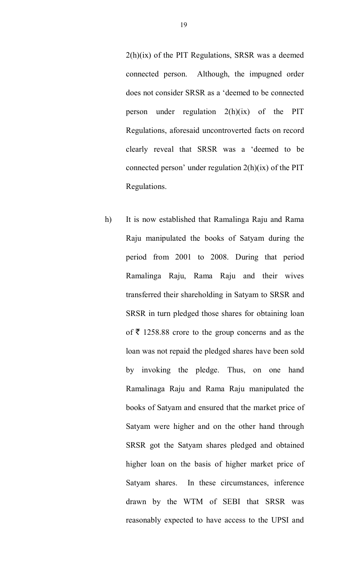$2(h)(ix)$  of the PIT Regulations, SRSR was a deemed connected person. Although, the impugned order does not consider SRSR as a 'deemed to be connected person under regulation 2(h)(ix) of the PIT Regulations, aforesaid uncontroverted facts on record clearly reveal that SRSR was a 'deemed to be connected person' under regulation  $2(h)(ix)$  of the PIT Regulations.

h) It is now established that Ramalinga Raju and Rama Raju manipulated the books of Satyam during the period from 2001 to 2008. During that period Ramalinga Raju, Rama Raju and their wives transferred their shareholding in Satyam to SRSR and SRSR in turn pledged those shares for obtaining loan of  $\bar{\tau}$  1258.88 crore to the group concerns and as the loan was not repaid the pledged shares have been sold by invoking the pledge. Thus, on one hand Ramalinaga Raju and Rama Raju manipulated the books of Satyam and ensured that the market price of Satyam were higher and on the other hand through SRSR got the Satyam shares pledged and obtained higher loan on the basis of higher market price of Satyam shares. In these circumstances, inference drawn by the WTM of SEBI that SRSR was reasonably expected to have access to the UPSI and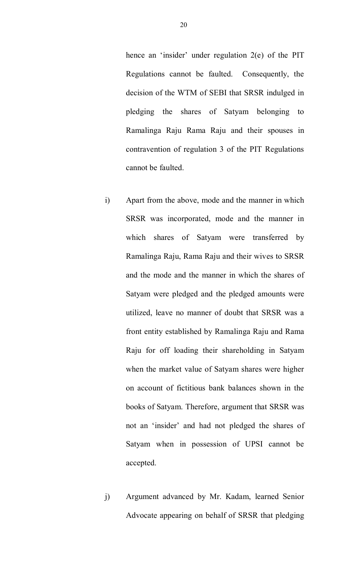hence an 'insider' under regulation 2(e) of the PIT Regulations cannot be faulted. Consequently, the decision of the WTM of SEBI that SRSR indulged in pledging the shares of Satyam belonging to Ramalinga Raju Rama Raju and their spouses in contravention of regulation 3 of the PIT Regulations cannot be faulted.

- i) Apart from the above, mode and the manner in which SRSR was incorporated, mode and the manner in which shares of Satyam were transferred by Ramalinga Raju, Rama Raju and their wives to SRSR and the mode and the manner in which the shares of Satyam were pledged and the pledged amounts were utilized, leave no manner of doubt that SRSR was a front entity established by Ramalinga Raju and Rama Raju for off loading their shareholding in Satyam when the market value of Satyam shares were higher on account of fictitious bank balances shown in the books of Satyam. Therefore, argument that SRSR was not an 'insider' and had not pledged the shares of Satyam when in possession of UPSI cannot be accepted.
- j) Argument advanced by Mr. Kadam, learned Senior Advocate appearing on behalf of SRSR that pledging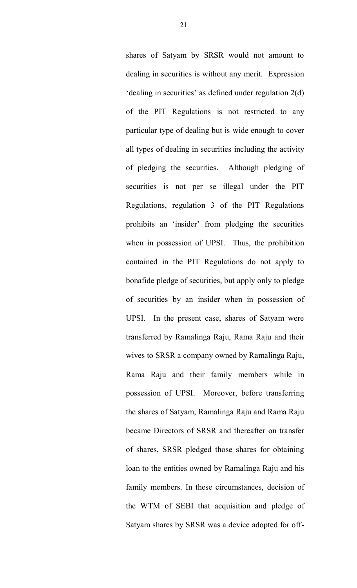shares of Satyam by SRSR would not amount to dealing in securities is without any merit. Expression 'dealing in securities' as defined under regulation 2(d) of the PIT Regulations is not restricted to any particular type of dealing but is wide enough to cover all types of dealing in securities including the activity of pledging the securities. Although pledging of securities is not per se illegal under the PIT Regulations, regulation 3 of the PIT Regulations prohibits an 'insider' from pledging the securities when in possession of UPSI. Thus, the prohibition contained in the PIT Regulations do not apply to bonafide pledge of securities, but apply only to pledge of securities by an insider when in possession of UPSI. In the present case, shares of Satyam were transferred by Ramalinga Raju, Rama Raju and their wives to SRSR a company owned by Ramalinga Raju, Rama Raju and their family members while in possession of UPSI. Moreover, before transferring the shares of Satyam, Ramalinga Raju and Rama Raju became Directors of SRSR and thereafter on transfer of shares, SRSR pledged those shares for obtaining loan to the entities owned by Ramalinga Raju and his family members. In these circumstances, decision of the WTM of SEBI that acquisition and pledge of Satyam shares by SRSR was a device adopted for off-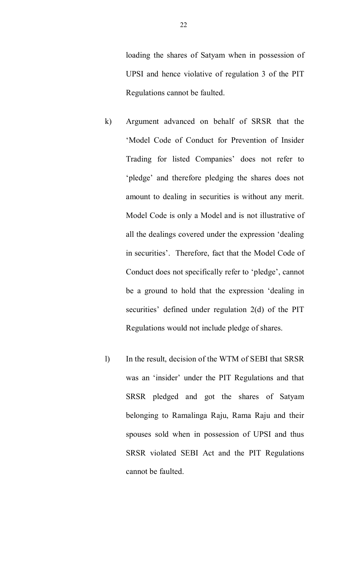loading the shares of Satyam when in possession of UPSI and hence violative of regulation 3 of the PIT Regulations cannot be faulted.

- k) Argument advanced on behalf of SRSR that the 'Model Code of Conduct for Prevention of Insider Trading for listed Companies' does not refer to 'pledge' and therefore pledging the shares does not amount to dealing in securities is without any merit. Model Code is only a Model and is not illustrative of all the dealings covered under the expression 'dealing in securities'. Therefore, fact that the Model Code of Conduct does not specifically refer to 'pledge', cannot be a ground to hold that the expression 'dealing in securities' defined under regulation 2(d) of the PIT Regulations would not include pledge of shares.
- l) In the result, decision of the WTM of SEBI that SRSR was an 'insider' under the PIT Regulations and that SRSR pledged and got the shares of Satyam belonging to Ramalinga Raju, Rama Raju and their spouses sold when in possession of UPSI and thus SRSR violated SEBI Act and the PIT Regulations cannot be faulted.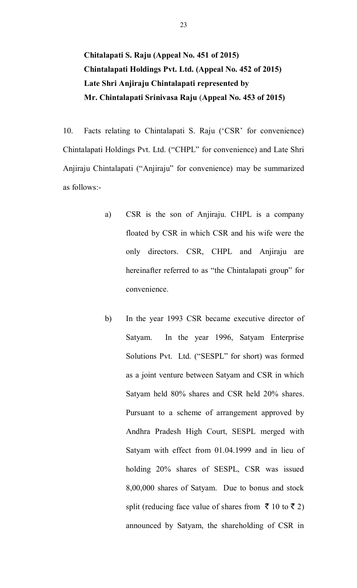**Chitalapati S. Raju (Appeal No. 451 of 2015) Chintalapati Holdings Pvt. Ltd. (Appeal No. 452 of 2015) Late Shri Anjiraju Chintalapati represented by Mr. Chintalapati Srinivasa Raju** (**Appeal No. 453 of 2015)** 

10. Facts relating to Chintalapati S. Raju ('CSR' for convenience) Chintalapati Holdings Pvt. Ltd. ("CHPL" for convenience) and Late Shri Anjiraju Chintalapati ("Anjiraju" for convenience) may be summarized as follows:-

- a) CSR is the son of Anjiraju. CHPL is a company floated by CSR in which CSR and his wife were the only directors. CSR, CHPL and Anjiraju are hereinafter referred to as "the Chintalapati group" for convenience.
- b) In the year 1993 CSR became executive director of Satyam. In the year 1996, Satyam Enterprise Solutions Pvt. Ltd. ("SESPL" for short) was formed as a joint venture between Satyam and CSR in which Satyam held 80% shares and CSR held 20% shares. Pursuant to a scheme of arrangement approved by Andhra Pradesh High Court, SESPL merged with Satyam with effect from 01.04.1999 and in lieu of holding 20% shares of SESPL, CSR was issued 8,00,000 shares of Satyam. Due to bonus and stock split (reducing face value of shares from  $\bar{\tau}$  10 to  $\bar{\tau}$  2) announced by Satyam, the shareholding of CSR in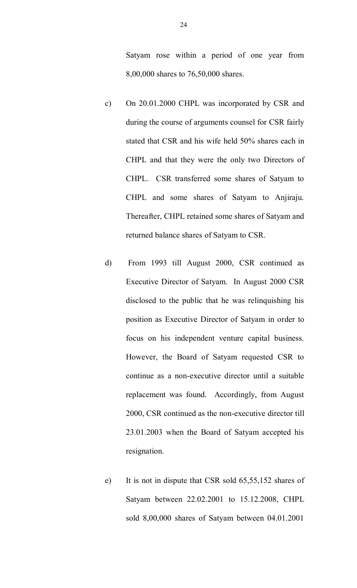Satyam rose within a period of one year from 8,00,000 shares to 76,50,000 shares.

- c) On 20.01.2000 CHPL was incorporated by CSR and during the course of arguments counsel for CSR fairly stated that CSR and his wife held 50% shares each in CHPL and that they were the only two Directors of CHPL. CSR transferred some shares of Satyam to CHPL and some shares of Satyam to Anjiraju. Thereafter, CHPL retained some shares of Satyam and returned balance shares of Satyam to CSR.
- d) From 1993 till August 2000, CSR continued as Executive Director of Satyam. In August 2000 CSR disclosed to the public that he was relinquishing his position as Executive Director of Satyam in order to focus on his independent venture capital business. However, the Board of Satyam requested CSR to continue as a non-executive director until a suitable replacement was found. Accordingly, from August 2000, CSR continued as the non-executive director till 23.01.2003 when the Board of Satyam accepted his resignation.
- e) It is not in dispute that CSR sold 65,55,152 shares of Satyam between 22.02.2001 to 15.12.2008, CHPL sold 8,00,000 shares of Satyam between 04.01.2001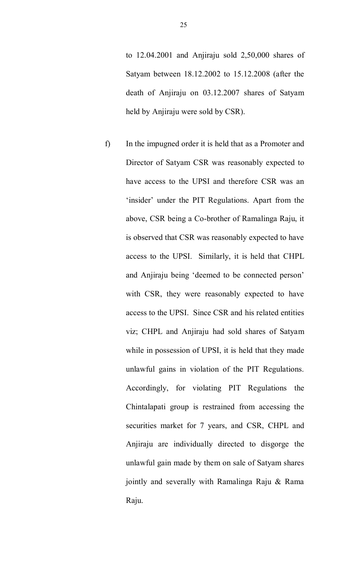to 12.04.2001 and Anjiraju sold 2,50,000 shares of Satyam between 18.12.2002 to 15.12.2008 (after the death of Anjiraju on 03.12.2007 shares of Satyam held by Anjiraju were sold by CSR).

f) In the impugned order it is held that as a Promoter and Director of Satyam CSR was reasonably expected to have access to the UPSI and therefore CSR was an 'insider' under the PIT Regulations. Apart from the above, CSR being a Co-brother of Ramalinga Raju, it is observed that CSR was reasonably expected to have access to the UPSI. Similarly, it is held that CHPL and Anjiraju being 'deemed to be connected person' with CSR, they were reasonably expected to have access to the UPSI. Since CSR and his related entities viz; CHPL and Anjiraju had sold shares of Satyam while in possession of UPSI, it is held that they made unlawful gains in violation of the PIT Regulations. Accordingly, for violating PIT Regulations the Chintalapati group is restrained from accessing the securities market for 7 years, and CSR, CHPL and Anjiraju are individually directed to disgorge the unlawful gain made by them on sale of Satyam shares jointly and severally with Ramalinga Raju & Rama Raju.

25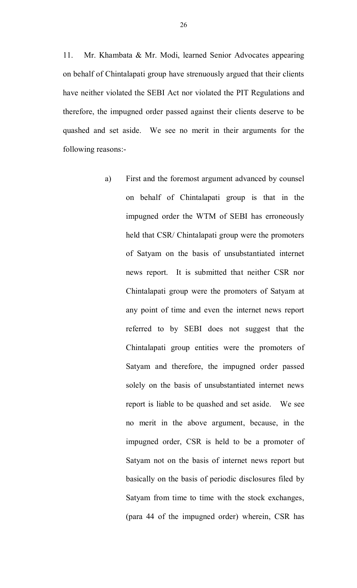11. Mr. Khambata & Mr. Modi, learned Senior Advocates appearing on behalf of Chintalapati group have strenuously argued that their clients have neither violated the SEBI Act nor violated the PIT Regulations and therefore, the impugned order passed against their clients deserve to be quashed and set aside. We see no merit in their arguments for the following reasons:-

> a) First and the foremost argument advanced by counsel on behalf of Chintalapati group is that in the impugned order the WTM of SEBI has erroneously held that CSR/ Chintalapati group were the promoters of Satyam on the basis of unsubstantiated internet news report. It is submitted that neither CSR nor Chintalapati group were the promoters of Satyam at any point of time and even the internet news report referred to by SEBI does not suggest that the Chintalapati group entities were the promoters of Satyam and therefore, the impugned order passed solely on the basis of unsubstantiated internet news report is liable to be quashed and set aside. We see no merit in the above argument, because, in the impugned order, CSR is held to be a promoter of Satyam not on the basis of internet news report but basically on the basis of periodic disclosures filed by Satyam from time to time with the stock exchanges, (para 44 of the impugned order) wherein, CSR has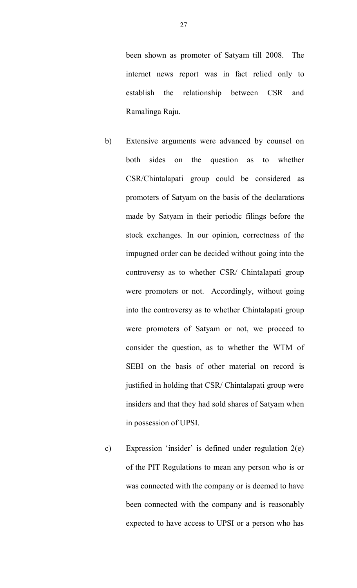been shown as promoter of Satyam till 2008. The internet news report was in fact relied only to establish the relationship between CSR and Ramalinga Raju.

- b) Extensive arguments were advanced by counsel on both sides on the question as to whether CSR/Chintalapati group could be considered as promoters of Satyam on the basis of the declarations made by Satyam in their periodic filings before the stock exchanges. In our opinion, correctness of the impugned order can be decided without going into the controversy as to whether CSR/ Chintalapati group were promoters or not. Accordingly, without going into the controversy as to whether Chintalapati group were promoters of Satyam or not, we proceed to consider the question, as to whether the WTM of SEBI on the basis of other material on record is justified in holding that CSR/ Chintalapati group were insiders and that they had sold shares of Satyam when in possession of UPSI.
- c) Expression 'insider' is defined under regulation 2(e) of the PIT Regulations to mean any person who is or was connected with the company or is deemed to have been connected with the company and is reasonably expected to have access to UPSI or a person who has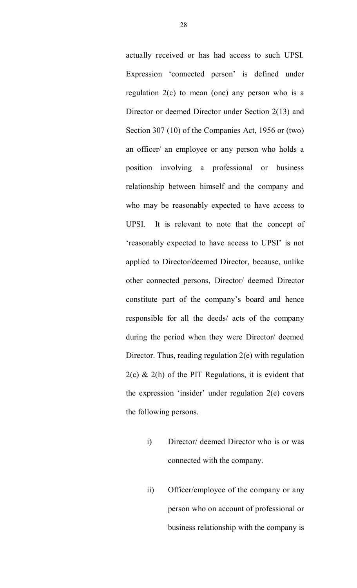actually received or has had access to such UPSI. Expression 'connected person' is defined under regulation  $2(c)$  to mean (one) any person who is a Director or deemed Director under Section 2(13) and Section 307 (10) of the Companies Act, 1956 or (two) an officer/ an employee or any person who holds a position involving a professional or business relationship between himself and the company and who may be reasonably expected to have access to UPSI. It is relevant to note that the concept of 'reasonably expected to have access to UPSI' is not applied to Director/deemed Director, because, unlike other connected persons, Director/ deemed Director constitute part of the company's board and hence responsible for all the deeds/ acts of the company during the period when they were Director/ deemed Director. Thus, reading regulation 2(e) with regulation  $2(c)$  &  $2(h)$  of the PIT Regulations, it is evident that the expression 'insider' under regulation 2(e) covers the following persons.

- i) Director/ deemed Director who is or was connected with the company.
- ii) Officer/employee of the company or any person who on account of professional or business relationship with the company is

28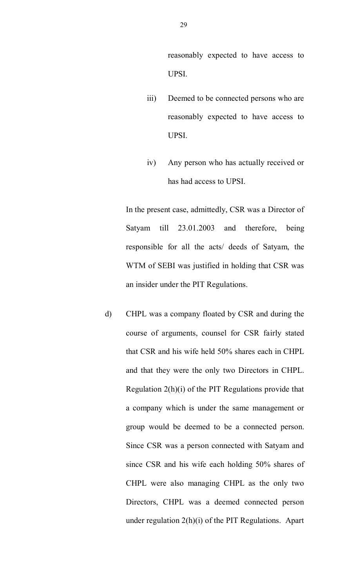reasonably expected to have access to UPSI.

- iii) Deemed to be connected persons who are reasonably expected to have access to UPSI.
- iv) Any person who has actually received or has had access to UPSI.

In the present case, admittedly, CSR was a Director of Satyam till 23.01.2003 and therefore, being responsible for all the acts/ deeds of Satyam, the WTM of SEBI was justified in holding that CSR was an insider under the PIT Regulations.

d) CHPL was a company floated by CSR and during the course of arguments, counsel for CSR fairly stated that CSR and his wife held 50% shares each in CHPL and that they were the only two Directors in CHPL. Regulation 2(h)(i) of the PIT Regulations provide that a company which is under the same management or group would be deemed to be a connected person. Since CSR was a person connected with Satyam and since CSR and his wife each holding 50% shares of CHPL were also managing CHPL as the only two Directors, CHPL was a deemed connected person under regulation 2(h)(i) of the PIT Regulations. Apart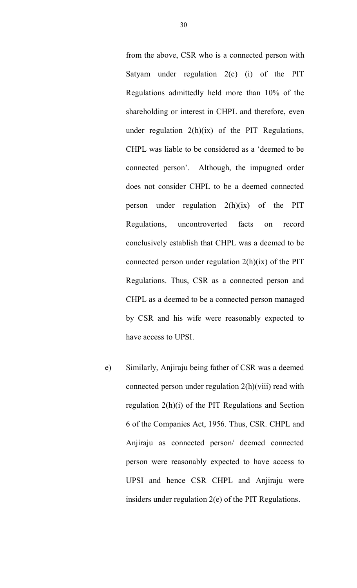from the above, CSR who is a connected person with Satyam under regulation 2(c) (i) of the PIT Regulations admittedly held more than 10% of the shareholding or interest in CHPL and therefore, even under regulation  $2(h)(ix)$  of the PIT Regulations, CHPL was liable to be considered as a 'deemed to be connected person'. Although, the impugned order does not consider CHPL to be a deemed connected person under regulation 2(h)(ix) of the PIT Regulations, uncontroverted facts on record conclusively establish that CHPL was a deemed to be connected person under regulation  $2(h)(ix)$  of the PIT Regulations. Thus, CSR as a connected person and CHPL as a deemed to be a connected person managed by CSR and his wife were reasonably expected to have access to UPSI.

e) Similarly, Anjiraju being father of CSR was a deemed connected person under regulation 2(h)(viii) read with regulation 2(h)(i) of the PIT Regulations and Section 6 of the Companies Act, 1956. Thus, CSR. CHPL and Anjiraju as connected person/ deemed connected person were reasonably expected to have access to UPSI and hence CSR CHPL and Anjiraju were insiders under regulation 2(e) of the PIT Regulations.

30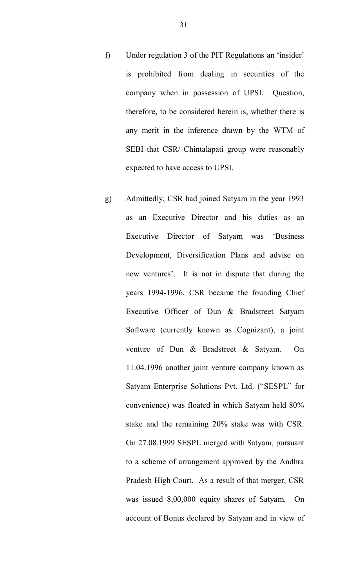- f) Under regulation 3 of the PIT Regulations an 'insider' is prohibited from dealing in securities of the company when in possession of UPSI. Question, therefore, to be considered herein is, whether there is any merit in the inference drawn by the WTM of SEBI that CSR/ Chintalapati group were reasonably expected to have access to UPSI.
- g) Admittedly, CSR had joined Satyam in the year 1993 as an Executive Director and his duties as an Executive Director of Satyam was 'Business Development, Diversification Plans and advise on new ventures'. It is not in dispute that during the years 1994-1996, CSR became the founding Chief Executive Officer of Dun & Bradstreet Satyam Software (currently known as Cognizant), a joint venture of Dun & Bradstreet & Satyam. On 11.04.1996 another joint venture company known as Satyam Enterprise Solutions Pvt. Ltd. ("SESPL" for convenience) was floated in which Satyam held 80% stake and the remaining 20% stake was with CSR. On 27.08.1999 SESPL merged with Satyam, pursuant to a scheme of arrangement approved by the Andhra Pradesh High Court. As a result of that merger, CSR was issued 8,00,000 equity shares of Satyam. On account of Bonus declared by Satyam and in view of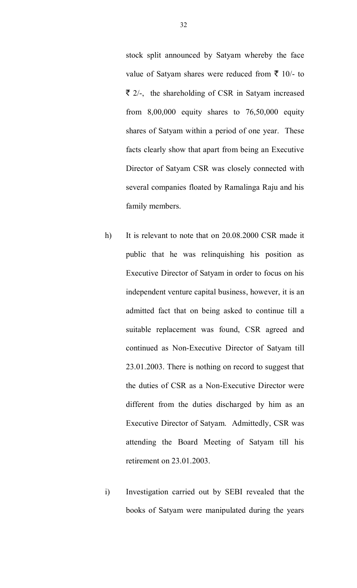stock split announced by Satyam whereby the face value of Satyam shares were reduced from  $\bar{\tau}$  10/- to  $\bar{\tau}$  2/-, the shareholding of CSR in Satyam increased from 8,00,000 equity shares to 76,50,000 equity shares of Satyam within a period of one year. These facts clearly show that apart from being an Executive Director of Satyam CSR was closely connected with several companies floated by Ramalinga Raju and his family members.

- h) It is relevant to note that on 20.08.2000 CSR made it public that he was relinquishing his position as Executive Director of Satyam in order to focus on his independent venture capital business, however, it is an admitted fact that on being asked to continue till a suitable replacement was found, CSR agreed and continued as Non-Executive Director of Satyam till 23.01.2003. There is nothing on record to suggest that the duties of CSR as a Non-Executive Director were different from the duties discharged by him as an Executive Director of Satyam. Admittedly, CSR was attending the Board Meeting of Satyam till his retirement on 23.01.2003.
- i) Investigation carried out by SEBI revealed that the books of Satyam were manipulated during the years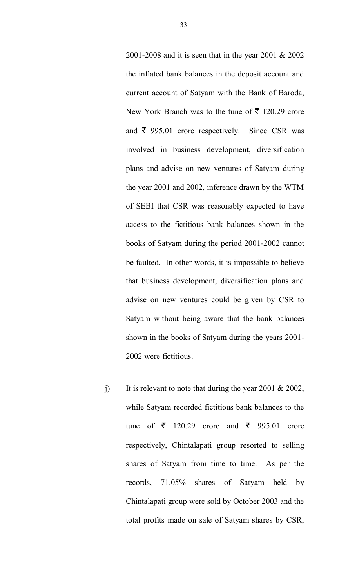2001-2008 and it is seen that in the year 2001 & 2002 the inflated bank balances in the deposit account and current account of Satyam with the Bank of Baroda, New York Branch was to the tune of  $\bar{\mathfrak{F}}$  120.29 crore and  $\bar{\tau}$  995.01 crore respectively. Since CSR was involved in business development, diversification plans and advise on new ventures of Satyam during the year 2001 and 2002, inference drawn by the WTM of SEBI that CSR was reasonably expected to have access to the fictitious bank balances shown in the books of Satyam during the period 2001-2002 cannot be faulted. In other words, it is impossible to believe that business development, diversification plans and advise on new ventures could be given by CSR to Satyam without being aware that the bank balances shown in the books of Satyam during the years 2001- 2002 were fictitious.

j) It is relevant to note that during the year 2001 & 2002, while Satyam recorded fictitious bank balances to the tune of  $\bar{\xi}$  120.29 crore and  $\bar{\xi}$  995.01 crore respectively, Chintalapati group resorted to selling shares of Satyam from time to time. As per the records, 71.05% shares of Satyam held by Chintalapati group were sold by October 2003 and the total profits made on sale of Satyam shares by CSR,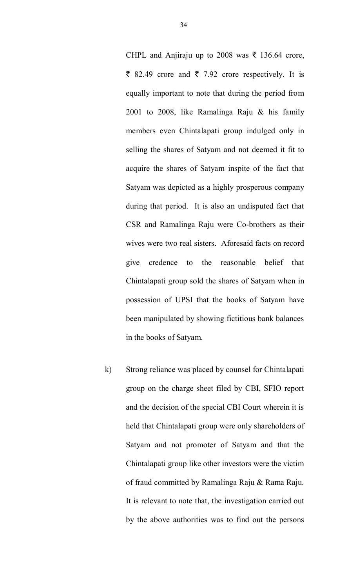CHPL and Anjiraju up to 2008 was  $\bar{\tau}$  136.64 crore,  $\bar{\xi}$  82.49 crore and  $\bar{\xi}$  7.92 crore respectively. It is equally important to note that during the period from 2001 to 2008, like Ramalinga Raju & his family members even Chintalapati group indulged only in selling the shares of Satyam and not deemed it fit to acquire the shares of Satyam inspite of the fact that Satyam was depicted as a highly prosperous company during that period. It is also an undisputed fact that CSR and Ramalinga Raju were Co-brothers as their wives were two real sisters. Aforesaid facts on record give credence to the reasonable belief that Chintalapati group sold the shares of Satyam when in possession of UPSI that the books of Satyam have been manipulated by showing fictitious bank balances in the books of Satyam.

k) Strong reliance was placed by counsel for Chintalapati group on the charge sheet filed by CBI, SFIO report and the decision of the special CBI Court wherein it is held that Chintalapati group were only shareholders of Satyam and not promoter of Satyam and that the Chintalapati group like other investors were the victim of fraud committed by Ramalinga Raju & Rama Raju. It is relevant to note that, the investigation carried out by the above authorities was to find out the persons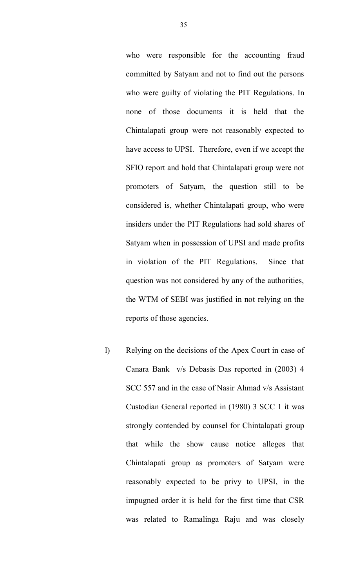who were responsible for the accounting fraud committed by Satyam and not to find out the persons who were guilty of violating the PIT Regulations. In none of those documents it is held that the Chintalapati group were not reasonably expected to have access to UPSI. Therefore, even if we accept the SFIO report and hold that Chintalapati group were not promoters of Satyam, the question still to be considered is, whether Chintalapati group, who were insiders under the PIT Regulations had sold shares of Satyam when in possession of UPSI and made profits in violation of the PIT Regulations. Since that question was not considered by any of the authorities, the WTM of SEBI was justified in not relying on the reports of those agencies.

l) Relying on the decisions of the Apex Court in case of Canara Bank v/s Debasis Das reported in (2003) 4 SCC 557 and in the case of Nasir Ahmad v/s Assistant Custodian General reported in (1980) 3 SCC 1 it was strongly contended by counsel for Chintalapati group that while the show cause notice alleges that Chintalapati group as promoters of Satyam were reasonably expected to be privy to UPSI, in the impugned order it is held for the first time that CSR was related to Ramalinga Raju and was closely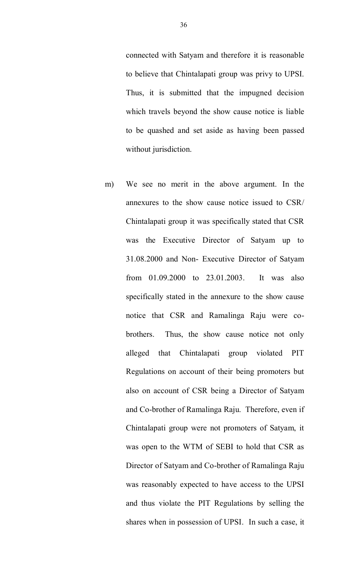connected with Satyam and therefore it is reasonable to believe that Chintalapati group was privy to UPSI. Thus, it is submitted that the impugned decision which travels beyond the show cause notice is liable to be quashed and set aside as having been passed without jurisdiction.

m) We see no merit in the above argument. In the annexures to the show cause notice issued to CSR/ Chintalapati group it was specifically stated that CSR was the Executive Director of Satyam up to 31.08.2000 and Non- Executive Director of Satyam from 01.09.2000 to 23.01.2003. It was also specifically stated in the annexure to the show cause notice that CSR and Ramalinga Raju were cobrothers. Thus, the show cause notice not only alleged that Chintalapati group violated PIT Regulations on account of their being promoters but also on account of CSR being a Director of Satyam and Co-brother of Ramalinga Raju. Therefore, even if Chintalapati group were not promoters of Satyam, it was open to the WTM of SEBI to hold that CSR as Director of Satyam and Co-brother of Ramalinga Raju was reasonably expected to have access to the UPSI and thus violate the PIT Regulations by selling the shares when in possession of UPSI. In such a case, it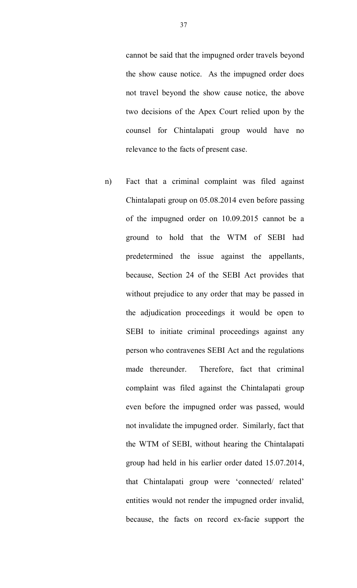cannot be said that the impugned order travels beyond the show cause notice. As the impugned order does not travel beyond the show cause notice, the above two decisions of the Apex Court relied upon by the counsel for Chintalapati group would have no relevance to the facts of present case.

n) Fact that a criminal complaint was filed against Chintalapati group on 05.08.2014 even before passing of the impugned order on 10.09.2015 cannot be a ground to hold that the WTM of SEBI had predetermined the issue against the appellants, because, Section 24 of the SEBI Act provides that without prejudice to any order that may be passed in the adjudication proceedings it would be open to SEBI to initiate criminal proceedings against any person who contravenes SEBI Act and the regulations made thereunder. Therefore, fact that criminal complaint was filed against the Chintalapati group even before the impugned order was passed, would not invalidate the impugned order. Similarly, fact that the WTM of SEBI, without hearing the Chintalapati group had held in his earlier order dated 15.07.2014, that Chintalapati group were 'connected/ related' entities would not render the impugned order invalid, because, the facts on record ex-facie support the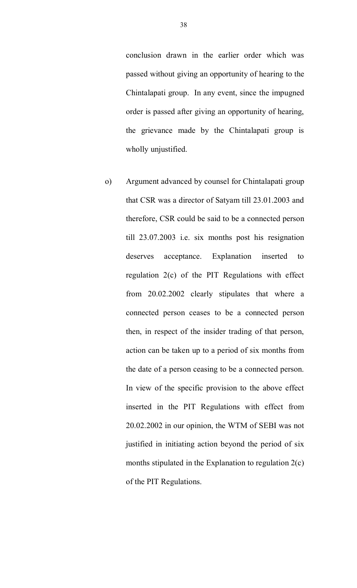conclusion drawn in the earlier order which was passed without giving an opportunity of hearing to the Chintalapati group. In any event, since the impugned order is passed after giving an opportunity of hearing, the grievance made by the Chintalapati group is wholly unjustified.

o) Argument advanced by counsel for Chintalapati group that CSR was a director of Satyam till 23.01.2003 and therefore, CSR could be said to be a connected person till 23.07.2003 i.e. six months post his resignation deserves acceptance. Explanation inserted to regulation 2(c) of the PIT Regulations with effect from 20.02.2002 clearly stipulates that where a connected person ceases to be a connected person then, in respect of the insider trading of that person, action can be taken up to a period of six months from the date of a person ceasing to be a connected person. In view of the specific provision to the above effect inserted in the PIT Regulations with effect from 20.02.2002 in our opinion, the WTM of SEBI was not justified in initiating action beyond the period of six months stipulated in the Explanation to regulation 2(c) of the PIT Regulations.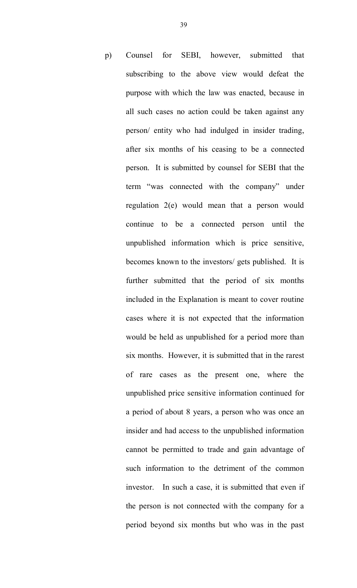p) Counsel for SEBI, however, submitted that subscribing to the above view would defeat the purpose with which the law was enacted, because in all such cases no action could be taken against any person/ entity who had indulged in insider trading, after six months of his ceasing to be a connected person. It is submitted by counsel for SEBI that the term "was connected with the company" under regulation 2(e) would mean that a person would continue to be a connected person until the unpublished information which is price sensitive, becomes known to the investors/ gets published. It is further submitted that the period of six months included in the Explanation is meant to cover routine cases where it is not expected that the information would be held as unpublished for a period more than six months. However, it is submitted that in the rarest of rare cases as the present one, where the unpublished price sensitive information continued for a period of about 8 years, a person who was once an insider and had access to the unpublished information cannot be permitted to trade and gain advantage of such information to the detriment of the common investor. In such a case, it is submitted that even if the person is not connected with the company for a period beyond six months but who was in the past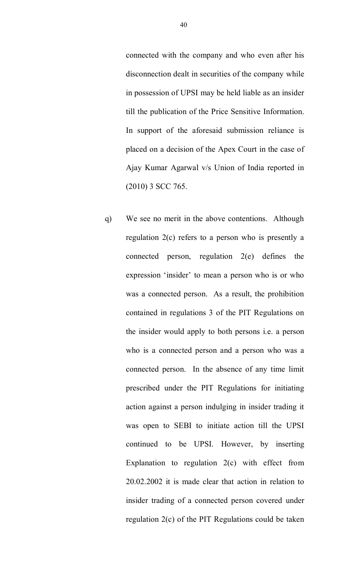connected with the company and who even after his disconnection dealt in securities of the company while in possession of UPSI may be held liable as an insider till the publication of the Price Sensitive Information. In support of the aforesaid submission reliance is placed on a decision of the Apex Court in the case of Ajay Kumar Agarwal v/s Union of India reported in (2010) 3 SCC 765.

q) We see no merit in the above contentions. Although regulation 2(c) refers to a person who is presently a connected person, regulation 2(e) defines the expression 'insider' to mean a person who is or who was a connected person. As a result, the prohibition contained in regulations 3 of the PIT Regulations on the insider would apply to both persons i.e. a person who is a connected person and a person who was a connected person. In the absence of any time limit prescribed under the PIT Regulations for initiating action against a person indulging in insider trading it was open to SEBI to initiate action till the UPSI continued to be UPSI. However, by inserting Explanation to regulation  $2(c)$  with effect from 20.02.2002 it is made clear that action in relation to insider trading of a connected person covered under regulation 2(c) of the PIT Regulations could be taken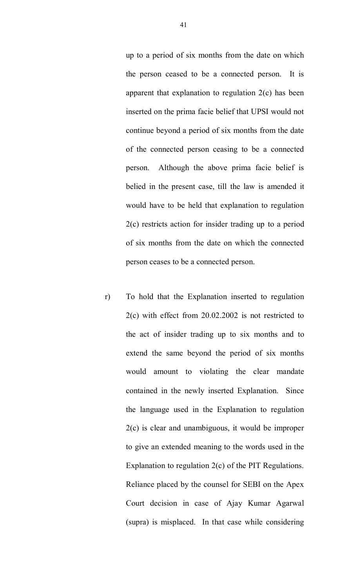up to a period of six months from the date on which the person ceased to be a connected person. It is apparent that explanation to regulation 2(c) has been inserted on the prima facie belief that UPSI would not continue beyond a period of six months from the date of the connected person ceasing to be a connected person. Although the above prima facie belief is belied in the present case, till the law is amended it would have to be held that explanation to regulation 2(c) restricts action for insider trading up to a period of six months from the date on which the connected person ceases to be a connected person.

r) To hold that the Explanation inserted to regulation 2(c) with effect from 20.02.2002 is not restricted to the act of insider trading up to six months and to extend the same beyond the period of six months would amount to violating the clear mandate contained in the newly inserted Explanation. Since the language used in the Explanation to regulation 2(c) is clear and unambiguous, it would be improper to give an extended meaning to the words used in the Explanation to regulation 2(c) of the PIT Regulations. Reliance placed by the counsel for SEBI on the Apex Court decision in case of Ajay Kumar Agarwal (supra) is misplaced. In that case while considering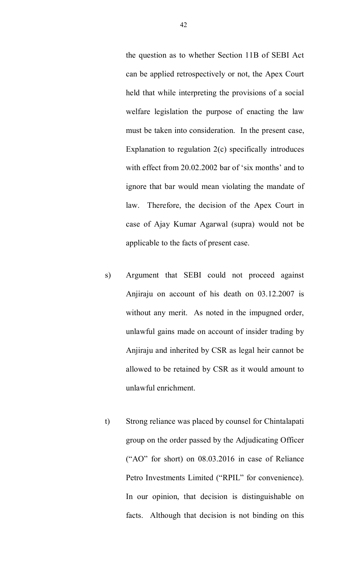the question as to whether Section 11B of SEBI Act can be applied retrospectively or not, the Apex Court held that while interpreting the provisions of a social welfare legislation the purpose of enacting the law must be taken into consideration. In the present case, Explanation to regulation 2(c) specifically introduces with effect from 20.02.2002 bar of 'six months' and to ignore that bar would mean violating the mandate of law. Therefore, the decision of the Apex Court in case of Ajay Kumar Agarwal (supra) would not be applicable to the facts of present case.

- s) Argument that SEBI could not proceed against Anjiraju on account of his death on 03.12.2007 is without any merit. As noted in the impugned order, unlawful gains made on account of insider trading by Anjiraju and inherited by CSR as legal heir cannot be allowed to be retained by CSR as it would amount to unlawful enrichment.
- t) Strong reliance was placed by counsel for Chintalapati group on the order passed by the Adjudicating Officer ("AO" for short) on 08.03.2016 in case of Reliance Petro Investments Limited ("RPIL" for convenience). In our opinion, that decision is distinguishable on facts. Although that decision is not binding on this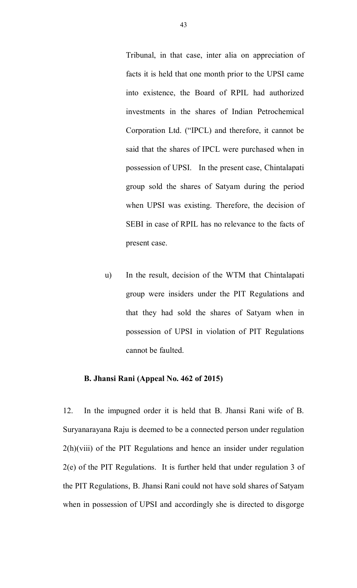Tribunal, in that case, inter alia on appreciation of facts it is held that one month prior to the UPSI came into existence, the Board of RPIL had authorized investments in the shares of Indian Petrochemical Corporation Ltd. ("IPCL) and therefore, it cannot be said that the shares of IPCL were purchased when in possession of UPSI. In the present case, Chintalapati group sold the shares of Satyam during the period when UPSI was existing. Therefore, the decision of SEBI in case of RPIL has no relevance to the facts of present case.

u) In the result, decision of the WTM that Chintalapati group were insiders under the PIT Regulations and that they had sold the shares of Satyam when in possession of UPSI in violation of PIT Regulations cannot be faulted.

## **B. Jhansi Rani (Appeal No. 462 of 2015)**

12. In the impugned order it is held that B. Jhansi Rani wife of B. Suryanarayana Raju is deemed to be a connected person under regulation 2(h)(viii) of the PIT Regulations and hence an insider under regulation 2(e) of the PIT Regulations. It is further held that under regulation 3 of the PIT Regulations, B. Jhansi Rani could not have sold shares of Satyam when in possession of UPSI and accordingly she is directed to disgorge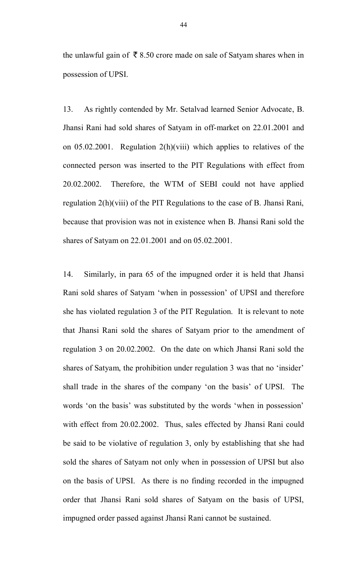the unlawful gain of  $\bar{\bar{\xi}}$  8.50 crore made on sale of Satyam shares when in possession of UPSI.

13. As rightly contended by Mr. Setalvad learned Senior Advocate, B. Jhansi Rani had sold shares of Satyam in off-market on 22.01.2001 and on 05.02.2001. Regulation 2(h)(viii) which applies to relatives of the connected person was inserted to the PIT Regulations with effect from 20.02.2002. Therefore, the WTM of SEBI could not have applied regulation 2(h)(viii) of the PIT Regulations to the case of B. Jhansi Rani, because that provision was not in existence when B. Jhansi Rani sold the shares of Satyam on 22.01.2001 and on 05.02.2001.

14. Similarly, in para 65 of the impugned order it is held that Jhansi Rani sold shares of Satyam 'when in possession' of UPSI and therefore she has violated regulation 3 of the PIT Regulation. It is relevant to note that Jhansi Rani sold the shares of Satyam prior to the amendment of regulation 3 on 20.02.2002. On the date on which Jhansi Rani sold the shares of Satyam, the prohibition under regulation 3 was that no 'insider' shall trade in the shares of the company 'on the basis' of UPSI. The words 'on the basis' was substituted by the words 'when in possession' with effect from 20.02.2002. Thus, sales effected by Jhansi Rani could be said to be violative of regulation 3, only by establishing that she had sold the shares of Satyam not only when in possession of UPSI but also on the basis of UPSI. As there is no finding recorded in the impugned order that Jhansi Rani sold shares of Satyam on the basis of UPSI, impugned order passed against Jhansi Rani cannot be sustained.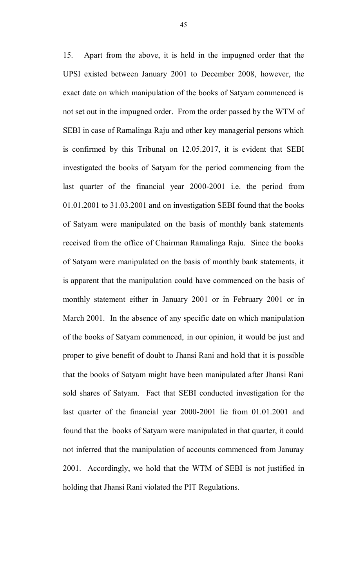15. Apart from the above, it is held in the impugned order that the UPSI existed between January 2001 to December 2008, however, the exact date on which manipulation of the books of Satyam commenced is not set out in the impugned order. From the order passed by the WTM of SEBI in case of Ramalinga Raju and other key managerial persons which is confirmed by this Tribunal on 12.05.2017, it is evident that SEBI investigated the books of Satyam for the period commencing from the last quarter of the financial year 2000-2001 i.e. the period from 01.01.2001 to 31.03.2001 and on investigation SEBI found that the books of Satyam were manipulated on the basis of monthly bank statements received from the office of Chairman Ramalinga Raju. Since the books of Satyam were manipulated on the basis of monthly bank statements, it is apparent that the manipulation could have commenced on the basis of monthly statement either in January 2001 or in February 2001 or in March 2001. In the absence of any specific date on which manipulation of the books of Satyam commenced, in our opinion, it would be just and proper to give benefit of doubt to Jhansi Rani and hold that it is possible that the books of Satyam might have been manipulated after Jhansi Rani sold shares of Satyam. Fact that SEBI conducted investigation for the last quarter of the financial year 2000-2001 lie from 01.01.2001 and found that the books of Satyam were manipulated in that quarter, it could not inferred that the manipulation of accounts commenced from Januray 2001. Accordingly, we hold that the WTM of SEBI is not justified in holding that Jhansi Rani violated the PIT Regulations.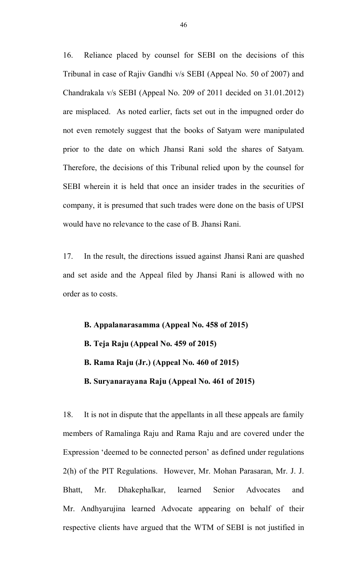16. Reliance placed by counsel for SEBI on the decisions of this Tribunal in case of Rajiv Gandhi v/s SEBI (Appeal No. 50 of 2007) and Chandrakala v/s SEBI (Appeal No. 209 of 2011 decided on 31.01.2012) are misplaced. As noted earlier, facts set out in the impugned order do not even remotely suggest that the books of Satyam were manipulated prior to the date on which Jhansi Rani sold the shares of Satyam. Therefore, the decisions of this Tribunal relied upon by the counsel for SEBI wherein it is held that once an insider trades in the securities of company, it is presumed that such trades were done on the basis of UPSI would have no relevance to the case of B. Jhansi Rani.

17. In the result, the directions issued against Jhansi Rani are quashed and set aside and the Appeal filed by Jhansi Rani is allowed with no order as to costs.

**B. Appalanarasamma (Appeal No. 458 of 2015) B. Teja Raju (Appeal No. 459 of 2015) B. Rama Raju (Jr.) (Appeal No. 460 of 2015) B. Suryanarayana Raju (Appeal No. 461 of 2015)**

18. It is not in dispute that the appellants in all these appeals are family members of Ramalinga Raju and Rama Raju and are covered under the Expression 'deemed to be connected person' as defined under regulations 2(h) of the PIT Regulations. However, Mr. Mohan Parasaran, Mr. J. J. Bhatt, Mr. Dhakephalkar, learned Senior Advocates and Mr. Andhyarujina learned Advocate appearing on behalf of their respective clients have argued that the WTM of SEBI is not justified in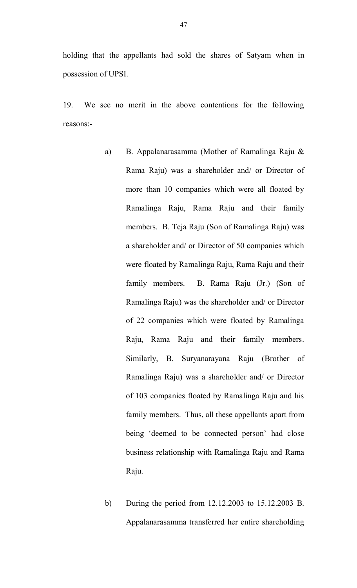holding that the appellants had sold the shares of Satyam when in possession of UPSI.

19. We see no merit in the above contentions for the following reasons:-

- a) B. Appalanarasamma (Mother of Ramalinga Raju & Rama Raju) was a shareholder and/ or Director of more than 10 companies which were all floated by Ramalinga Raju, Rama Raju and their family members. B. Teja Raju (Son of Ramalinga Raju) was a shareholder and/ or Director of 50 companies which were floated by Ramalinga Raju, Rama Raju and their family members. B. Rama Raju (Jr.) (Son of Ramalinga Raju) was the shareholder and/ or Director of 22 companies which were floated by Ramalinga Raju, Rama Raju and their family members. Similarly, B. Suryanarayana Raju (Brother of Ramalinga Raju) was a shareholder and/ or Director of 103 companies floated by Ramalinga Raju and his family members. Thus, all these appellants apart from being 'deemed to be connected person' had close business relationship with Ramalinga Raju and Rama Raju.
- b) During the period from 12.12.2003 to 15.12.2003 B. Appalanarasamma transferred her entire shareholding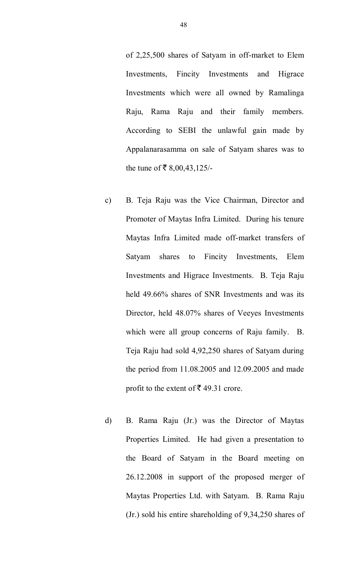of 2,25,500 shares of Satyam in off-market to Elem Investments, Fincity Investments and Higrace Investments which were all owned by Ramalinga Raju, Rama Raju and their family members. According to SEBI the unlawful gain made by Appalanarasamma on sale of Satyam shares was to the tune of  $\bar{\mathbf{z}}$  8,00,43,125/-

- c) B. Teja Raju was the Vice Chairman, Director and Promoter of Maytas Infra Limited. During his tenure Maytas Infra Limited made off-market transfers of Satyam shares to Fincity Investments, Elem Investments and Higrace Investments. B. Teja Raju held 49.66% shares of SNR Investments and was its Director, held 48.07% shares of Veeyes Investments which were all group concerns of Raju family. B. Teja Raju had sold 4,92,250 shares of Satyam during the period from 11.08.2005 and 12.09.2005 and made profit to the extent of  $\bar{\mathfrak{c}}$  49.31 crore.
- d) B. Rama Raju (Jr.) was the Director of Maytas Properties Limited. He had given a presentation to the Board of Satyam in the Board meeting on 26.12.2008 in support of the proposed merger of Maytas Properties Ltd. with Satyam. B. Rama Raju (Jr.) sold his entire shareholding of 9,34,250 shares of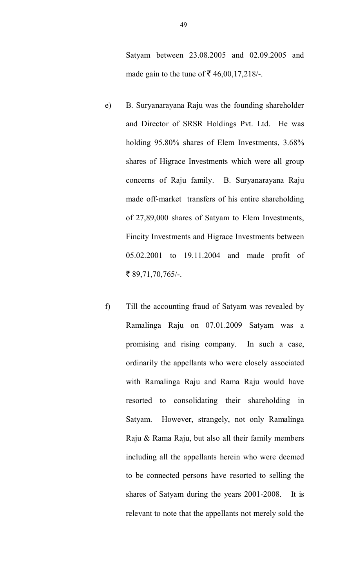Satyam between 23.08.2005 and 02.09.2005 and made gain to the tune of  $\bar{\mathcal{F}}$  46,00,17,218/-.

- e) B. Suryanarayana Raju was the founding shareholder and Director of SRSR Holdings Pvt. Ltd. He was holding 95.80% shares of Elem Investments, 3.68% shares of Higrace Investments which were all group concerns of Raju family. B. Suryanarayana Raju made off-market transfers of his entire shareholding of 27,89,000 shares of Satyam to Elem Investments, Fincity Investments and Higrace Investments between 05.02.2001 to 19.11.2004 and made profit of ₹ 89,71,70,765/-.
- f) Till the accounting fraud of Satyam was revealed by Ramalinga Raju on 07.01.2009 Satyam was a promising and rising company. In such a case, ordinarily the appellants who were closely associated with Ramalinga Raju and Rama Raju would have resorted to consolidating their shareholding in Satyam. However, strangely, not only Ramalinga Raju & Rama Raju, but also all their family members including all the appellants herein who were deemed to be connected persons have resorted to selling the shares of Satyam during the years 2001-2008. It is relevant to note that the appellants not merely sold the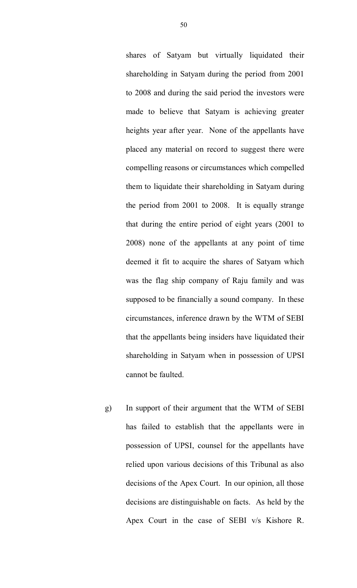shares of Satyam but virtually liquidated their shareholding in Satyam during the period from 2001 to 2008 and during the said period the investors were made to believe that Satyam is achieving greater heights year after year. None of the appellants have placed any material on record to suggest there were compelling reasons or circumstances which compelled them to liquidate their shareholding in Satyam during the period from 2001 to 2008. It is equally strange that during the entire period of eight years (2001 to 2008) none of the appellants at any point of time deemed it fit to acquire the shares of Satyam which was the flag ship company of Raju family and was supposed to be financially a sound company. In these circumstances, inference drawn by the WTM of SEBI that the appellants being insiders have liquidated their shareholding in Satyam when in possession of UPSI cannot be faulted.

g) In support of their argument that the WTM of SEBI has failed to establish that the appellants were in possession of UPSI, counsel for the appellants have relied upon various decisions of this Tribunal as also decisions of the Apex Court. In our opinion, all those decisions are distinguishable on facts. As held by the Apex Court in the case of SEBI v/s Kishore R.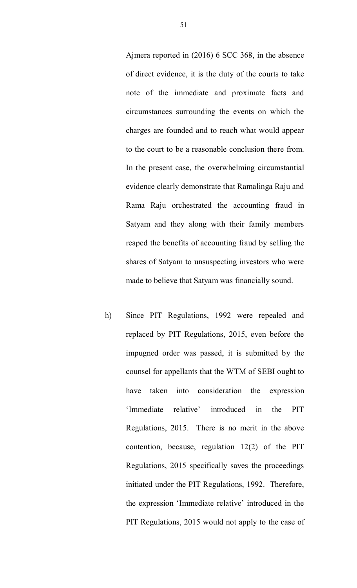Ajmera reported in (2016) 6 SCC 368, in the absence of direct evidence, it is the duty of the courts to take note of the immediate and proximate facts and circumstances surrounding the events on which the charges are founded and to reach what would appear to the court to be a reasonable conclusion there from. In the present case, the overwhelming circumstantial evidence clearly demonstrate that Ramalinga Raju and Rama Raju orchestrated the accounting fraud in Satyam and they along with their family members reaped the benefits of accounting fraud by selling the shares of Satyam to unsuspecting investors who were made to believe that Satyam was financially sound.

h) Since PIT Regulations, 1992 were repealed and replaced by PIT Regulations, 2015, even before the impugned order was passed, it is submitted by the counsel for appellants that the WTM of SEBI ought to have taken into consideration the expression 'Immediate relative' introduced in the PIT Regulations, 2015. There is no merit in the above contention, because, regulation 12(2) of the PIT Regulations, 2015 specifically saves the proceedings initiated under the PIT Regulations, 1992. Therefore, the expression 'Immediate relative' introduced in the PIT Regulations, 2015 would not apply to the case of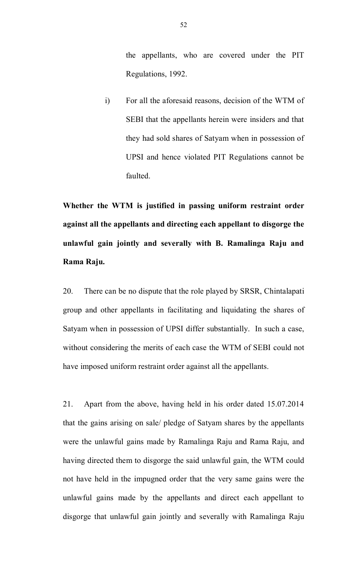the appellants, who are covered under the PIT Regulations, 1992.

i) For all the aforesaid reasons, decision of the WTM of SEBI that the appellants herein were insiders and that they had sold shares of Satyam when in possession of UPSI and hence violated PIT Regulations cannot be faulted.

**Whether the WTM is justified in passing uniform restraint order against all the appellants and directing each appellant to disgorge the unlawful gain jointly and severally with B. Ramalinga Raju and Rama Raju.**

20. There can be no dispute that the role played by SRSR, Chintalapati group and other appellants in facilitating and liquidating the shares of Satyam when in possession of UPSI differ substantially. In such a case, without considering the merits of each case the WTM of SEBI could not have imposed uniform restraint order against all the appellants.

21. Apart from the above, having held in his order dated 15.07.2014 that the gains arising on sale/ pledge of Satyam shares by the appellants were the unlawful gains made by Ramalinga Raju and Rama Raju, and having directed them to disgorge the said unlawful gain, the WTM could not have held in the impugned order that the very same gains were the unlawful gains made by the appellants and direct each appellant to disgorge that unlawful gain jointly and severally with Ramalinga Raju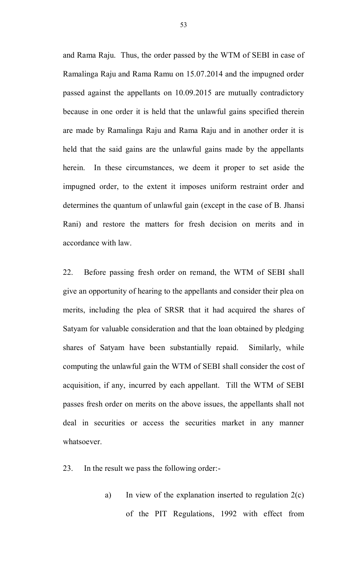and Rama Raju. Thus, the order passed by the WTM of SEBI in case of Ramalinga Raju and Rama Ramu on 15.07.2014 and the impugned order passed against the appellants on 10.09.2015 are mutually contradictory because in one order it is held that the unlawful gains specified therein are made by Ramalinga Raju and Rama Raju and in another order it is held that the said gains are the unlawful gains made by the appellants herein. In these circumstances, we deem it proper to set aside the impugned order, to the extent it imposes uniform restraint order and determines the quantum of unlawful gain (except in the case of B. Jhansi Rani) and restore the matters for fresh decision on merits and in accordance with law.

22. Before passing fresh order on remand, the WTM of SEBI shall give an opportunity of hearing to the appellants and consider their plea on merits, including the plea of SRSR that it had acquired the shares of Satyam for valuable consideration and that the loan obtained by pledging shares of Satyam have been substantially repaid. Similarly, while computing the unlawful gain the WTM of SEBI shall consider the cost of acquisition, if any, incurred by each appellant. Till the WTM of SEBI passes fresh order on merits on the above issues, the appellants shall not deal in securities or access the securities market in any manner whatsoever.

23. In the result we pass the following order:-

a) In view of the explanation inserted to regulation 2(c) of the PIT Regulations, 1992 with effect from

53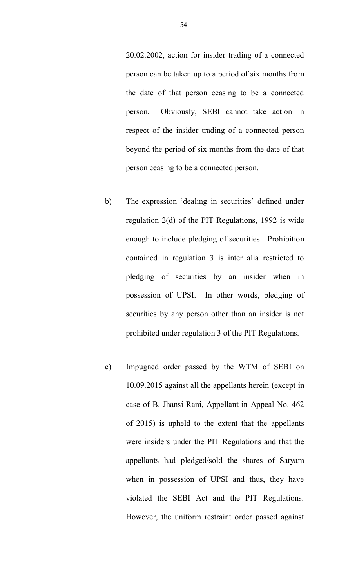20.02.2002, action for insider trading of a connected person can be taken up to a period of six months from the date of that person ceasing to be a connected person. Obviously, SEBI cannot take action in respect of the insider trading of a connected person beyond the period of six months from the date of that person ceasing to be a connected person.

- b) The expression 'dealing in securities' defined under regulation 2(d) of the PIT Regulations, 1992 is wide enough to include pledging of securities. Prohibition contained in regulation 3 is inter alia restricted to pledging of securities by an insider when in possession of UPSI. In other words, pledging of securities by any person other than an insider is not prohibited under regulation 3 of the PIT Regulations.
- c) Impugned order passed by the WTM of SEBI on 10.09.2015 against all the appellants herein (except in case of B. Jhansi Rani, Appellant in Appeal No. 462 of 2015) is upheld to the extent that the appellants were insiders under the PIT Regulations and that the appellants had pledged/sold the shares of Satyam when in possession of UPSI and thus, they have violated the SEBI Act and the PIT Regulations. However, the uniform restraint order passed against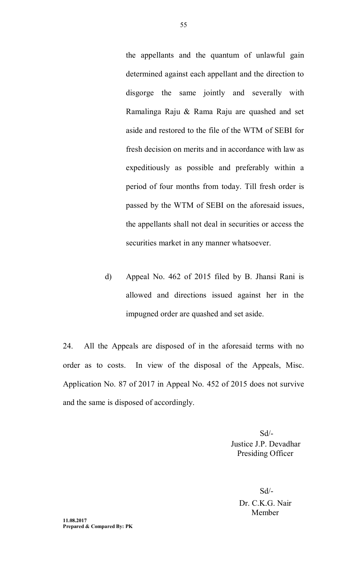the appellants and the quantum of unlawful gain determined against each appellant and the direction to disgorge the same jointly and severally with Ramalinga Raju & Rama Raju are quashed and set aside and restored to the file of the WTM of SEBI for fresh decision on merits and in accordance with law as expeditiously as possible and preferably within a period of four months from today. Till fresh order is passed by the WTM of SEBI on the aforesaid issues, the appellants shall not deal in securities or access the securities market in any manner whatsoever.

d) Appeal No. 462 of 2015 filed by B. Jhansi Rani is allowed and directions issued against her in the impugned order are quashed and set aside.

24. All the Appeals are disposed of in the aforesaid terms with no order as to costs. In view of the disposal of the Appeals, Misc. Application No. 87 of 2017 in Appeal No. 452 of 2015 does not survive and the same is disposed of accordingly.

> Sd/- Justice J.P. Devadhar Presiding Officer

> > Sd/- Dr. C.K.G. Nair Member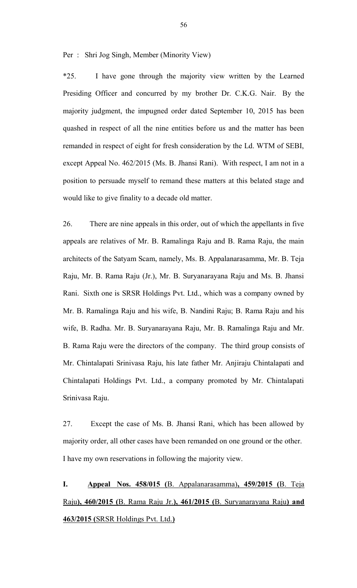Per : Shri Jog Singh, Member (Minority View)

\*25. I have gone through the majority view written by the Learned Presiding Officer and concurred by my brother Dr. C.K.G. Nair. By the majority judgment, the impugned order dated September 10, 2015 has been quashed in respect of all the nine entities before us and the matter has been remanded in respect of eight for fresh consideration by the Ld. WTM of SEBI, except Appeal No. 462/2015 (Ms. B. Jhansi Rani). With respect, I am not in a position to persuade myself to remand these matters at this belated stage and would like to give finality to a decade old matter.

26. There are nine appeals in this order, out of which the appellants in five appeals are relatives of Mr. B. Ramalinga Raju and B. Rama Raju, the main architects of the Satyam Scam, namely, Ms. B. Appalanarasamma, Mr. B. Teja Raju, Mr. B. Rama Raju (Jr.), Mr. B. Suryanarayana Raju and Ms. B. Jhansi Rani. Sixth one is SRSR Holdings Pvt. Ltd., which was a company owned by Mr. B. Ramalinga Raju and his wife, B. Nandini Raju; B. Rama Raju and his wife, B. Radha. Mr. B. Suryanarayana Raju, Mr. B. Ramalinga Raju and Mr. B. Rama Raju were the directors of the company. The third group consists of Mr. Chintalapati Srinivasa Raju, his late father Mr. Anjiraju Chintalapati and Chintalapati Holdings Pvt. Ltd., a company promoted by Mr. Chintalapati Srinivasa Raju.

27. Except the case of Ms. B. Jhansi Rani, which has been allowed by majority order, all other cases have been remanded on one ground or the other. I have my own reservations in following the majority view.

# **I. Appeal Nos. 458/015 (**B. Appalanarasamma)**, 459/2015 (**B. Teja Raju**), 460/2015 (**B. Rama Raju Jr.**), 461/2015 (**B. Suryanarayana Raju**) and 463/2015 (**SRSR Holdings Pvt. Ltd.**)**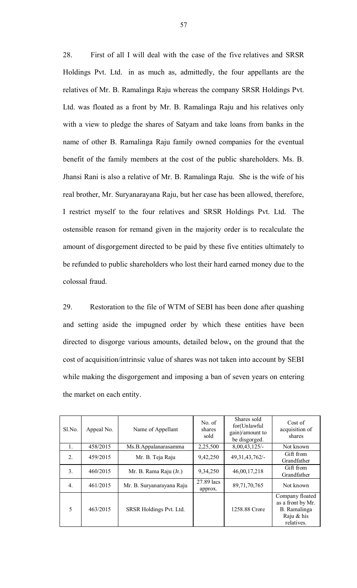28. First of all I will deal with the case of the five relatives and SRSR Holdings Pvt. Ltd. in as much as, admittedly, the four appellants are the relatives of Mr. B. Ramalinga Raju whereas the company SRSR Holdings Pvt. Ltd. was floated as a front by Mr. B. Ramalinga Raju and his relatives only with a view to pledge the shares of Satyam and take loans from banks in the name of other B. Ramalinga Raju family owned companies for the eventual benefit of the family members at the cost of the public shareholders. Ms. B. Jhansi Rani is also a relative of Mr. B. Ramalinga Raju. She is the wife of his real brother, Mr. Suryanarayana Raju, but her case has been allowed, therefore, I restrict myself to the four relatives and SRSR Holdings Pvt. Ltd. The ostensible reason for remand given in the majority order is to recalculate the amount of disgorgement directed to be paid by these five entities ultimately to be refunded to public shareholders who lost their hard earned money due to the colossal fraud.

29. Restoration to the file of WTM of SEBI has been done after quashing and setting aside the impugned order by which these entities have been directed to disgorge various amounts, detailed below**,** on the ground that the cost of acquisition/intrinsic value of shares was not taken into account by SEBI while making the disgorgement and imposing a ban of seven years on entering the market on each entity.

| Sl.No.           | Appeal No. | Name of Appellant         | No. of<br>shares<br>sold | Shares sold<br>for(Unlawful<br>gain)/amount to<br>be disgorged. | Cost of<br>acquisition of<br>shares                                                |
|------------------|------------|---------------------------|--------------------------|-----------------------------------------------------------------|------------------------------------------------------------------------------------|
|                  | 458/2015   | Ms.B.Appalanarasamma      | 2,25,500                 | $8,00,43,125/$ -                                                | Not known                                                                          |
| $\overline{2}$ . | 459/2015   | Mr. B. Teja Raju          | 9,42,250                 | 49, 31, 43, 762/-                                               | Gift from<br>Grandfather                                                           |
| 3.               | 460/2015   | Mr. B. Rama Raju (Jr.)    | 9,34,250                 | 46,00,17,218                                                    | Gift from<br>Grandfather                                                           |
| $\overline{4}$ . | 461/2015   | Mr. B. Suryanarayana Raju | 27.89 lacs<br>approx.    | 89,71,70,765                                                    | Not known                                                                          |
| 5                | 463/2015   | SRSR Holdings Pvt. Ltd.   |                          | 1258.88 Crore                                                   | Company floated<br>as a front by Mr.<br>B. Ramalinga<br>Raju $&$ his<br>relatives. |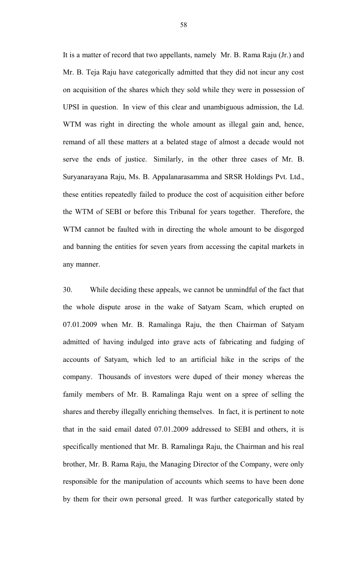It is a matter of record that two appellants, namely Mr. B. Rama Raju (Jr.) and Mr. B. Teja Raju have categorically admitted that they did not incur any cost on acquisition of the shares which they sold while they were in possession of UPSI in question. In view of this clear and unambiguous admission, the Ld. WTM was right in directing the whole amount as illegal gain and, hence, remand of all these matters at a belated stage of almost a decade would not serve the ends of justice. Similarly, in the other three cases of Mr. B. Suryanarayana Raju, Ms. B. Appalanarasamma and SRSR Holdings Pvt. Ltd., these entities repeatedly failed to produce the cost of acquisition either before the WTM of SEBI or before this Tribunal for years together. Therefore, the WTM cannot be faulted with in directing the whole amount to be disgorged and banning the entities for seven years from accessing the capital markets in any manner.

30. While deciding these appeals, we cannot be unmindful of the fact that the whole dispute arose in the wake of Satyam Scam, which erupted on 07.01.2009 when Mr. B. Ramalinga Raju, the then Chairman of Satyam admitted of having indulged into grave acts of fabricating and fudging of accounts of Satyam, which led to an artificial hike in the scrips of the company. Thousands of investors were duped of their money whereas the family members of Mr. B. Ramalinga Raju went on a spree of selling the shares and thereby illegally enriching themselves. In fact, it is pertinent to note that in the said email dated 07.01.2009 addressed to SEBI and others, it is specifically mentioned that Mr. B. Ramalinga Raju, the Chairman and his real brother, Mr. B. Rama Raju, the Managing Director of the Company, were only responsible for the manipulation of accounts which seems to have been done by them for their own personal greed. It was further categorically stated by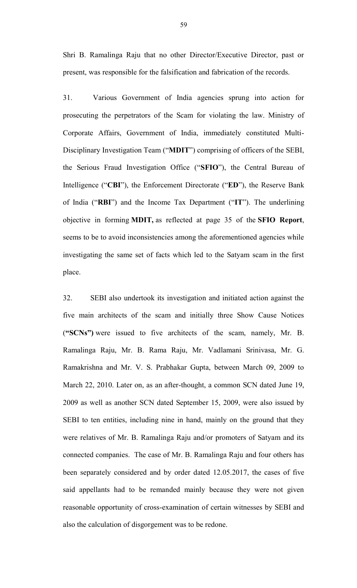Shri B. Ramalinga Raju that no other Director/Executive Director, past or present, was responsible for the falsification and fabrication of the records.

31. Various Government of India agencies sprung into action for prosecuting the perpetrators of the Scam for violating the law. Ministry of Corporate Affairs, Government of India, immediately constituted Multi-Disciplinary Investigation Team ("**MDIT**") comprising of officers of the SEBI, the Serious Fraud Investigation Office ("**SFIO**"), the Central Bureau of Intelligence ("**CBI**"), the Enforcement Directorate ("**ED**"), the Reserve Bank of India ("**RBI**") and the Income Tax Department ("**IT**"). The underlining objective in forming **MDIT,** as reflected at page 35 of the **SFIO Report**, seems to be to avoid inconsistencies among the aforementioned agencies while investigating the same set of facts which led to the Satyam scam in the first place.

32. SEBI also undertook its investigation and initiated action against the five main architects of the scam and initially three Show Cause Notices (**"SCNs")** were issued to five architects of the scam, namely, Mr. B. Ramalinga Raju, Mr. B. Rama Raju, Mr. Vadlamani Srinivasa, Mr. G. Ramakrishna and Mr. V. S. Prabhakar Gupta, between March 09, 2009 to March 22, 2010. Later on, as an after-thought, a common SCN dated June 19, 2009 as well as another SCN dated September 15, 2009, were also issued by SEBI to ten entities, including nine in hand, mainly on the ground that they were relatives of Mr. B. Ramalinga Raju and/or promoters of Satyam and its connected companies. The case of Mr. B. Ramalinga Raju and four others has been separately considered and by order dated 12.05.2017, the cases of five said appellants had to be remanded mainly because they were not given reasonable opportunity of cross-examination of certain witnesses by SEBI and also the calculation of disgorgement was to be redone.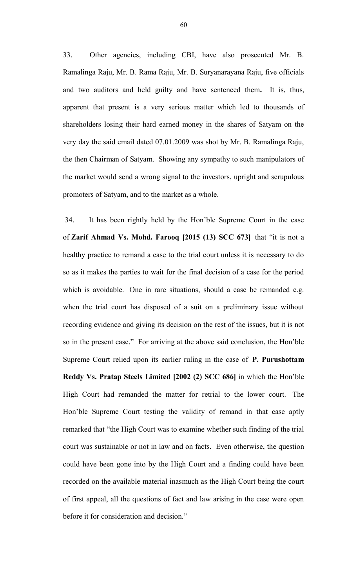33.Other agencies, including CBI, have also prosecuted Mr. B. Ramalinga Raju, Mr. B. Rama Raju, Mr. B. Suryanarayana Raju, five officials and two auditors and held guilty and have sentenced them**.** It is, thus, apparent that present is a very serious matter which led to thousands of shareholders losing their hard earned money in the shares of Satyam on the very day the said email dated 07.01.2009 was shot by Mr. B. Ramalinga Raju, the then Chairman of Satyam. Showing any sympathy to such manipulators of the market would send a wrong signal to the investors, upright and scrupulous promoters of Satyam, and to the market as a whole.

34. It has been rightly held by the Hon'ble Supreme Court in the case of **Zarif Ahmad Vs. Mohd. Farooq [2015 (13) SCC 673]** that "it is not a healthy practice to remand a case to the trial court unless it is necessary to do so as it makes the parties to wait for the final decision of a case for the period which is avoidable. One in rare situations, should a case be remanded e.g. when the trial court has disposed of a suit on a preliminary issue without recording evidence and giving its decision on the rest of the issues, but it is not so in the present case." For arriving at the above said conclusion, the Hon'ble Supreme Court relied upon its earlier ruling in the case of **P. Purushottam Reddy Vs. Pratap Steels Limited [2002 (2) SCC 686]** in which the Hon'ble High Court had remanded the matter for retrial to the lower court. The Hon'ble Supreme Court testing the validity of remand in that case aptly remarked that "the High Court was to examine whether such finding of the trial court was sustainable or not in law and on facts. Even otherwise, the question could have been gone into by the High Court and a finding could have been recorded on the available material inasmuch as the High Court being the court of first appeal, all the questions of fact and law arising in the case were open before it for consideration and decision."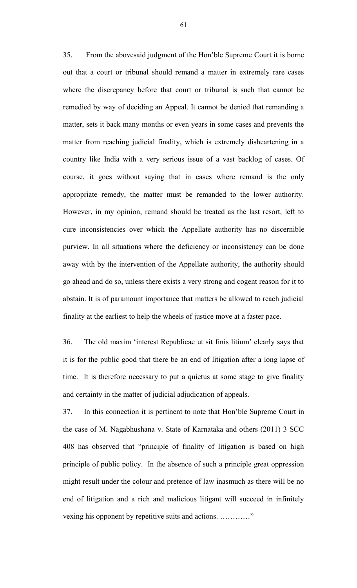35. From the abovesaid judgment of the Hon'ble Supreme Court it is borne out that a court or tribunal should remand a matter in extremely rare cases where the discrepancy before that court or tribunal is such that cannot be remedied by way of deciding an Appeal. It cannot be denied that remanding a matter, sets it back many months or even years in some cases and prevents the matter from reaching judicial finality, which is extremely disheartening in a country like India with a very serious issue of a vast backlog of cases. Of course, it goes without saying that in cases where remand is the only appropriate remedy, the matter must be remanded to the lower authority. However, in my opinion, remand should be treated as the last resort, left to cure inconsistencies over which the Appellate authority has no discernible purview. In all situations where the deficiency or inconsistency can be done away with by the intervention of the Appellate authority, the authority should go ahead and do so, unless there exists a very strong and cogent reason for it to abstain. It is of paramount importance that matters be allowed to reach judicial finality at the earliest to help the wheels of justice move at a faster pace.

36. The old maxim 'interest Republicae ut sit finis litium' clearly says that it is for the public good that there be an end of litigation after a long lapse of time. It is therefore necessary to put a quietus at some stage to give finality and certainty in the matter of judicial adjudication of appeals.

37. In this connection it is pertinent to note that Hon'ble Supreme Court in the case of M. Nagabhushana v. State of Karnataka and others (2011) 3 SCC 408 has observed that "principle of finality of litigation is based on high principle of public policy. In the absence of such a principle great oppression might result under the colour and pretence of law inasmuch as there will be no end of litigation and a rich and malicious litigant will succeed in infinitely vexing his opponent by repetitive suits and actions. …………"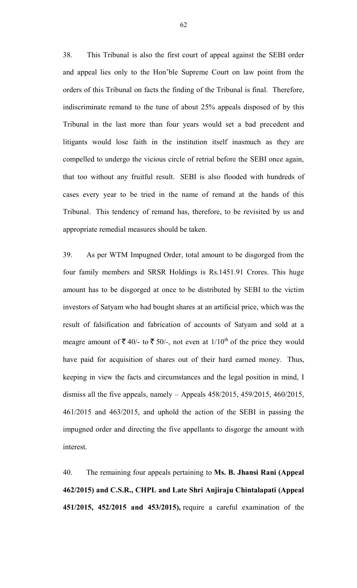38. This Tribunal is also the first court of appeal against the SEBI order and appeal lies only to the Hon'ble Supreme Court on law point from the orders of this Tribunal on facts the finding of the Tribunal is final. Therefore, indiscriminate remand to the tune of about 25% appeals disposed of by this Tribunal in the last more than four years would set a bad precedent and litigants would lose faith in the institution itself inasmuch as they are compelled to undergo the vicious circle of retrial before the SEBI once again, that too without any fruitful result. SEBI is also flooded with hundreds of cases every year to be tried in the name of remand at the hands of this Tribunal. This tendency of remand has, therefore, to be revisited by us and appropriate remedial measures should be taken.

39. As per WTM Impugned Order, total amount to be disgorged from the four family members and SRSR Holdings is Rs.1451.91 Crores. This huge amount has to be disgorged at once to be distributed by SEBI to the victim investors of Satyam who had bought shares at an artificial price, which was the result of falsification and fabrication of accounts of Satyam and sold at a meagre amount of  $\bar{\xi}$  40/- to  $\bar{\xi}$  50/-, not even at 1/10<sup>th</sup> of the price they would have paid for acquisition of shares out of their hard earned money. Thus, keeping in view the facts and circumstances and the legal position in mind, I dismiss all the five appeals, namely – Appeals 458/2015, 459/2015, 460/2015, 461/2015 and 463/2015, and uphold the action of the SEBI in passing the impugned order and directing the five appellants to disgorge the amount with interest.

40. The remaining four appeals pertaining to **Ms. B. Jhansi Rani (Appeal 462/2015) and C.S.R., CHPL and Late Shri Anjiraju Chintalapati (Appeal 451/2015, 452/2015 and 453/2015),** require a careful examination of the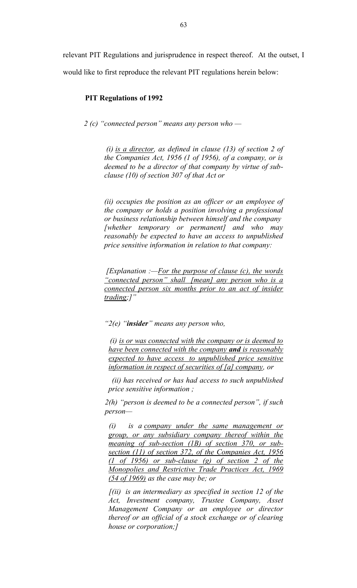relevant PIT Regulations and jurisprudence in respect thereof. At the outset, I

would like to first reproduce the relevant PIT regulations herein below:

### **PIT Regulations of 1992**

*2 (c) "connected person" means any person who —*

*(i) is a director, as defined in clause (13) of section 2 of the Companies Act, 1956 (1 of 1956), of a company, or is deemed to be a director of that company by virtue of subclause (10) of section 307 of that Act or*

*(ii) occupies the position as an officer or an employee of the company or holds a position involving a professional or business relationship between himself and the company [whether temporary or permanent] and who may reasonably be expected to have an access to unpublished price sensitive information in relation to that company:*

*[Explanation :—For the purpose of clause (c), the words "connected person" shall [mean] any person who is a connected person six months prior to an act of insider trading;]"*

*"2(e) "insider" means any person who,*

*(i) is or was connected with the company or is deemed to have been connected with the company and is reasonably expected to have access to unpublished price sensitive information in respect of securities of [a] company, or*

*(ii) has received or has had access to such unpublished price sensitive information ;*

*2(h) "person is deemed to be a connected person", if such person—*

*(i) is a company under the same management or group, or any subsidiary company thereof within the meaning of sub-section (1B) of section 370, or subsection (11) of section 372, of the Companies Act, 1956 (1 of 1956) or sub-clause (g) of section 2 of the Monopolies and Restrictive Trade Practices Act, 1969 (54 of 1969) as the case may be; or*

*[(ii) is an intermediary as specified in section 12 of the Act, Investment company, Trustee Company, Asset Management Company or an employee or director thereof or an official of a stock exchange or of clearing house or corporation;]*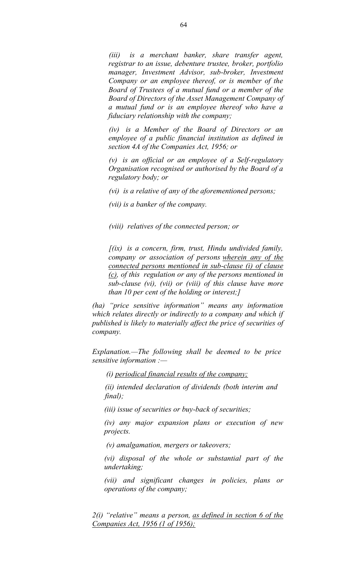*(iii) is a merchant banker, share transfer agent, registrar to an issue, debenture trustee, broker, portfolio manager, Investment Advisor, sub-broker, Investment Company or an employee thereof, or is member of the Board of Trustees of a mutual fund or a member of the Board of Directors of the Asset Management Company of a mutual fund or is an employee thereof who have a fiduciary relationship with the company;*

*(iv) is a Member of the Board of Directors or an employee of a public financial institution as defined in section 4A of the Companies Act, 1956; or*

*(v) is an official or an employee of a Self-regulatory Organisation recognised or authorised by the Board of a regulatory body; or*

*(vi) is a relative of any of the aforementioned persons;*

*(vii) is a banker of the company.*

*(viii) relatives of the connected person; or*

*[(ix) is a concern, firm, trust, Hindu undivided family, company or association of persons wherein any of the connected persons mentioned in sub-clause (i) of clause (c), of this regulation or any of the persons mentioned in sub-clause (vi), (vii) or (viii) of this clause have more than 10 per cent of the holding or interest;]*

*(ha) "price sensitive information" means any information which relates directly or indirectly to a company and which if published is likely to materially affect the price of securities of company.*

*Explanation.—The following shall be deemed to be price sensitive information :—*

*(i) periodical financial results of the company;*

*(ii) intended declaration of dividends (both interim and final);*

*(iii) issue of securities or buy-back of securities;*

*(iv) any major expansion plans or execution of new projects.*

*(v) amalgamation, mergers or takeovers;*

*(vi) disposal of the whole or substantial part of the undertaking;*

*(vii) and significant changes in policies, plans or operations of the company;*

*2(i) "relative" means a person, as defined in section 6 of the Companies Act, 1956 (1 of 1956);*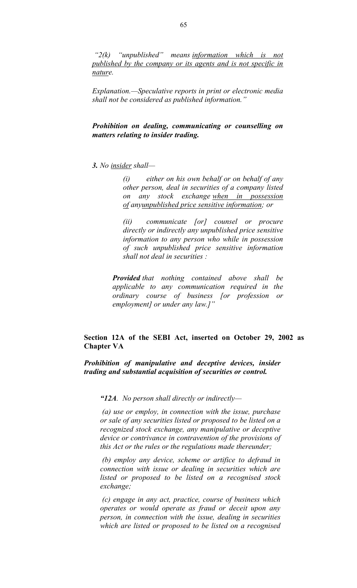*"2(k) "unpublished" means information which is not published by the company or its agents and is not specific in nature.*

*Explanation.—Speculative reports in print or electronic media shall not be considered as published information."*

*Prohibition on dealing, communicating or counselling on matters relating to insider trading.*

### *3. No insider shall—*

*(i) either on his own behalf or on behalf of any other person, deal in securities of a company listed on any stock exchange when in possession of anyunpublished price sensitive information; or*

*(ii) communicate [or] counsel or procure directly or indirectly any unpublished price sensitive information to any person who while in possession of such unpublished price sensitive information shall not deal in securities :*

*Provided that nothing contained above shall be applicable to any communication required in the ordinary course of business [or profession or employment] or under any law.]"*

# **Section 12A of the SEBI Act, inserted on October 29, 2002 as Chapter VA**

*Prohibition of manipulative and deceptive devices, insider trading and substantial acquisition of securities or control.*

*"12A. No person shall directly or indirectly—*

*(a) use or employ, in connection with the issue, purchase or sale of any securities listed or proposed to be listed on a recognized stock exchange, any manipulative or deceptive device or contrivance in contravention of the provisions of this Act or the rules or the regulations made thereunder;*

*(b) employ any device, scheme or artifice to defraud in connection with issue or dealing in securities which are listed or proposed to be listed on a recognised stock exchange;*

*(c) engage in any act, practice, course of business which operates or would operate as fraud or deceit upon any person, in connection with the issue, dealing in securities which are listed or proposed to be listed on a recognised*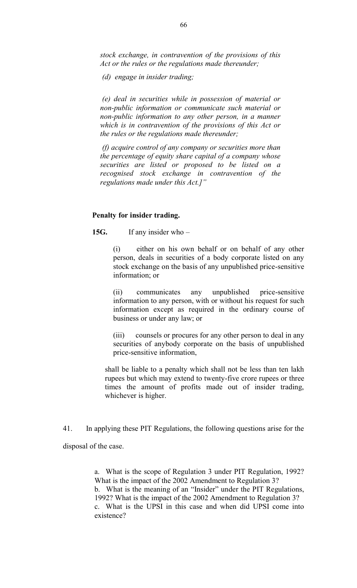*stock exchange, in contravention of the provisions of this Act or the rules or the regulations made thereunder;*

*(d) engage in insider trading;*

*(e) deal in securities while in possession of material or non-public information or communicate such material or non-public information to any other person, in a manner which is in contravention of the provisions of this Act or the rules or the regulations made thereunder;*

*(f) acquire control of any company or securities more than the percentage of equity share capital of a company whose securities are listed or proposed to be listed on a recognised stock exchange in contravention of the regulations made under this Act.]"*

#### **Penalty for insider trading.**

**15G.** If any insider who –

(i) either on his own behalf or on behalf of any other person, deals in securities of a body corporate listed on any stock exchange on the basis of any unpublished price-sensitive information; or

(ii) communicates any unpublished price-sensitive information to any person, with or without his request for such information except as required in the ordinary course of business or under any law; or

(iii) counsels or procures for any other person to deal in any securities of anybody corporate on the basis of unpublished price-sensitive information,

shall be liable to a penalty which shall not be less than ten lakh rupees but which may extend to twenty-five crore rupees or three times the amount of profits made out of insider trading, whichever is higher.

41. In applying these PIT Regulations, the following questions arise for the

disposal of the case.

a. What is the scope of Regulation 3 under PIT Regulation, 1992? What is the impact of the 2002 Amendment to Regulation 3? b. What is the meaning of an "Insider" under the PIT Regulations, 1992? What is the impact of the 2002 Amendment to Regulation 3? c. What is the UPSI in this case and when did UPSI come into existence?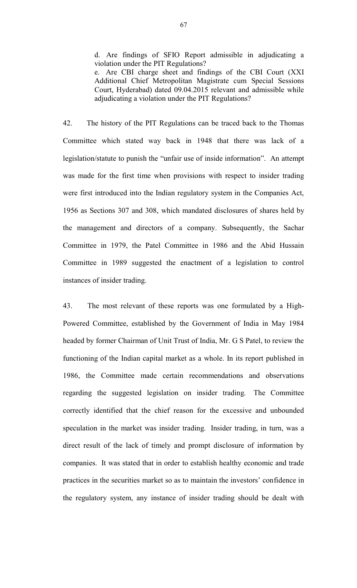d. Are findings of SFIO Report admissible in adjudicating a violation under the PIT Regulations?

e. Are CBI charge sheet and findings of the CBI Court (XXI Additional Chief Metropolitan Magistrate cum Special Sessions Court, Hyderabad) dated 09.04.2015 relevant and admissible while adjudicating a violation under the PIT Regulations?

42. The history of the PIT Regulations can be traced back to the Thomas Committee which stated way back in 1948 that there was lack of a legislation/statute to punish the "unfair use of inside information". An attempt was made for the first time when provisions with respect to insider trading were first introduced into the Indian regulatory system in the Companies Act, 1956 as Sections 307 and 308, which mandated disclosures of shares held by the management and directors of a company. Subsequently, the Sachar Committee in 1979, the Patel Committee in 1986 and the Abid Hussain Committee in 1989 suggested the enactment of a legislation to control instances of insider trading.

43. The most relevant of these reports was one formulated by a High-Powered Committee, established by the Government of India in May 1984 headed by former Chairman of Unit Trust of India, Mr. G S Patel, to review the functioning of the Indian capital market as a whole. In its report published in 1986, the Committee made certain recommendations and observations regarding the suggested legislation on insider trading. The Committee correctly identified that the chief reason for the excessive and unbounded speculation in the market was insider trading. Insider trading, in turn, was a direct result of the lack of timely and prompt disclosure of information by companies. It was stated that in order to establish healthy economic and trade practices in the securities market so as to maintain the investors' confidence in the regulatory system, any instance of insider trading should be dealt with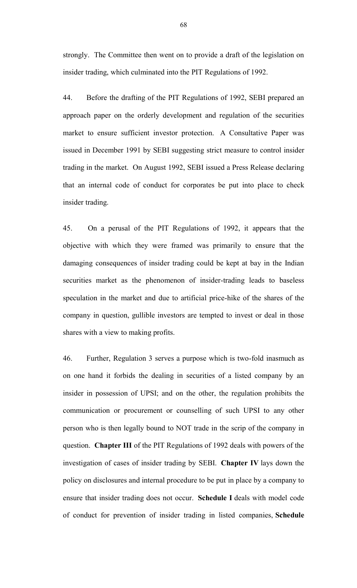strongly. The Committee then went on to provide a draft of the legislation on insider trading, which culminated into the PIT Regulations of 1992.

44. Before the drafting of the PIT Regulations of 1992, SEBI prepared an approach paper on the orderly development and regulation of the securities market to ensure sufficient investor protection. A Consultative Paper was issued in December 1991 by SEBI suggesting strict measure to control insider trading in the market. On August 1992, SEBI issued a Press Release declaring that an internal code of conduct for corporates be put into place to check insider trading.

45. On a perusal of the PIT Regulations of 1992, it appears that the objective with which they were framed was primarily to ensure that the damaging consequences of insider trading could be kept at bay in the Indian securities market as the phenomenon of insider-trading leads to baseless speculation in the market and due to artificial price-hike of the shares of the company in question, gullible investors are tempted to invest or deal in those shares with a view to making profits.

46. Further, Regulation 3 serves a purpose which is two-fold inasmuch as on one hand it forbids the dealing in securities of a listed company by an insider in possession of UPSI; and on the other, the regulation prohibits the communication or procurement or counselling of such UPSI to any other person who is then legally bound to NOT trade in the scrip of the company in question. **Chapter III** of the PIT Regulations of 1992 deals with powers of the investigation of cases of insider trading by SEBI. **Chapter IV** lays down the policy on disclosures and internal procedure to be put in place by a company to ensure that insider trading does not occur. **Schedule I** deals with model code of conduct for prevention of insider trading in listed companies, **Schedule**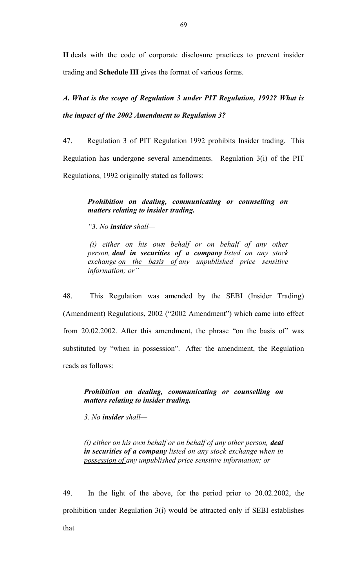**II** deals with the code of corporate disclosure practices to prevent insider trading and **Schedule III** gives the format of various forms.

*A. What is the scope of Regulation 3 under PIT Regulation, 1992? What is the impact of the 2002 Amendment to Regulation 3?*

47. Regulation 3 of PIT Regulation 1992 prohibits Insider trading. This Regulation has undergone several amendments. Regulation 3(i) of the PIT Regulations, 1992 originally stated as follows:

# *Prohibition on dealing, communicating or counselling on matters relating to insider trading.*

*"3. No insider shall—*

*(i) either on his own behalf or on behalf of any other person, deal in securities of a company listed on any stock exchange on the basis of any unpublished price sensitive information; or"*

48. This Regulation was amended by the SEBI (Insider Trading) (Amendment) Regulations, 2002 ("2002 Amendment") which came into effect from 20.02.2002. After this amendment, the phrase "on the basis of" was substituted by "when in possession". After the amendment, the Regulation reads as follows:

*Prohibition on dealing, communicating or counselling on matters relating to insider trading.*

*3. No insider shall—*

*(i) either on his own behalf or on behalf of any other person, deal in securities of a company listed on any stock exchange when in possession of any unpublished price sensitive information; or*

49. In the light of the above, for the period prior to 20.02.2002, the prohibition under Regulation 3(i) would be attracted only if SEBI establishes that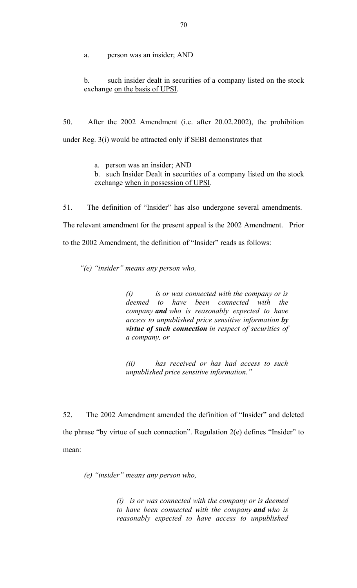a. person was an insider; AND

b. such insider dealt in securities of a company listed on the stock exchange on the basis of UPSI.

50. After the 2002 Amendment (i.e. after 20.02.2002), the prohibition under Reg. 3(i) would be attracted only if SEBI demonstrates that

a. person was an insider; AND

b. such Insider Dealt in securities of a company listed on the stock exchange when in possession of UPSI.

51. The definition of "Insider" has also undergone several amendments. The relevant amendment for the present appeal is the 2002 Amendment. Prior to the 2002 Amendment, the definition of "Insider" reads as follows:

*"(e) "insider" means any person who,*

*(i) is or was connected with the company or is deemed to have been connected with the company and who is reasonably expected to have access to unpublished price sensitive information by virtue of such connection in respect of securities of a company, or*

*(ii) has received or has had access to such unpublished price sensitive information."*

52. The 2002 Amendment amended the definition of "Insider" and deleted the phrase "by virtue of such connection". Regulation 2(e) defines "Insider" to mean:

*(e) "insider" means any person who,*

*(i) is or was connected with the company or is deemed to have been connected with the company and who is reasonably expected to have access to unpublished*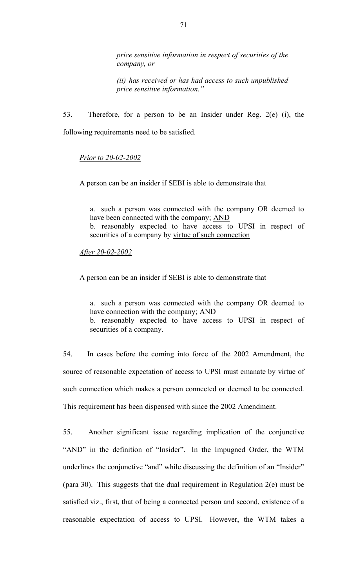*price sensitive information in respect of securities of the company, or*

*(ii) has received or has had access to such unpublished price sensitive information."*

53. Therefore, for a person to be an Insider under Reg. 2(e) (i), the following requirements need to be satisfied.

### *Prior to 20-02-2002*

A person can be an insider if SEBI is able to demonstrate that

a. such a person was connected with the company OR deemed to have been connected with the company; AND

b. reasonably expected to have access to UPSI in respect of securities of a company by virtue of such connection

*After 20-02-2002*

A person can be an insider if SEBI is able to demonstrate that

a. such a person was connected with the company OR deemed to have connection with the company; AND b. reasonably expected to have access to UPSI in respect of securities of a company.

54. In cases before the coming into force of the 2002 Amendment, the source of reasonable expectation of access to UPSI must emanate by virtue of such connection which makes a person connected or deemed to be connected. This requirement has been dispensed with since the 2002 Amendment.

55. Another significant issue regarding implication of the conjunctive "AND" in the definition of "Insider". In the Impugned Order, the WTM underlines the conjunctive "and" while discussing the definition of an "Insider" (para 30). This suggests that the dual requirement in Regulation 2(e) must be satisfied viz., first, that of being a connected person and second, existence of a reasonable expectation of access to UPSI. However, the WTM takes a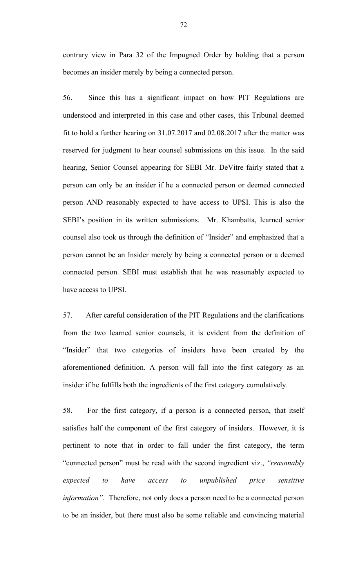contrary view in Para 32 of the Impugned Order by holding that a person becomes an insider merely by being a connected person.

56. Since this has a significant impact on how PIT Regulations are understood and interpreted in this case and other cases, this Tribunal deemed fit to hold a further hearing on 31.07.2017 and 02.08.2017 after the matter was reserved for judgment to hear counsel submissions on this issue. In the said hearing, Senior Counsel appearing for SEBI Mr. DeVitre fairly stated that a person can only be an insider if he a connected person or deemed connected person AND reasonably expected to have access to UPSI. This is also the SEBI's position in its written submissions. Mr. Khambatta, learned senior counsel also took us through the definition of "Insider" and emphasized that a person cannot be an Insider merely by being a connected person or a deemed connected person. SEBI must establish that he was reasonably expected to have access to UPSI.

57. After careful consideration of the PIT Regulations and the clarifications from the two learned senior counsels, it is evident from the definition of "Insider" that two categories of insiders have been created by the aforementioned definition. A person will fall into the first category as an insider if he fulfills both the ingredients of the first category cumulatively.

58. For the first category, if a person is a connected person, that itself satisfies half the component of the first category of insiders. However, it is pertinent to note that in order to fall under the first category, the term "connected person" must be read with the second ingredient viz., *"reasonably expected to have access to unpublished price sensitive information".* Therefore, not only does a person need to be a connected person to be an insider, but there must also be some reliable and convincing material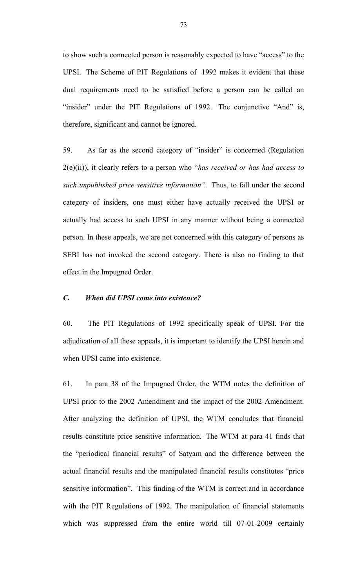to show such a connected person is reasonably expected to have "access" to the UPSI. The Scheme of PIT Regulations of 1992 makes it evident that these dual requirements need to be satisfied before a person can be called an "insider" under the PIT Regulations of 1992. The conjunctive "And" is, therefore, significant and cannot be ignored.

59. As far as the second category of "insider" is concerned (Regulation 2(e)(ii)), it clearly refers to a person who "*has received or has had access to such unpublished price sensitive information".* Thus, to fall under the second category of insiders, one must either have actually received the UPSI or actually had access to such UPSI in any manner without being a connected person. In these appeals, we are not concerned with this category of persons as SEBI has not invoked the second category. There is also no finding to that effect in the Impugned Order.

## *C. When did UPSI come into existence?*

60. The PIT Regulations of 1992 specifically speak of UPSI. For the adjudication of all these appeals, it is important to identify the UPSI herein and when UPSI came into existence.

61. In para 38 of the Impugned Order, the WTM notes the definition of UPSI prior to the 2002 Amendment and the impact of the 2002 Amendment. After analyzing the definition of UPSI, the WTM concludes that financial results constitute price sensitive information. The WTM at para 41 finds that the "periodical financial results" of Satyam and the difference between the actual financial results and the manipulated financial results constitutes "price sensitive information". This finding of the WTM is correct and in accordance with the PIT Regulations of 1992. The manipulation of financial statements which was suppressed from the entire world till 07-01-2009 certainly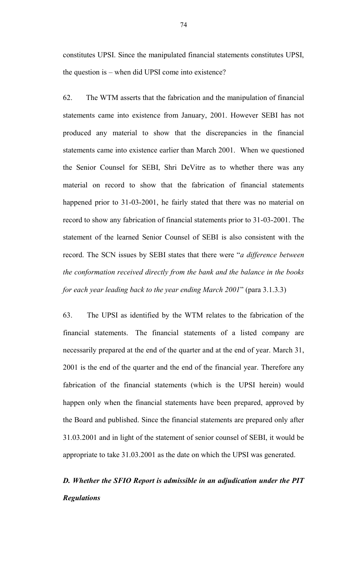constitutes UPSI. Since the manipulated financial statements constitutes UPSI, the question is – when did UPSI come into existence?

62. The WTM asserts that the fabrication and the manipulation of financial statements came into existence from January, 2001. However SEBI has not produced any material to show that the discrepancies in the financial statements came into existence earlier than March 2001. When we questioned the Senior Counsel for SEBI, Shri DeVitre as to whether there was any material on record to show that the fabrication of financial statements happened prior to 31-03-2001, he fairly stated that there was no material on record to show any fabrication of financial statements prior to 31-03-2001. The statement of the learned Senior Counsel of SEBI is also consistent with the record. The SCN issues by SEBI states that there were "*a difference between the conformation received directly from the bank and the balance in the books for each year leading back to the year ending March 2001*" (para 3.1.3.3)

63. The UPSI as identified by the WTM relates to the fabrication of the financial statements. The financial statements of a listed company are necessarily prepared at the end of the quarter and at the end of year. March 31, 2001 is the end of the quarter and the end of the financial year. Therefore any fabrication of the financial statements (which is the UPSI herein) would happen only when the financial statements have been prepared, approved by the Board and published. Since the financial statements are prepared only after 31.03.2001 and in light of the statement of senior counsel of SEBI, it would be appropriate to take 31.03.2001 as the date on which the UPSI was generated.

# *D. Whether the SFIO Report is admissible in an adjudication under the PIT Regulations*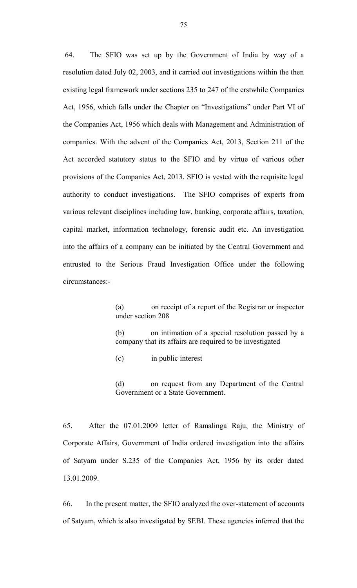64. The SFIO was set up by the Government of India by way of a resolution dated July 02, 2003, and it carried out investigations within the then existing legal framework under sections 235 to 247 of the erstwhile Companies Act, 1956, which falls under the Chapter on "Investigations" under Part VI of the Companies Act, 1956 which deals with Management and Administration of companies. With the advent of the Companies Act, 2013, Section 211 of the Act accorded statutory status to the SFIO and by virtue of various other provisions of the Companies Act, 2013, SFIO is vested with the requisite legal authority to conduct investigations. The SFIO comprises of experts from various relevant disciplines including law, banking, corporate affairs, taxation, capital market, information technology, forensic audit etc. An investigation into the affairs of a company can be initiated by the Central Government and entrusted to the Serious Fraud Investigation Office under the following circumstances:-

> (a) on receipt of a report of the Registrar or inspector under section 208

> (b) on intimation of a special resolution passed by a company that its affairs are required to be investigated

(c) in public interest

(d) on request from any Department of the Central Government or a State Government.

65. After the 07.01.2009 letter of Ramalinga Raju, the Ministry of Corporate Affairs, Government of India ordered investigation into the affairs of Satyam under S.235 of the Companies Act, 1956 by its order dated 13.01.2009.

66. In the present matter, the SFIO analyzed the over-statement of accounts of Satyam, which is also investigated by SEBI. These agencies inferred that the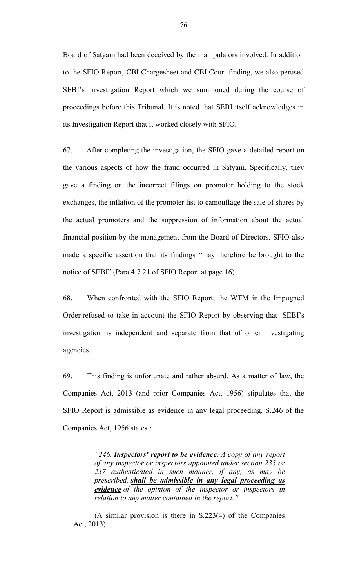Board of Satyam had been deceived by the manipulators involved. In addition to the SFIO Report, CBI Chargesheet and CBI Court finding, we also perused SEBI's Investigation Report which we summoned during the course of proceedings before this Tribunal. It is noted that SEBI itself acknowledges in its Investigation Report that it worked closely with SFIO.

67. After completing the investigation, the SFIO gave a detailed report on the various aspects of how the fraud occurred in Satyam. Specifically, they gave a finding on the incorrect filings on promoter holding to the stock exchanges, the inflation of the promoter list to camouflage the sale of shares by the actual promoters and the suppression of information about the actual financial position by the management from the Board of Directors. SFIO also made a specific assertion that its findings "may therefore be brought to the notice of SEBI" (Para 4.7.21 of SFIO Report at page 16)

68. When confronted with the SFIO Report, the WTM in the Impugned Order refused to take in account the SFIO Report by observing that SEBI's investigation is independent and separate from that of other investigating agencies.

69. This finding is unfortunate and rather absurd. As a matter of law, the Companies Act, 2013 (and prior Companies Act, 1956) stipulates that the SFIO Report is admissible as evidence in any legal proceeding. S.246 of the Companies Act, 1956 states :

> *"246. Inspectors' report to be evidence. A copy of any report of any inspector or inspectors appointed under section 235 or 237 authenticated in such manner, if any, as may be prescribed, shall be admissible in any legal proceeding as evidence of the opinion of the inspector or inspectors in relation to any matter contained in the report."*

(A similar provision is there in S.223(4) of the Companies Act, 2013)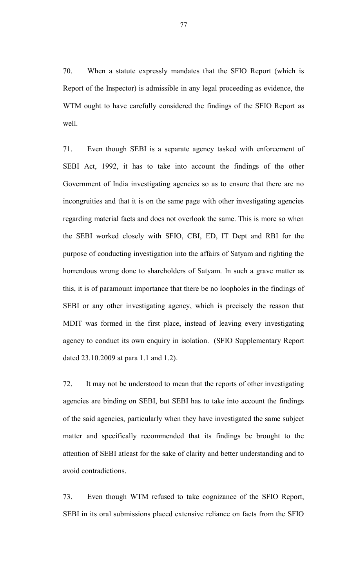70. When a statute expressly mandates that the SFIO Report (which is Report of the Inspector) is admissible in any legal proceeding as evidence, the WTM ought to have carefully considered the findings of the SFIO Report as well.

71. Even though SEBI is a separate agency tasked with enforcement of SEBI Act, 1992, it has to take into account the findings of the other Government of India investigating agencies so as to ensure that there are no incongruities and that it is on the same page with other investigating agencies regarding material facts and does not overlook the same. This is more so when the SEBI worked closely with SFIO, CBI, ED, IT Dept and RBI for the purpose of conducting investigation into the affairs of Satyam and righting the horrendous wrong done to shareholders of Satyam. In such a grave matter as this, it is of paramount importance that there be no loopholes in the findings of SEBI or any other investigating agency, which is precisely the reason that MDIT was formed in the first place, instead of leaving every investigating agency to conduct its own enquiry in isolation. (SFIO Supplementary Report dated 23.10.2009 at para 1.1 and 1.2).

72. It may not be understood to mean that the reports of other investigating agencies are binding on SEBI, but SEBI has to take into account the findings of the said agencies, particularly when they have investigated the same subject matter and specifically recommended that its findings be brought to the attention of SEBI atleast for the sake of clarity and better understanding and to avoid contradictions.

73. Even though WTM refused to take cognizance of the SFIO Report, SEBI in its oral submissions placed extensive reliance on facts from the SFIO

77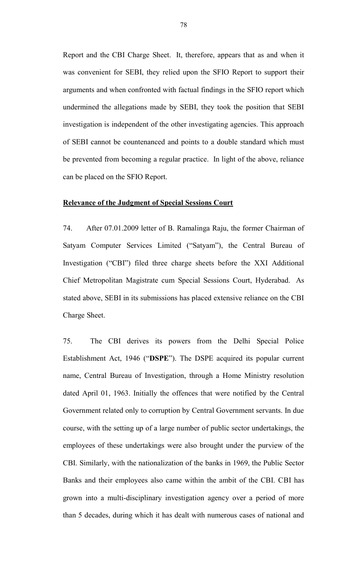Report and the CBI Charge Sheet. It, therefore, appears that as and when it was convenient for SEBI, they relied upon the SFIO Report to support their arguments and when confronted with factual findings in the SFIO report which undermined the allegations made by SEBI, they took the position that SEBI investigation is independent of the other investigating agencies. This approach of SEBI cannot be countenanced and points to a double standard which must be prevented from becoming a regular practice. In light of the above, reliance can be placed on the SFIO Report.

#### **Relevance of the Judgment of Special Sessions Court**

74. After 07.01.2009 letter of B. Ramalinga Raju, the former Chairman of Satyam Computer Services Limited ("Satyam"), the Central Bureau of Investigation ("CBI") filed three charge sheets before the XXI Additional Chief Metropolitan Magistrate cum Special Sessions Court, Hyderabad. As stated above, SEBI in its submissions has placed extensive reliance on the CBI Charge Sheet.

75. The CBI derives its powers from the Delhi Special Police Establishment Act, 1946 ("**DSPE**"). The DSPE acquired its popular current name, Central Bureau of Investigation, through a Home Ministry resolution dated April 01, 1963. Initially the offences that were notified by the Central Government related only to corruption by Central Government servants. In due course, with the setting up of a large number of public sector undertakings, the employees of these undertakings were also brought under the purview of the CBI. Similarly, with the nationalization of the banks in 1969, the Public Sector Banks and their employees also came within the ambit of the CBI. CBI has grown into a multi-disciplinary investigation agency over a period of more than 5 decades, during which it has dealt with numerous cases of national and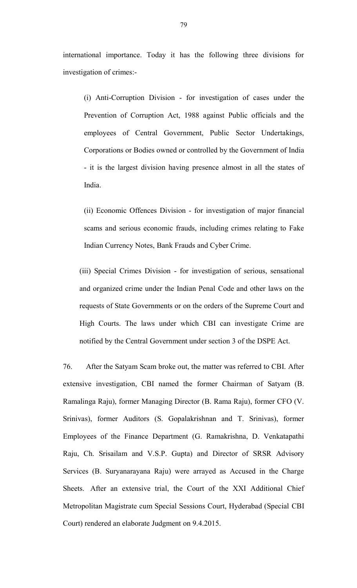international importance. Today it has the following three divisions for investigation of crimes:-

(i) Anti-Corruption Division - for investigation of cases under the Prevention of Corruption Act, 1988 against Public officials and the employees of Central Government, Public Sector Undertakings, Corporations or Bodies owned or controlled by the Government of India - it is the largest division having presence almost in all the states of India.

(ii) Economic Offences Division - for investigation of major financial scams and serious economic frauds, including crimes relating to Fake Indian Currency Notes, Bank Frauds and Cyber Crime.

(iii) Special Crimes Division - for investigation of serious, sensational and organized crime under the Indian Penal Code and other laws on the requests of State Governments or on the orders of the Supreme Court and High Courts. The laws under which CBI can investigate Crime are notified by the Central Government under section 3 of the DSPE Act.

76. After the Satyam Scam broke out, the matter was referred to CBI. After extensive investigation, CBI named the former Chairman of Satyam (B. Ramalinga Raju), former Managing Director (B. Rama Raju), former CFO (V. Srinivas), former Auditors (S. Gopalakrishnan and T. Srinivas), former Employees of the Finance Department (G. Ramakrishna, D. Venkatapathi Raju, Ch. Srisailam and V.S.P. Gupta) and Director of SRSR Advisory Services (B. Suryanarayana Raju) were arrayed as Accused in the Charge Sheets. After an extensive trial, the Court of the XXI Additional Chief Metropolitan Magistrate cum Special Sessions Court, Hyderabad (Special CBI Court) rendered an elaborate Judgment on 9.4.2015.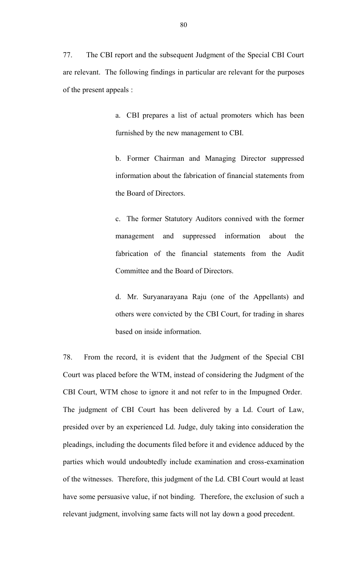77. The CBI report and the subsequent Judgment of the Special CBI Court are relevant. The following findings in particular are relevant for the purposes of the present appeals :

> a. CBI prepares a list of actual promoters which has been furnished by the new management to CBI.

> b. Former Chairman and Managing Director suppressed information about the fabrication of financial statements from the Board of Directors.

> c. The former Statutory Auditors connived with the former management and suppressed information about the fabrication of the financial statements from the Audit Committee and the Board of Directors.

> d. Mr. Suryanarayana Raju (one of the Appellants) and others were convicted by the CBI Court, for trading in shares based on inside information.

78. From the record, it is evident that the Judgment of the Special CBI Court was placed before the WTM, instead of considering the Judgment of the CBI Court, WTM chose to ignore it and not refer to in the Impugned Order. The judgment of CBI Court has been delivered by a Ld. Court of Law, presided over by an experienced Ld. Judge, duly taking into consideration the pleadings, including the documents filed before it and evidence adduced by the parties which would undoubtedly include examination and cross-examination of the witnesses. Therefore, this judgment of the Ld. CBI Court would at least have some persuasive value, if not binding. Therefore, the exclusion of such a relevant judgment, involving same facts will not lay down a good precedent.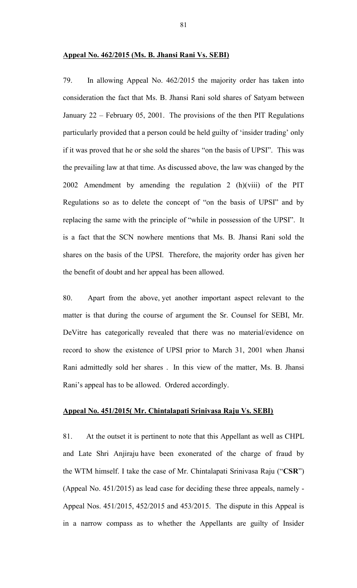#### **Appeal No. 462/2015 (Ms. B. Jhansi Rani Vs. SEBI)**

79. In allowing Appeal No. 462/2015 the majority order has taken into consideration the fact that Ms. B. Jhansi Rani sold shares of Satyam between January 22 – February 05, 2001. The provisions of the then PIT Regulations particularly provided that a person could be held guilty of 'insider trading' only if it was proved that he or she sold the shares "on the basis of UPSI". This was the prevailing law at that time. As discussed above, the law was changed by the 2002 Amendment by amending the regulation 2 (h)(viii) of the PIT Regulations so as to delete the concept of "on the basis of UPSI" and by replacing the same with the principle of "while in possession of the UPSI". It is a fact that the SCN nowhere mentions that Ms. B. Jhansi Rani sold the shares on the basis of the UPSI. Therefore, the majority order has given her the benefit of doubt and her appeal has been allowed.

80. Apart from the above, yet another important aspect relevant to the matter is that during the course of argument the Sr. Counsel for SEBI, Mr. DeVitre has categorically revealed that there was no material/evidence on record to show the existence of UPSI prior to March 31, 2001 when Jhansi Rani admittedly sold her shares . In this view of the matter, Ms. B. Jhansi Rani's appeal has to be allowed. Ordered accordingly.

## **Appeal No. 451/2015( Mr. Chintalapati Srinivasa Raju Vs. SEBI)**

81. At the outset it is pertinent to note that this Appellant as well as CHPL and Late Shri Anjiraju have been exonerated of the charge of fraud by the WTM himself. I take the case of Mr. Chintalapati Srinivasa Raju ("**CSR**") (Appeal No. 451/2015) as lead case for deciding these three appeals, namely - Appeal Nos. 451/2015, 452/2015 and 453/2015. The dispute in this Appeal is in a narrow compass as to whether the Appellants are guilty of Insider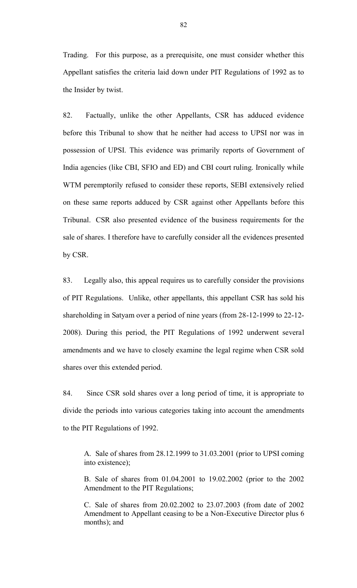Trading. For this purpose, as a prerequisite, one must consider whether this Appellant satisfies the criteria laid down under PIT Regulations of 1992 as to the Insider by twist.

82. Factually, unlike the other Appellants, CSR has adduced evidence before this Tribunal to show that he neither had access to UPSI nor was in possession of UPSI. This evidence was primarily reports of Government of India agencies (like CBI, SFIO and ED) and CBI court ruling. Ironically while WTM peremptorily refused to consider these reports, SEBI extensively relied on these same reports adduced by CSR against other Appellants before this Tribunal. CSR also presented evidence of the business requirements for the sale of shares. I therefore have to carefully consider all the evidences presented by CSR.

83. Legally also, this appeal requires us to carefully consider the provisions of PIT Regulations. Unlike, other appellants, this appellant CSR has sold his shareholding in Satyam over a period of nine years (from 28-12-1999 to 22-12- 2008). During this period, the PIT Regulations of 1992 underwent several amendments and we have to closely examine the legal regime when CSR sold shares over this extended period.

84. Since CSR sold shares over a long period of time, it is appropriate to divide the periods into various categories taking into account the amendments to the PIT Regulations of 1992.

A. Sale of shares from 28.12.1999 to 31.03.2001 (prior to UPSI coming into existence);

B. Sale of shares from 01.04.2001 to 19.02.2002 (prior to the 2002 Amendment to the PIT Regulations;

C. Sale of shares from 20.02.2002 to 23.07.2003 (from date of 2002 Amendment to Appellant ceasing to be a Non-Executive Director plus 6 months); and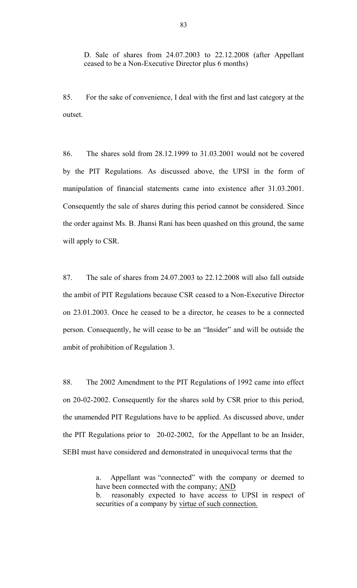D. Sale of shares from 24.07.2003 to 22.12.2008 (after Appellant ceased to be a Non-Executive Director plus 6 months)

85. For the sake of convenience, I deal with the first and last category at the outset.

86. The shares sold from 28.12.1999 to 31.03.2001 would not be covered by the PIT Regulations. As discussed above, the UPSI in the form of manipulation of financial statements came into existence after 31.03.2001. Consequently the sale of shares during this period cannot be considered. Since the order against Ms. B. Jhansi Rani has been quashed on this ground, the same will apply to CSR.

87. The sale of shares from 24.07.2003 to 22.12.2008 will also fall outside the ambit of PIT Regulations because CSR ceased to a Non-Executive Director on 23.01.2003. Once he ceased to be a director, he ceases to be a connected person. Consequently, he will cease to be an "Insider" and will be outside the ambit of prohibition of Regulation 3.

88. The 2002 Amendment to the PIT Regulations of 1992 came into effect on 20-02-2002. Consequently for the shares sold by CSR prior to this period, the unamended PIT Regulations have to be applied. As discussed above, under the PIT Regulations prior to 20-02-2002, for the Appellant to be an Insider, SEBI must have considered and demonstrated in unequivocal terms that the

a. Appellant was "connected" with the company or deemed to have been connected with the company; AND

b. reasonably expected to have access to UPSI in respect of securities of a company by virtue of such connection.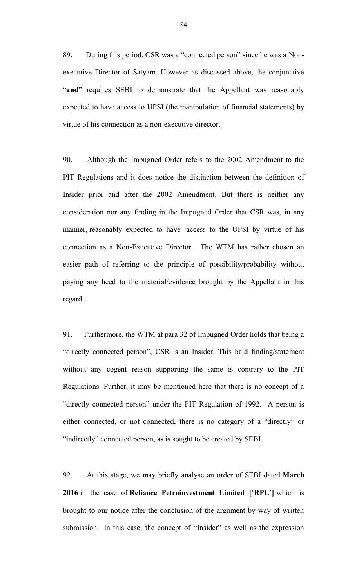89. During this period, CSR was a "connected person" since he was a Nonexecutive Director of Satyam. However as discussed above, the conjunctive "**and**" requires SEBI to demonstrate that the Appellant was reasonably expected to have access to UPSI (the manipulation of financial statements) by virtue of his connection as a non-executive director.

90. Although the Impugned Order refers to the 2002 Amendment to the PIT Regulations and it does notice the distinction between the definition of Insider prior and after the 2002 Amendment. But there is neither any consideration nor any finding in the Impugned Order that CSR was, in any manner, reasonably expected to have access to the UPSI by virtue of his connection as a Non-Executive Director. The WTM has rather chosen an easier path of referring to the principle of possibility/probability without paying any heed to the material/evidence brought by the Appellant in this regard.

91. Furthermore, the WTM at para 32 of Impugned Order holds that being a "directly connected person", CSR is an Insider. This bald finding/statement without any cogent reason supporting the same is contrary to the PIT Regulations. Further, it may be mentioned here that there is no concept of a "directly connected person" under the PIT Regulation of 1992. A person is either connected, or not connected, there is no category of a "directly" or "indirectly" connected person, as is sought to be created by SEBI.

92. At this stage, we may briefly analyse an order of SEBI dated **March 2016** in the case of **Reliance Petroinvestment Limited ['RPL']** which is brought to our notice after the conclusion of the argument by way of written submission. In this case, the concept of "Insider" as well as the expression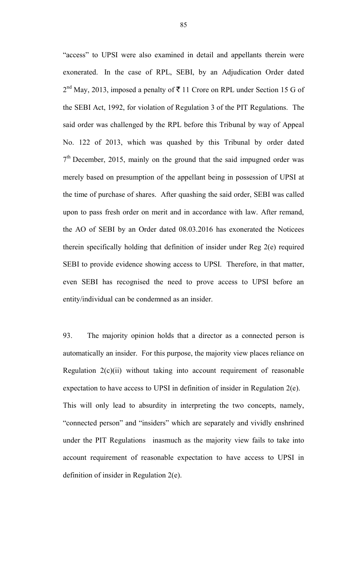"access" to UPSI were also examined in detail and appellants therein were exonerated. In the case of RPL, SEBI, by an Adjudication Order dated  $2<sup>nd</sup>$  May, 2013, imposed a penalty of  $\overline{5}$  11 Crore on RPL under Section 15 G of the SEBI Act, 1992, for violation of Regulation 3 of the PIT Regulations. The said order was challenged by the RPL before this Tribunal by way of Appeal No. 122 of 2013, which was quashed by this Tribunal by order dated  $7<sup>th</sup>$  December, 2015, mainly on the ground that the said impugned order was merely based on presumption of the appellant being in possession of UPSI at the time of purchase of shares. After quashing the said order, SEBI was called upon to pass fresh order on merit and in accordance with law. After remand, the AO of SEBI by an Order dated 08.03.2016 has exonerated the Noticees therein specifically holding that definition of insider under Reg 2(e) required SEBI to provide evidence showing access to UPSI. Therefore, in that matter, even SEBI has recognised the need to prove access to UPSI before an entity/individual can be condemned as an insider.

93. The majority opinion holds that a director as a connected person is automatically an insider. For this purpose, the majority view places reliance on Regulation  $2(c)(ii)$  without taking into account requirement of reasonable expectation to have access to UPSI in definition of insider in Regulation 2(e). This will only lead to absurdity in interpreting the two concepts, namely, "connected person" and "insiders" which are separately and vividly enshrined under the PIT Regulations inasmuch as the majority view fails to take into account requirement of reasonable expectation to have access to UPSI in definition of insider in Regulation 2(e).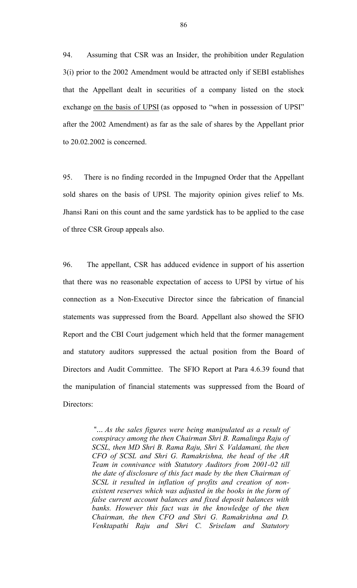94. Assuming that CSR was an Insider, the prohibition under Regulation 3(i) prior to the 2002 Amendment would be attracted only if SEBI establishes that the Appellant dealt in securities of a company listed on the stock exchange on the basis of UPSI (as opposed to "when in possession of UPSI" after the 2002 Amendment) as far as the sale of shares by the Appellant prior to 20.02.2002 is concerned.

95. There is no finding recorded in the Impugned Order that the Appellant sold shares on the basis of UPSI. The majority opinion gives relief to Ms. Jhansi Rani on this count and the same yardstick has to be applied to the case of three CSR Group appeals also.

96. The appellant, CSR has adduced evidence in support of his assertion that there was no reasonable expectation of access to UPSI by virtue of his connection as a Non-Executive Director since the fabrication of financial statements was suppressed from the Board. Appellant also showed the SFIO Report and the CBI Court judgement which held that the former management and statutory auditors suppressed the actual position from the Board of Directors and Audit Committee. The SFIO Report at Para 4.6.39 found that the manipulation of financial statements was suppressed from the Board of Directors:

> "... *As the sales figures were being manipulated as a result of conspiracy among the then Chairman Shri B. Ramalinga Raju of SCSL, then MD Shri B. Rama Raju, Shri S. Valdamani, the then CFO of SCSL and Shri G. Ramakrishna, the head of the AR Team in connivance with Statutory Auditors from 2001-02 till the date of disclosure of this fact made by the then Chairman of SCSL it resulted in inflation of profits and creation of nonexistent reserves which was adjusted in the books in the form of false current account balances and fixed deposit balances with banks. However this fact was in the knowledge of the then Chairman, the then CFO and Shri G. Ramakrishna and D. Venktapathi Raju and Shri C. Sriselam and Statutory*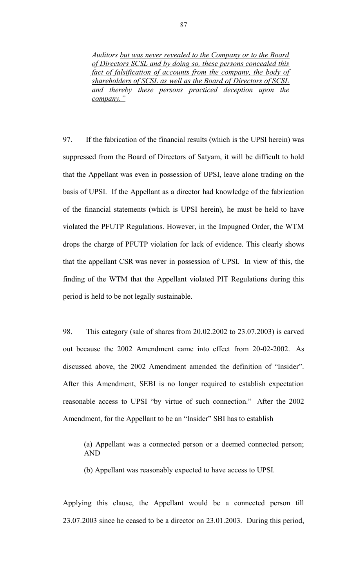*Auditors but was never revealed to the Company or to the Board of Directors SCSL and by doing so, these persons concealed this fact of falsification of accounts from the company, the body of shareholders of SCSL as well as the Board of Directors of SCSL and thereby these persons practiced deception upon the company."*

97. If the fabrication of the financial results (which is the UPSI herein) was suppressed from the Board of Directors of Satyam, it will be difficult to hold that the Appellant was even in possession of UPSI, leave alone trading on the basis of UPSI. If the Appellant as a director had knowledge of the fabrication of the financial statements (which is UPSI herein), he must be held to have violated the PFUTP Regulations. However, in the Impugned Order, the WTM drops the charge of PFUTP violation for lack of evidence. This clearly shows that the appellant CSR was never in possession of UPSI. In view of this, the finding of the WTM that the Appellant violated PIT Regulations during this period is held to be not legally sustainable.

98. This category (sale of shares from 20.02.2002 to 23.07.2003) is carved out because the 2002 Amendment came into effect from 20-02-2002. As discussed above, the 2002 Amendment amended the definition of "Insider". After this Amendment, SEBI is no longer required to establish expectation reasonable access to UPSI "by virtue of such connection." After the 2002 Amendment, for the Appellant to be an "Insider" SBI has to establish

(a) Appellant was a connected person or a deemed connected person; AND

(b) Appellant was reasonably expected to have access to UPSI.

Applying this clause, the Appellant would be a connected person till 23.07.2003 since he ceased to be a director on 23.01.2003. During this period,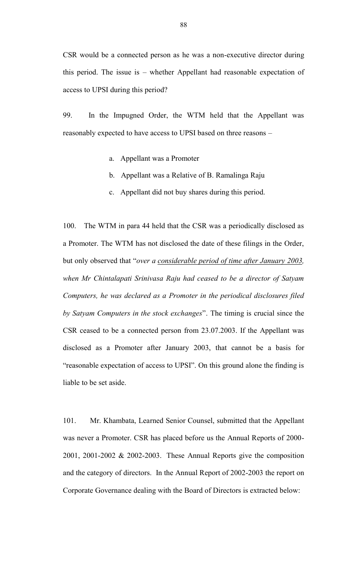CSR would be a connected person as he was a non-executive director during this period. The issue is – whether Appellant had reasonable expectation of access to UPSI during this period?

99. In the Impugned Order, the WTM held that the Appellant was reasonably expected to have access to UPSI based on three reasons –

- a. Appellant was a Promoter
- b. Appellant was a Relative of B. Ramalinga Raju
- c. Appellant did not buy shares during this period.

100. The WTM in para 44 held that the CSR was a periodically disclosed as a Promoter. The WTM has not disclosed the date of these filings in the Order, but only observed that "*over a considerable period of time after January 2003, when Mr Chintalapati Srinivasa Raju had ceased to be a director of Satyam Computers, he was declared as a Promoter in the periodical disclosures filed by Satyam Computers in the stock exchanges*". The timing is crucial since the CSR ceased to be a connected person from 23.07.2003. If the Appellant was disclosed as a Promoter after January 2003, that cannot be a basis for "reasonable expectation of access to UPSI". On this ground alone the finding is liable to be set aside.

101. Mr. Khambata, Learned Senior Counsel, submitted that the Appellant was never a Promoter. CSR has placed before us the Annual Reports of 2000- 2001, 2001-2002 & 2002-2003. These Annual Reports give the composition and the category of directors. In the Annual Report of 2002-2003 the report on Corporate Governance dealing with the Board of Directors is extracted below: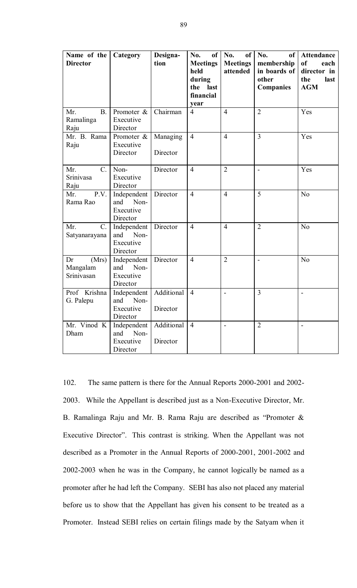| Name of the<br><b>Director</b>          | Category                                            | Designa-<br>tion       | No.<br>of<br><b>Meetings</b><br>held<br>during<br>the last<br>financial<br>year | No.<br><sub>of</sub><br><b>Meetings</b><br>attended | No.<br>of<br>membership<br>in boards of<br>other<br><b>Companies</b> | Attendance<br>of<br>each<br>director in<br>the<br>last<br><b>AGM</b> |
|-----------------------------------------|-----------------------------------------------------|------------------------|---------------------------------------------------------------------------------|-----------------------------------------------------|----------------------------------------------------------------------|----------------------------------------------------------------------|
| Mr.<br><b>B.</b><br>Ramalinga<br>Raju   | Promoter &<br>Executive<br>Director                 | Chairman               | $\overline{4}$                                                                  | $\overline{4}$                                      | $\overline{2}$                                                       | Yes                                                                  |
| Mr. B. Rama<br>Raju                     | Promoter &<br>Executive<br>Director                 | Managing<br>Director   | $\overline{4}$                                                                  | $\overline{4}$                                      | $\overline{3}$                                                       | Yes                                                                  |
| Mr.<br>$C_{\cdot}$<br>Srinivasa<br>Raju | Non-<br>Executive<br>Director                       | Director               | $\overline{4}$                                                                  | $\overline{2}$                                      |                                                                      | Yes                                                                  |
| P.V.<br>Mr.<br>Rama Rao                 | Independent<br>Non-<br>and<br>Executive<br>Director | Director               | $\overline{4}$                                                                  | $\overline{4}$                                      | 5                                                                    | N <sub>o</sub>                                                       |
| Mr.<br>$C_{\cdot}$<br>Satyanarayana     | Independent<br>Non-<br>and<br>Executive<br>Director | Director               | $\overline{4}$                                                                  | $\overline{4}$                                      | $\overline{2}$                                                       | N <sub>o</sub>                                                       |
| Dr<br>(Mrs)<br>Mangalam<br>Srinivasan   | Independent<br>and<br>Non-<br>Executive<br>Director | Director               | $\overline{4}$                                                                  | $\overline{2}$                                      | $\overline{a}$                                                       | N <sub>o</sub>                                                       |
| Prof Krishna<br>G. Palepu               | Independent<br>Non-<br>and<br>Executive<br>Director | Additional<br>Director | $\overline{4}$                                                                  | $\overline{a}$                                      | 3                                                                    | $\overline{a}$                                                       |
| Mr. Vinod K<br>Dham                     | Independent<br>and<br>Non-<br>Executive<br>Director | Additional<br>Director | $\overline{4}$                                                                  | $\blacksquare$                                      | $\overline{2}$                                                       | $\blacksquare$                                                       |

102. The same pattern is there for the Annual Reports 2000-2001 and 2002- 2003. While the Appellant is described just as a Non-Executive Director, Mr. B. Ramalinga Raju and Mr. B. Rama Raju are described as "Promoter & Executive Director". This contrast is striking. When the Appellant was not described as a Promoter in the Annual Reports of 2000-2001, 2001-2002 and 2002-2003 when he was in the Company, he cannot logically be named as a promoter after he had left the Company. SEBI has also not placed any material before us to show that the Appellant has given his consent to be treated as a Promoter. Instead SEBI relies on certain filings made by the Satyam when it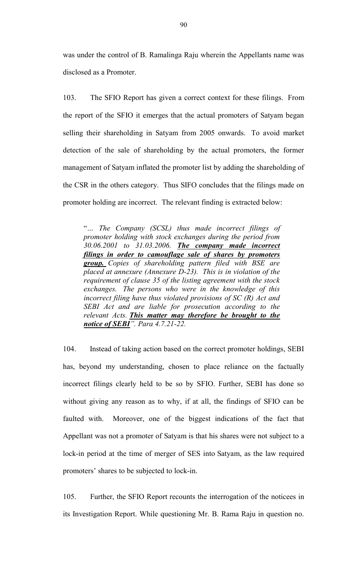was under the control of B. Ramalinga Raju wherein the Appellants name was disclosed as a Promoter.

103. The SFIO Report has given a correct context for these filings. From the report of the SFIO it emerges that the actual promoters of Satyam began selling their shareholding in Satyam from 2005 onwards. To avoid market detection of the sale of shareholding by the actual promoters, the former management of Satyam inflated the promoter list by adding the shareholding of the CSR in the others category. Thus SIFO concludes that the filings made on promoter holding are incorrect. The relevant finding is extracted below:

"*… The Company (SCSL) thus made incorrect filings of promoter holding with stock exchanges during the period from 30.06.2001 to 31.03.2006. The company made incorrect filings in order to camouflage sale of shares by promoters group. Copies of shareholding pattern filed with BSE are placed at annexure (Annexure D-23). This is in violation of the requirement of clause 35 of the listing agreement with the stock exchanges. The persons who were in the knowledge of this incorrect filing have thus violated provisions of SC (R) Act and SEBI Act and are liable for prosecution according to the relevant Acts. This matter may therefore be brought to the notice of SEBI". Para 4.7.21-22.*

104. Instead of taking action based on the correct promoter holdings, SEBI has, beyond my understanding, chosen to place reliance on the factually incorrect filings clearly held to be so by SFIO. Further, SEBI has done so without giving any reason as to why, if at all, the findings of SFIO can be faulted with. Moreover, one of the biggest indications of the fact that Appellant was not a promoter of Satyam is that his shares were not subject to a lock-in period at the time of merger of SES into Satyam, as the law required promoters' shares to be subjected to lock-in.

105. Further, the SFIO Report recounts the interrogation of the noticees in its Investigation Report. While questioning Mr. B. Rama Raju in question no.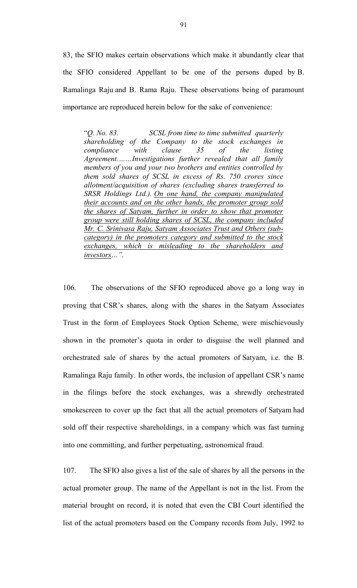83, the SFIO makes certain observations which make it abundantly clear that the SFIO considered Appellant to be one of the persons duped by B. Ramalinga Raju and B. Rama Raju. These observations being of paramount importance are reproduced herein below for the sake of convenience:

"*Q. No. 83. SCSL from time to time submitted quarterly shareholding of the Company to the stock exchanges in compliance with clause 35 of the listing Agreement.……Investigations further revealed that all family members of you and your two brothers and entities controlled by them sold shares of SCSL in excess of Rs. 750 crores since allotment/acquisition of shares (excluding shares transferred to SRSR Holdings Ltd.). On one hand, the company manipulated their accounts and on the other hands, the promoter group sold the shares of Satyam, further in order to show that promoter group were still holding shares of SCSL, the company included Mr. C. Srinivasa Raju, Satyam Associates Trust and Others (subcategory) in the promoters category and submitted to the stock exchanges, which is misleading to the shareholders and investors…".*

106. The observations of the SFIO reproduced above go a long way in proving that CSR's shares, along with the shares in the Satyam Associates Trust in the form of Employees Stock Option Scheme, were mischievously shown in the promoter's quota in order to disguise the well planned and orchestrated sale of shares by the actual promoters of Satyam, i.e. the B. Ramalinga Raju family. In other words, the inclusion of appellant CSR's name in the filings before the stock exchanges, was a shrewdly orchestrated smokescreen to cover up the fact that all the actual promoters of Satyam had sold off their respective shareholdings, in a company which was fast turning into one committing, and further perpetuating, astronomical fraud.

107. The SFIO also gives a list of the sale of shares by all the persons in the actual promoter group. The name of the Appellant is not in the list. From the material brought on record, it is noted that even the CBI Court identified the list of the actual promoters based on the Company records from July, 1992 to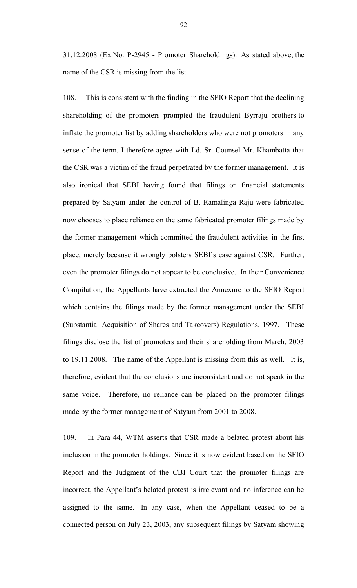31.12.2008 (Ex.No. P-2945 - Promoter Shareholdings). As stated above, the name of the CSR is missing from the list.

108. This is consistent with the finding in the SFIO Report that the declining shareholding of the promoters prompted the fraudulent Byrraju brothers to inflate the promoter list by adding shareholders who were not promoters in any sense of the term. I therefore agree with Ld. Sr. Counsel Mr. Khambatta that the CSR was a victim of the fraud perpetrated by the former management. It is also ironical that SEBI having found that filings on financial statements prepared by Satyam under the control of B. Ramalinga Raju were fabricated now chooses to place reliance on the same fabricated promoter filings made by the former management which committed the fraudulent activities in the first place, merely because it wrongly bolsters SEBI's case against CSR. Further, even the promoter filings do not appear to be conclusive. In their Convenience Compilation, the Appellants have extracted the Annexure to the SFIO Report which contains the filings made by the former management under the SEBI (Substantial Acquisition of Shares and Takeovers) Regulations, 1997. These filings disclose the list of promoters and their shareholding from March, 2003 to 19.11.2008. The name of the Appellant is missing from this as well. It is, therefore, evident that the conclusions are inconsistent and do not speak in the same voice. Therefore, no reliance can be placed on the promoter filings made by the former management of Satyam from 2001 to 2008.

109. In Para 44, WTM asserts that CSR made a belated protest about his inclusion in the promoter holdings. Since it is now evident based on the SFIO Report and the Judgment of the CBI Court that the promoter filings are incorrect, the Appellant's belated protest is irrelevant and no inference can be assigned to the same. In any case, when the Appellant ceased to be a connected person on July 23, 2003, any subsequent filings by Satyam showing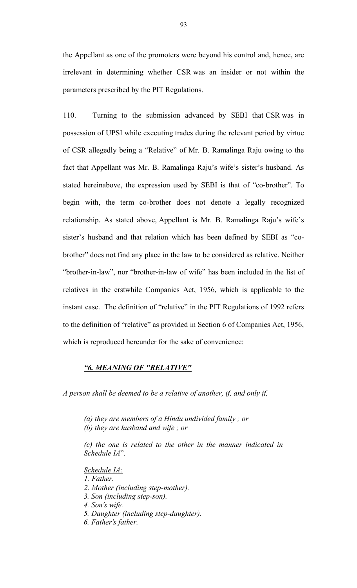the Appellant as one of the promoters were beyond his control and, hence, are irrelevant in determining whether CSR was an insider or not within the parameters prescribed by the PIT Regulations.

110. Turning to the submission advanced by SEBI that CSR was in possession of UPSI while executing trades during the relevant period by virtue of CSR allegedly being a "Relative" of Mr. B. Ramalinga Raju owing to the fact that Appellant was Mr. B. Ramalinga Raju's wife's sister's husband. As stated hereinabove, the expression used by SEBI is that of "co-brother". To begin with, the term co-brother does not denote a legally recognized relationship. As stated above, Appellant is Mr. B. Ramalinga Raju's wife's sister's husband and that relation which has been defined by SEBI as "cobrother" does not find any place in the law to be considered as relative. Neither "brother-in-law", nor "brother-in-law of wife" has been included in the list of relatives in the erstwhile Companies Act, 1956, which is applicable to the instant case. The definition of "relative" in the PIT Regulations of 1992 refers to the definition of "relative" as provided in Section 6 of Companies Act, 1956, which is reproduced hereunder for the sake of convenience:

## *"6. MEANING OF "RELATIVE"*

*A person shall be deemed to be a relative of another, if, and only if,*

*(a) they are members of a Hindu undivided family ; or*

*(b) they are husband and wife ; or*

*(c) the one is related to the other in the manner indicated in Schedule IA*".

*Schedule IA:*

*1. Father.*

*2. Mother (including step-mother).*

- *3. Son (including step-son).*
- *4. Son's wife.*
- *5. Daughter (including step-daughter).*

*6. Father's father.*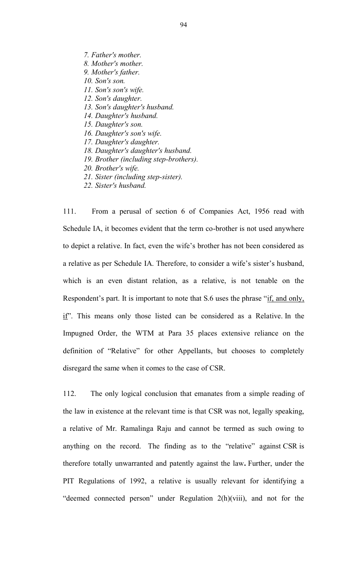*7. Father's mother. 8. Mother's mother. 9. Mother's father. 10. Son's son. 11. Son's son's wife. 12. Son's daughter. 13. Son's daughter's husband. 14. Daughter's husband. 15. Daughter's son. 16. Daughter's son's wife. 17. Daughter's daughter. 18. Daughter's daughter's husband. 19. Brother (including step-brothers).*

*20. Brother's wife.*

- *21. Sister (including step-sister).*
- *22. Sister's husband.*

111. From a perusal of section 6 of Companies Act, 1956 read with Schedule IA, it becomes evident that the term co-brother is not used anywhere to depict a relative. In fact, even the wife's brother has not been considered as a relative as per Schedule IA. Therefore, to consider a wife's sister's husband, which is an even distant relation, as a relative, is not tenable on the Respondent's part. It is important to note that S.6 uses the phrase "if, and only, if". This means only those listed can be considered as a Relative. In the Impugned Order, the WTM at Para 35 places extensive reliance on the definition of "Relative" for other Appellants, but chooses to completely disregard the same when it comes to the case of CSR.

112. The only logical conclusion that emanates from a simple reading of the law in existence at the relevant time is that CSR was not, legally speaking, a relative of Mr. Ramalinga Raju and cannot be termed as such owing to anything on the record. The finding as to the "relative" against CSR is therefore totally unwarranted and patently against the law**.** Further, under the PIT Regulations of 1992, a relative is usually relevant for identifying a "deemed connected person" under Regulation 2(h)(viii), and not for the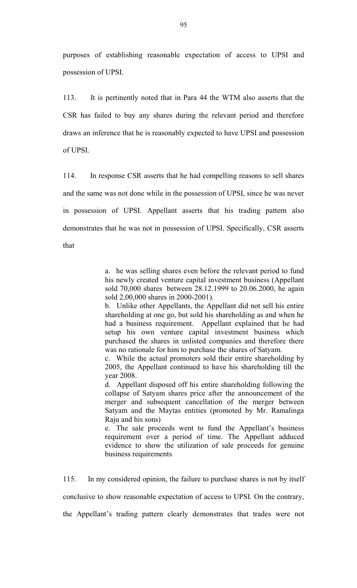purposes of establishing reasonable expectation of access to UPSI and possession of UPSI.

113. It is pertinently noted that in Para 44 the WTM also asserts that the CSR has failed to buy any shares during the relevant period and therefore draws an inference that he is reasonably expected to have UPSI and possession of UPSI.

114. In response CSR asserts that he had compelling reasons to sell shares and the same was not done while in the possession of UPSI, since he was never in possession of UPSI. Appellant asserts that his trading pattern also demonstrates that he was not in possession of UPSI. Specifically, CSR asserts that

a. he was selling shares even before the relevant period to fund his newly created venture capital investment business (Appellant sold 70,000 shares between 28.12.1999 to 20.06.2000, he again sold 2,00,000 shares in 2000-2001).

b. Unlike other Appellants, the Appellant did not sell his entire shareholding at one go, but sold his shareholding as and when he had a business requirement. Appellant explained that he had setup his own venture capital investment business which purchased the shares in unlisted companies and therefore there was no rationale for him to purchase the shares of Satyam.

c. While the actual promoters sold their entire shareholding by 2005, the Appellant continued to have his shareholding till the year 2008.

d. Appellant disposed off his entire shareholding following the collapse of Satyam shares price after the announcement of the merger and subsequent cancellation of the merger between Satyam and the Maytas entities (promoted by Mr. Ramalinga Raju and his sons)

e. The sale proceeds went to fund the Appellant's business requirement over a period of time. The Appellant adduced evidence to show the utilization of sale proceeds for genuine business requirements

115. In my considered opinion, the failure to purchase shares is not by itself

conclusive to show reasonable expectation of access to UPSI. On the contrary,

the Appellant's trading pattern clearly demonstrates that trades were not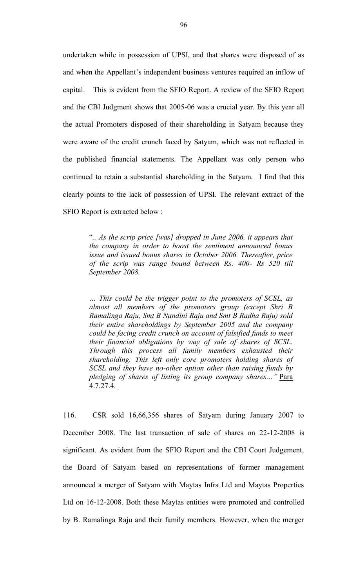undertaken while in possession of UPSI, and that shares were disposed of as and when the Appellant's independent business ventures required an inflow of capital. This is evident from the SFIO Report. A review of the SFIO Report and the CBI Judgment shows that 2005-06 was a crucial year. By this year all the actual Promoters disposed of their shareholding in Satyam because they were aware of the credit crunch faced by Satyam, which was not reflected in the published financial statements. The Appellant was only person who continued to retain a substantial shareholding in the Satyam. I find that this clearly points to the lack of possession of UPSI. The relevant extract of the SFIO Report is extracted below :

> "*.. As the scrip price [was] dropped in June 2006, it appears that the company in order to boost the sentiment announced bonus issue and issued bonus shares in October 2006. Thereafter, price of the scrip was range bound between Rs. 400- Rs 520 till September 2008.*

> *… This could be the trigger point to the promoters of SCSL, as almost all members of the promoters group (except Shri B Ramalinga Raju, Smt B Nandini Raju and Smt B Radha Raju) sold their entire shareholdings by September 2005 and the company could be facing credit crunch on account of falsified funds to meet their financial obligations by way of sale of shares of SCSL. Through this process all family members exhausted their shareholding. This left only core promoters holding shares of SCSL and they have no-other option other than raising funds by pledging of shares of listing its group company shares…"* Para 4.7.27.4.

116. CSR sold 16,66,356 shares of Satyam during January 2007 to December 2008. The last transaction of sale of shares on 22-12-2008 is significant. As evident from the SFIO Report and the CBI Court Judgement, the Board of Satyam based on representations of former management announced a merger of Satyam with Maytas Infra Ltd and Maytas Properties Ltd on 16-12-2008. Both these Maytas entities were promoted and controlled by B. Ramalinga Raju and their family members. However, when the merger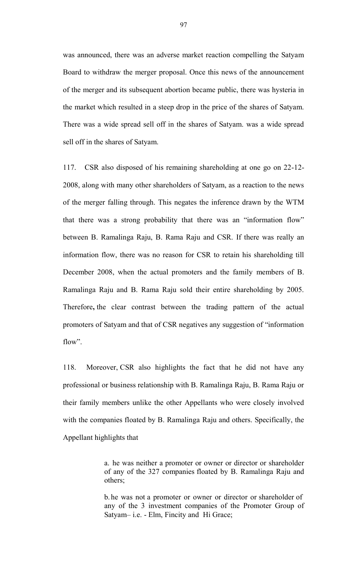was announced, there was an adverse market reaction compelling the Satyam Board to withdraw the merger proposal. Once this news of the announcement of the merger and its subsequent abortion became public, there was hysteria in the market which resulted in a steep drop in the price of the shares of Satyam. There was a wide spread sell off in the shares of Satyam. was a wide spread sell off in the shares of Satyam.

117. CSR also disposed of his remaining shareholding at one go on 22-12- 2008, along with many other shareholders of Satyam, as a reaction to the news of the merger falling through. This negates the inference drawn by the WTM that there was a strong probability that there was an "information flow" between B. Ramalinga Raju, B. Rama Raju and CSR. If there was really an information flow, there was no reason for CSR to retain his shareholding till December 2008, when the actual promoters and the family members of B. Ramalinga Raju and B. Rama Raju sold their entire shareholding by 2005. Therefore**,** the clear contrast between the trading pattern of the actual promoters of Satyam and that of CSR negatives any suggestion of "information flow".

118. Moreover, CSR also highlights the fact that he did not have any professional or business relationship with B. Ramalinga Raju, B. Rama Raju or their family members unlike the other Appellants who were closely involved with the companies floated by B. Ramalinga Raju and others. Specifically, the Appellant highlights that

> a. he was neither a promoter or owner or director or shareholder of any of the 327 companies floated by B. Ramalinga Raju and others;

> b. he was not a promoter or owner or director or shareholder of any of the 3 investment companies of the Promoter Group of Satyam– i.e. - Elm, Fincity and Hi Grace;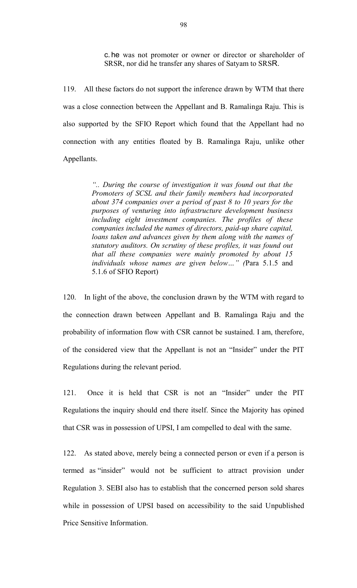c. he was not promoter or owner or director or shareholder of SRSR, nor did he transfer any shares of Satyam to SRSR.

119. All these factors do not support the inference drawn by WTM that there was a close connection between the Appellant and B. Ramalinga Raju. This is also supported by the SFIO Report which found that the Appellant had no connection with any entities floated by B. Ramalinga Raju, unlike other Appellants.

> *".. During the course of investigation it was found out that the Promoters of SCSL and their family members had incorporated about 374 companies over a period of past 8 to 10 years for the purposes of venturing into infrastructure development business including eight investment companies. The profiles of these companies included the names of directors, paid-up share capital, loans taken and advances given by them along with the names of statutory auditors. On scrutiny of these profiles, it was found out that all these companies were mainly promoted by about 15 individuals whose names are given below…" (*Para 5.1.5 and 5.1.6 of SFIO Report)

120. In light of the above, the conclusion drawn by the WTM with regard to the connection drawn between Appellant and B. Ramalinga Raju and the probability of information flow with CSR cannot be sustained. I am, therefore, of the considered view that the Appellant is not an "Insider" under the PIT Regulations during the relevant period.

121. Once it is held that CSR is not an "Insider" under the PIT Regulations the inquiry should end there itself. Since the Majority has opined that CSR was in possession of UPSI, I am compelled to deal with the same.

122. As stated above, merely being a connected person or even if a person is termed as "insider" would not be sufficient to attract provision under Regulation 3. SEBI also has to establish that the concerned person sold shares while in possession of UPSI based on accessibility to the said Unpublished Price Sensitive Information.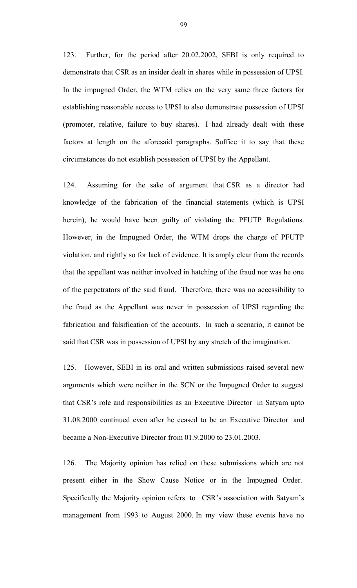123. Further, for the period after 20.02.2002, SEBI is only required to demonstrate that CSR as an insider dealt in shares while in possession of UPSI. In the impugned Order, the WTM relies on the very same three factors for establishing reasonable access to UPSI to also demonstrate possession of UPSI (promoter, relative, failure to buy shares). I had already dealt with these factors at length on the aforesaid paragraphs. Suffice it to say that these circumstances do not establish possession of UPSI by the Appellant.

124. Assuming for the sake of argument that CSR as a director had knowledge of the fabrication of the financial statements (which is UPSI herein), he would have been guilty of violating the PFUTP Regulations. However, in the Impugned Order, the WTM drops the charge of PFUTP violation, and rightly so for lack of evidence. It is amply clear from the records that the appellant was neither involved in hatching of the fraud nor was he one of the perpetrators of the said fraud. Therefore, there was no accessibility to the fraud as the Appellant was never in possession of UPSI regarding the fabrication and falsification of the accounts. In such a scenario, it cannot be said that CSR was in possession of UPSI by any stretch of the imagination.

125. However, SEBI in its oral and written submissions raised several new arguments which were neither in the SCN or the Impugned Order to suggest that CSR's role and responsibilities as an Executive Director in Satyam upto 31.08.2000 continued even after he ceased to be an Executive Director and became a Non-Executive Director from 01.9.2000 to 23.01.2003.

126. The Majority opinion has relied on these submissions which are not present either in the Show Cause Notice or in the Impugned Order. Specifically the Majority opinion refers to CSR's association with Satyam's management from 1993 to August 2000. In my view these events have no

99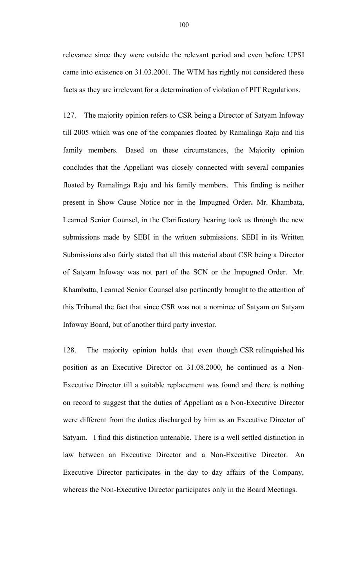relevance since they were outside the relevant period and even before UPSI came into existence on 31.03.2001. The WTM has rightly not considered these facts as they are irrelevant for a determination of violation of PIT Regulations.

127. The majority opinion refers to CSR being a Director of Satyam Infoway till 2005 which was one of the companies floated by Ramalinga Raju and his family members. Based on these circumstances, the Majority opinion concludes that the Appellant was closely connected with several companies floated by Ramalinga Raju and his family members. This finding is neither present in Show Cause Notice nor in the Impugned Order**.** Mr. Khambata, Learned Senior Counsel, in the Clarificatory hearing took us through the new submissions made by SEBI in the written submissions. SEBI in its Written Submissions also fairly stated that all this material about CSR being a Director of Satyam Infoway was not part of the SCN or the Impugned Order. Mr. Khambatta, Learned Senior Counsel also pertinently brought to the attention of this Tribunal the fact that since CSR was not a nominee of Satyam on Satyam Infoway Board, but of another third party investor.

128. The majority opinion holds that even though CSR relinquished his position as an Executive Director on 31.08.2000, he continued as a Non-Executive Director till a suitable replacement was found and there is nothing on record to suggest that the duties of Appellant as a Non-Executive Director were different from the duties discharged by him as an Executive Director of Satyam. I find this distinction untenable. There is a well settled distinction in law between an Executive Director and a Non-Executive Director. An Executive Director participates in the day to day affairs of the Company, whereas the Non-Executive Director participates only in the Board Meetings.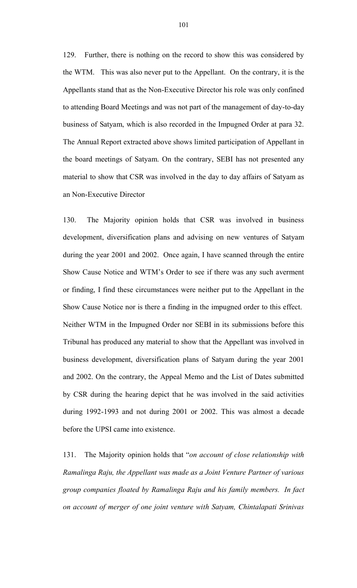129. Further, there is nothing on the record to show this was considered by the WTM. This was also never put to the Appellant. On the contrary, it is the Appellants stand that as the Non-Executive Director his role was only confined to attending Board Meetings and was not part of the management of day-to-day business of Satyam, which is also recorded in the Impugned Order at para 32. The Annual Report extracted above shows limited participation of Appellant in the board meetings of Satyam. On the contrary, SEBI has not presented any material to show that CSR was involved in the day to day affairs of Satyam as an Non-Executive Director

130. The Majority opinion holds that CSR was involved in business development, diversification plans and advising on new ventures of Satyam during the year 2001 and 2002. Once again, I have scanned through the entire Show Cause Notice and WTM's Order to see if there was any such averment or finding, I find these circumstances were neither put to the Appellant in the Show Cause Notice nor is there a finding in the impugned order to this effect. Neither WTM in the Impugned Order nor SEBI in its submissions before this Tribunal has produced any material to show that the Appellant was involved in business development, diversification plans of Satyam during the year 2001 and 2002. On the contrary, the Appeal Memo and the List of Dates submitted by CSR during the hearing depict that he was involved in the said activities during 1992-1993 and not during 2001 or 2002. This was almost a decade before the UPSI came into existence.

131. The Majority opinion holds that "*on account of close relationship with Ramalinga Raju, the Appellant was made as a Joint Venture Partner of various group companies floated by Ramalinga Raju and his family members. In fact on account of merger of one joint venture with Satyam, Chintalapati Srinivas*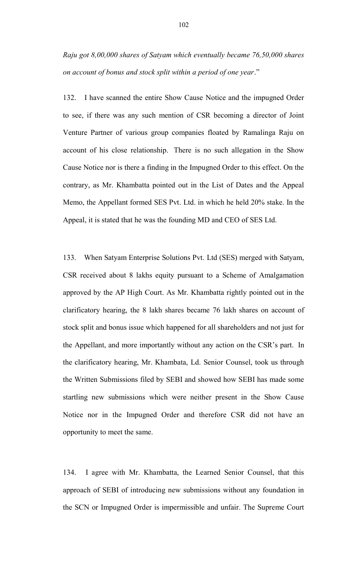*Raju got 8,00,000 shares of Satyam which eventually became 76,50,000 shares on account of bonus and stock split within a period of one year*."

132. I have scanned the entire Show Cause Notice and the impugned Order to see, if there was any such mention of CSR becoming a director of Joint Venture Partner of various group companies floated by Ramalinga Raju on account of his close relationship. There is no such allegation in the Show Cause Notice nor is there a finding in the Impugned Order to this effect. On the contrary, as Mr. Khambatta pointed out in the List of Dates and the Appeal Memo, the Appellant formed SES Pvt. Ltd. in which he held 20% stake. In the Appeal, it is stated that he was the founding MD and CEO of SES Ltd.

133. When Satyam Enterprise Solutions Pvt. Ltd (SES) merged with Satyam, CSR received about 8 lakhs equity pursuant to a Scheme of Amalgamation approved by the AP High Court. As Mr. Khambatta rightly pointed out in the clarificatory hearing, the 8 lakh shares became 76 lakh shares on account of stock split and bonus issue which happened for all shareholders and not just for the Appellant, and more importantly without any action on the CSR's part. In the clarificatory hearing, Mr. Khambata, Ld. Senior Counsel, took us through the Written Submissions filed by SEBI and showed how SEBI has made some startling new submissions which were neither present in the Show Cause Notice nor in the Impugned Order and therefore CSR did not have an opportunity to meet the same.

134. I agree with Mr. Khambatta, the Learned Senior Counsel, that this approach of SEBI of introducing new submissions without any foundation in the SCN or Impugned Order is impermissible and unfair. The Supreme Court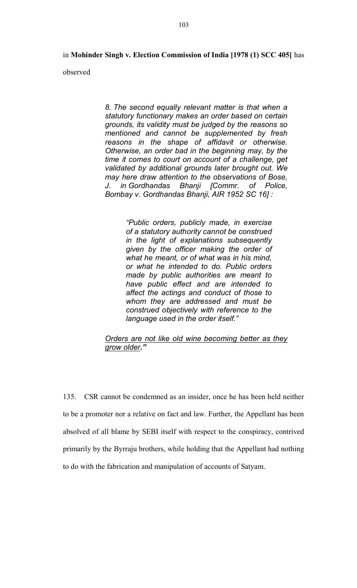in **Mohinder Singh v. Election Commission of India [1978 (1) SCC 405]** has

observed

*8. The second equally relevant matter is that when a statutory functionary makes an order based on certain grounds, its validity must be judged by the reasons so mentioned and cannot be supplemented by fresh reasons in the shape of affidavit or otherwise. Otherwise, an order bad in the beginning may, by the time it comes to court on account of a challenge, get validated by additional grounds later brought out. We may here draw attention to the observations of Bose, J. in Gordhandas Bhanji [Commr. of Police, Bombay v. Gordhandas Bhanji, AIR 1952 SC 16] :*

> *"Public orders, publicly made, in exercise of a statutory authority cannot be construed in the light of explanations subsequently given by the officer making the order of what he meant, or of what was in his mind, or what he intended to do. Public orders made by public authorities are meant to have public effect and are intended to affect the actings and conduct of those to whom they are addressed and must be construed objectively with reference to the language used in the order itself."*

#### *Orders are not like old wine becoming better as they grow older."*

135. CSR cannot be condemned as an insider, once he has been held neither to be a promoter nor a relative on fact and law. Further, the Appellant has been absolved of all blame by SEBI itself with respect to the conspiracy, contrived primarily by the Byrraju brothers, while holding that the Appellant had nothing to do with the fabrication and manipulation of accounts of Satyam.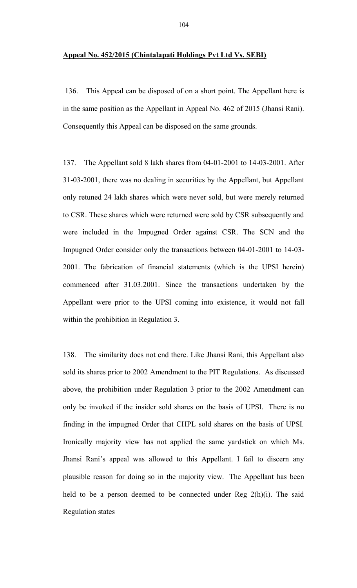#### **Appeal No. 452/2015 (Chintalapati Holdings Pvt Ltd Vs. SEBI)**

136. This Appeal can be disposed of on a short point. The Appellant here is in the same position as the Appellant in Appeal No. 462 of 2015 (Jhansi Rani). Consequently this Appeal can be disposed on the same grounds.

137. The Appellant sold 8 lakh shares from 04-01-2001 to 14-03-2001. After 31-03-2001, there was no dealing in securities by the Appellant, but Appellant only retuned 24 lakh shares which were never sold, but were merely returned to CSR. These shares which were returned were sold by CSR subsequently and were included in the Impugned Order against CSR. The SCN and the Impugned Order consider only the transactions between 04-01-2001 to 14-03- 2001. The fabrication of financial statements (which is the UPSI herein) commenced after 31.03.2001. Since the transactions undertaken by the Appellant were prior to the UPSI coming into existence, it would not fall within the prohibition in Regulation 3.

138. The similarity does not end there. Like Jhansi Rani, this Appellant also sold its shares prior to 2002 Amendment to the PIT Regulations. As discussed above, the prohibition under Regulation 3 prior to the 2002 Amendment can only be invoked if the insider sold shares on the basis of UPSI. There is no finding in the impugned Order that CHPL sold shares on the basis of UPSI. Ironically majority view has not applied the same yardstick on which Ms. Jhansi Rani's appeal was allowed to this Appellant. I fail to discern any plausible reason for doing so in the majority view. The Appellant has been held to be a person deemed to be connected under Reg 2(h)(i). The said Regulation states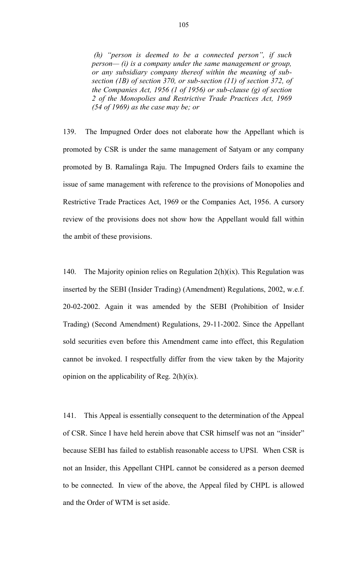*(h) "person is deemed to be a connected person", if such person— (i) is a company under the same management or group, or any subsidiary company thereof within the meaning of subsection (1B) of section 370, or sub-section (11) of section 372, of the Companies Act, 1956 (1 of 1956) or sub-clause (g) of section 2 of the Monopolies and Restrictive Trade Practices Act, 1969 (54 of 1969) as the case may be; or*

139. The Impugned Order does not elaborate how the Appellant which is promoted by CSR is under the same management of Satyam or any company promoted by B. Ramalinga Raju. The Impugned Orders fails to examine the issue of same management with reference to the provisions of Monopolies and Restrictive Trade Practices Act, 1969 or the Companies Act, 1956. A cursory review of the provisions does not show how the Appellant would fall within the ambit of these provisions.

140. The Majority opinion relies on Regulation 2(h)(ix). This Regulation was inserted by the SEBI (Insider Trading) (Amendment) Regulations, 2002, w.e.f. 20-02-2002. Again it was amended by the SEBI (Prohibition of Insider Trading) (Second Amendment) Regulations, 29-11-2002. Since the Appellant sold securities even before this Amendment came into effect, this Regulation cannot be invoked. I respectfully differ from the view taken by the Majority opinion on the applicability of Reg. 2(h)(ix).

141. This Appeal is essentially consequent to the determination of the Appeal of CSR. Since I have held herein above that CSR himself was not an "insider" because SEBI has failed to establish reasonable access to UPSI. When CSR is not an Insider, this Appellant CHPL cannot be considered as a person deemed to be connected. In view of the above, the Appeal filed by CHPL is allowed and the Order of WTM is set aside.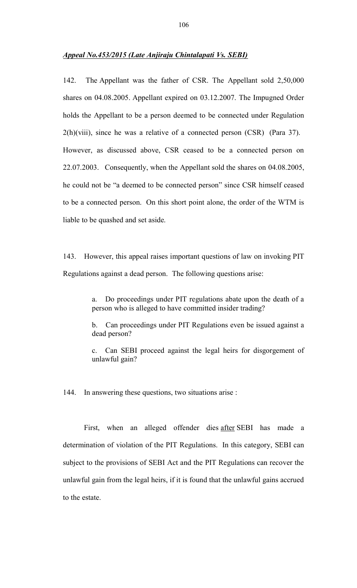142. The Appellant was the father of CSR. The Appellant sold 2,50,000 shares on 04.08.2005. Appellant expired on 03.12.2007. The Impugned Order holds the Appellant to be a person deemed to be connected under Regulation  $2(h)(viii)$ , since he was a relative of a connected person (CSR) (Para 37). However, as discussed above, CSR ceased to be a connected person on 22.07.2003. Consequently, when the Appellant sold the shares on 04.08.2005, he could not be "a deemed to be connected person" since CSR himself ceased to be a connected person. On this short point alone, the order of the WTM is liable to be quashed and set aside.

143. However, this appeal raises important questions of law on invoking PIT Regulations against a dead person. The following questions arise:

> a. Do proceedings under PIT regulations abate upon the death of a person who is alleged to have committed insider trading?

> b. Can proceedings under PIT Regulations even be issued against a dead person?

> c. Can SEBI proceed against the legal heirs for disgorgement of unlawful gain?

144. In answering these questions, two situations arise :

First, when an alleged offender dies after SEBI has made a determination of violation of the PIT Regulations. In this category, SEBI can subject to the provisions of SEBI Act and the PIT Regulations can recover the unlawful gain from the legal heirs, if it is found that the unlawful gains accrued to the estate.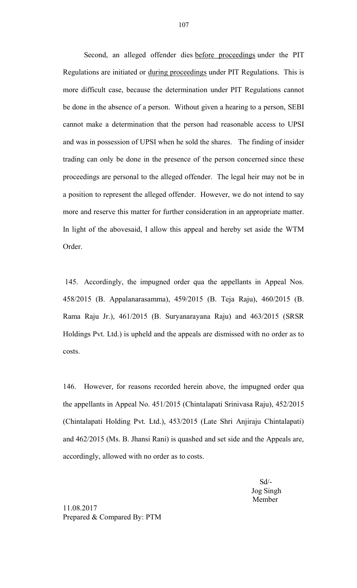Second, an alleged offender dies before proceedings under the PIT Regulations are initiated or during proceedings under PIT Regulations. This is more difficult case, because the determination under PIT Regulations cannot be done in the absence of a person. Without given a hearing to a person, SEBI cannot make a determination that the person had reasonable access to UPSI and was in possession of UPSI when he sold the shares. The finding of insider trading can only be done in the presence of the person concerned since these proceedings are personal to the alleged offender. The legal heir may not be in a position to represent the alleged offender. However, we do not intend to say more and reserve this matter for further consideration in an appropriate matter. In light of the abovesaid, I allow this appeal and hereby set aside the WTM Order.

145. Accordingly, the impugned order qua the appellants in Appeal Nos. 458/2015 (B. Appalanarasamma), 459/2015 (B. Teja Raju), 460/2015 (B. Rama Raju Jr.), 461/2015 (B. Suryanarayana Raju) and 463/2015 (SRSR Holdings Pvt. Ltd.) is upheld and the appeals are dismissed with no order as to costs.

146. However, for reasons recorded herein above, the impugned order qua the appellants in Appeal No. 451/2015 (Chintalapati Srinivasa Raju), 452/2015 (Chintalapati Holding Pvt. Ltd.), 453/2015 (Late Shri Anjiraju Chintalapati) and 462/2015 (Ms. B. Jhansi Rani) is quashed and set side and the Appeals are, accordingly, allowed with no order as to costs.

> Sd/- Jog Singh Member

11.08.2017 Prepared & Compared By: PTM